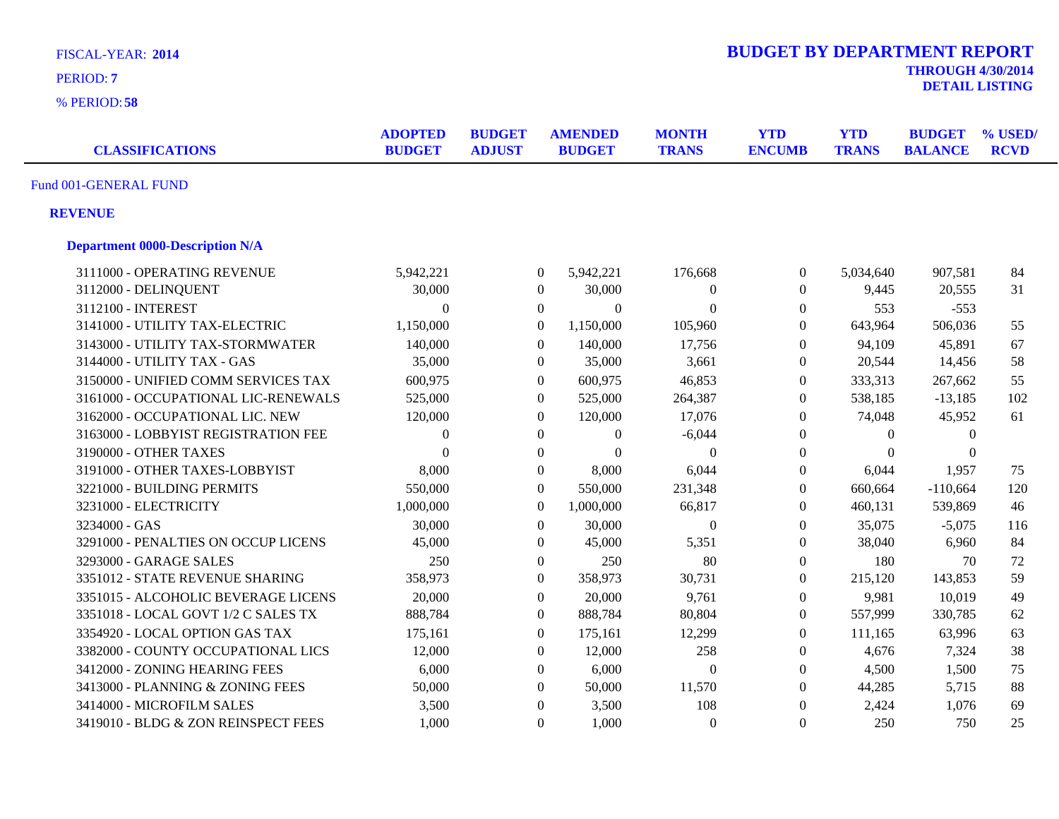| <b>FISCAL-YEAR: 2014</b><br>PERIOD: 7  |                                 |                                |                  |                                 |                              | <b>BUDGET BY DEPARTMENT REPORT</b> |                            | <b>THROUGH 4/30/2014</b>        | <b>DETAIL LISTING</b>  |
|----------------------------------------|---------------------------------|--------------------------------|------------------|---------------------------------|------------------------------|------------------------------------|----------------------------|---------------------------------|------------------------|
| % PERIOD: 58                           |                                 |                                |                  |                                 |                              |                                    |                            |                                 |                        |
| <b>CLASSIFICATIONS</b>                 | <b>ADOPTED</b><br><b>BUDGET</b> | <b>BUDGET</b><br><b>ADJUST</b> |                  | <b>AMENDED</b><br><b>BUDGET</b> | <b>MONTH</b><br><b>TRANS</b> | <b>YTD</b><br><b>ENCUMB</b>        | <b>YTD</b><br><b>TRANS</b> | <b>BUDGET</b><br><b>BALANCE</b> | % USED/<br><b>RCVD</b> |
| Fund 001-GENERAL FUND                  |                                 |                                |                  |                                 |                              |                                    |                            |                                 |                        |
| <b>REVENUE</b>                         |                                 |                                |                  |                                 |                              |                                    |                            |                                 |                        |
| <b>Department 0000-Description N/A</b> |                                 |                                |                  |                                 |                              |                                    |                            |                                 |                        |
| 3111000 - OPERATING REVENUE            | 5,942,221                       |                                | $\boldsymbol{0}$ | 5,942,221                       | 176,668                      | $\boldsymbol{0}$                   | 5,034,640                  | 907,581                         | 84                     |
| 3112000 - DELINQUENT                   | 30,000                          |                                | $\boldsymbol{0}$ | 30,000                          | $\overline{0}$               | $\boldsymbol{0}$                   | 9,445                      | 20,555                          | 31                     |
| 3112100 - INTEREST                     | $\theta$                        |                                | $\overline{0}$   | $\Omega$                        | $\Omega$                     | $\boldsymbol{0}$                   | 553                        | $-553$                          |                        |
| 3141000 - UTILITY TAX-ELECTRIC         | 1,150,000                       |                                | $\overline{0}$   | 1,150,000                       | 105,960                      | $\boldsymbol{0}$                   | 643,964                    | 506,036                         | 55                     |
| 3143000 - UTILITY TAX-STORMWATER       | 140,000                         |                                | $\mathbf{0}$     | 140,000                         | 17,756                       | $\boldsymbol{0}$                   | 94,109                     | 45,891                          | 67                     |
| 3144000 - UTILITY TAX - GAS            | 35,000                          |                                | $\boldsymbol{0}$ | 35,000                          | 3,661                        | $\boldsymbol{0}$                   | 20,544                     | 14,456                          | 58                     |
| 3150000 - UNIFIED COMM SERVICES TAX    | 600,975                         |                                | $\boldsymbol{0}$ | 600,975                         | 46,853                       | $\boldsymbol{0}$                   | 333,313                    | 267,662                         | 55                     |
| 3161000 - OCCUPATIONAL LIC-RENEWALS    | 525,000                         |                                | $\overline{0}$   | 525,000                         | 264,387                      | $\overline{0}$                     | 538,185                    | $-13,185$                       | 102                    |
| 3162000 - OCCUPATIONAL LIC. NEW        | 120,000                         |                                | $\overline{0}$   | 120,000                         | 17,076                       | $\boldsymbol{0}$                   | 74,048                     | 45,952                          | 61                     |
| 3163000 - LOBBYIST REGISTRATION FEE    | $\theta$                        |                                | $\boldsymbol{0}$ | $\theta$                        | $-6,044$                     | $\boldsymbol{0}$                   | $\mathbf{0}$               | $\mathbf{0}$                    |                        |
| 3190000 - OTHER TAXES                  | $\theta$                        |                                | $\overline{0}$   | $\boldsymbol{0}$                | $\Omega$                     | $\overline{0}$                     | $\theta$                   | $\theta$                        |                        |
| 3191000 - OTHER TAXES-LOBBYIST         | 8,000                           |                                | $\boldsymbol{0}$ | 8,000                           | 6,044                        | $\boldsymbol{0}$                   | 6,044                      | 1,957                           | 75                     |
| 3221000 - BUILDING PERMITS             | 550,000                         |                                | $\boldsymbol{0}$ | 550,000                         | 231,348                      | $\boldsymbol{0}$                   | 660,664                    | $-110,664$                      | 120                    |
| 3231000 - ELECTRICITY                  | 1,000,000                       |                                | $\boldsymbol{0}$ | 1,000,000                       | 66,817                       | $\boldsymbol{0}$                   | 460,131                    | 539,869                         | 46                     |
| 3234000 - GAS                          | 30,000                          |                                | $\overline{0}$   | 30,000                          | $\Omega$                     | $\Omega$                           | 35,075                     | $-5,075$                        | 116                    |
| 3291000 - PENALTIES ON OCCUP LICENS    | 45,000                          |                                | $\overline{0}$   | 45,000                          | 5,351                        | $\overline{0}$                     | 38,040                     | 6,960                           | 84                     |
| 3293000 - GARAGE SALES                 | 250                             |                                | $\overline{0}$   | 250                             | 80                           | $\overline{0}$                     | 180                        | 70                              | 72                     |
| 3351012 - STATE REVENUE SHARING        | 358,973                         |                                | $\overline{0}$   | 358,973                         | 30,731                       | $\overline{0}$                     | 215,120                    | 143,853                         | 59                     |
| 3351015 - ALCOHOLIC BEVERAGE LICENS    | 20,000                          |                                | $\overline{0}$   | 20,000                          | 9,761                        | $\overline{0}$                     | 9,981                      | 10,019                          | 49                     |
| 3351018 - LOCAL GOVT 1/2 C SALES TX    | 888,784                         |                                | $\overline{0}$   | 888,784                         | 80,804                       | $\mathbf{0}$                       | 557,999                    | 330,785                         | 62                     |
| 3354920 - LOCAL OPTION GAS TAX         | 175,161                         |                                | $\overline{0}$   | 175,161                         | 12,299                       | $\mathbf{0}$                       | 111,165                    | 63,996                          | 63                     |
| 3382000 - COUNTY OCCUPATIONAL LICS     | 12,000                          |                                | $\boldsymbol{0}$ | 12,000                          | 258                          | $\Omega$                           | 4,676                      | 7,324                           | 38                     |
| 3412000 - ZONING HEARING FEES          | 6,000                           |                                | $\overline{0}$   | 6,000                           | $\Omega$                     | $\theta$                           | 4,500                      | 1,500                           | 75                     |
| 3413000 - PLANNING & ZONING FEES       | 50,000                          |                                | $\overline{0}$   | 50,000                          | 11,570                       | $\boldsymbol{0}$                   | 44,285                     | 5,715                           | 88                     |
| 3414000 - MICROFILM SALES              | 3,500                           |                                | $\boldsymbol{0}$ | 3,500                           | 108                          | $\boldsymbol{0}$                   | 2,424                      | 1,076                           | 69                     |
| 3419010 - BLDG & ZON REINSPECT FEES    | 1,000                           |                                | $\Omega$         | 1,000                           | $\Omega$                     | $\overline{0}$                     | 250                        | 750                             | 25                     |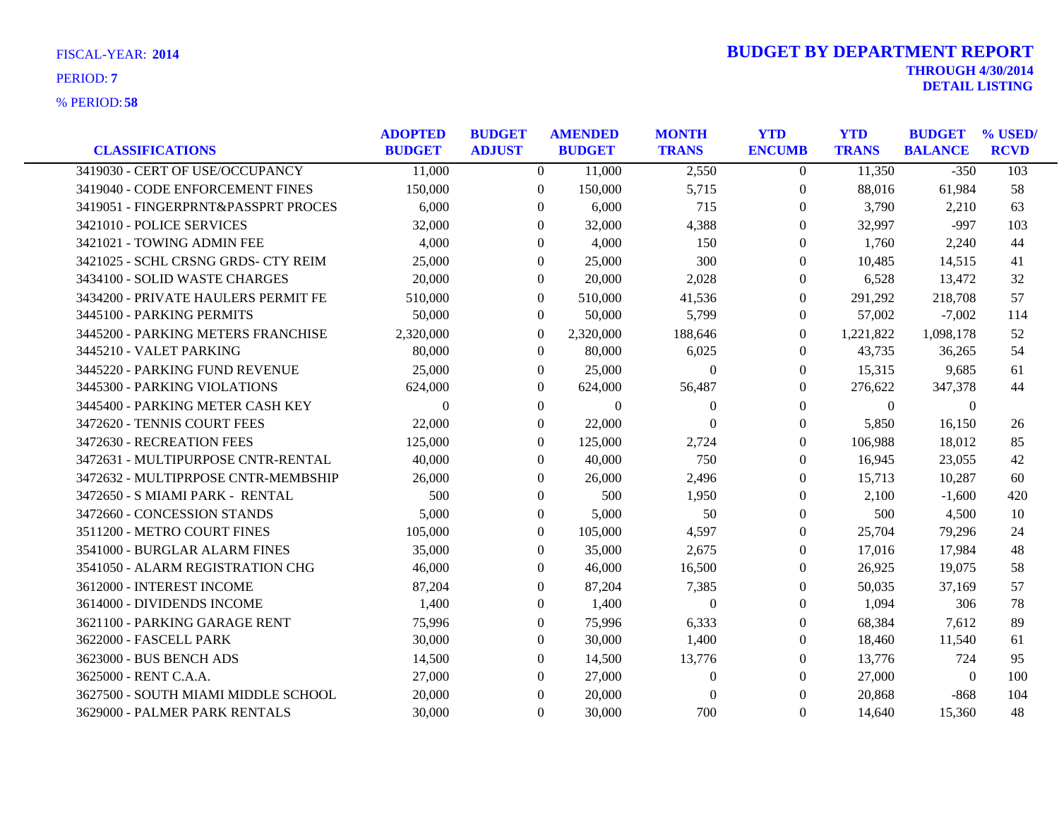|                                     | <b>ADOPTED</b> | <b>BUDGET</b>  | <b>AMENDED</b> | <b>MONTH</b>     | <b>YTD</b>       | <b>YTD</b>   | <b>BUDGET</b>  | % USED/     |
|-------------------------------------|----------------|----------------|----------------|------------------|------------------|--------------|----------------|-------------|
| <b>CLASSIFICATIONS</b>              | <b>BUDGET</b>  | <b>ADJUST</b>  | <b>BUDGET</b>  | <b>TRANS</b>     | <b>ENCUMB</b>    | <b>TRANS</b> | <b>BALANCE</b> | <b>RCVD</b> |
| 3419030 - CERT OF USE/OCCUPANCY     | 11,000         | $\overline{0}$ | 11,000         | 2,550            | $\overline{0}$   | 11,350       | $-350$         | 103         |
| 3419040 - CODE ENFORCEMENT FINES    | 150,000        | $\overline{0}$ | 150,000        | 5,715            | $\overline{0}$   | 88,016       | 61,984         | 58          |
| 3419051 - FINGERPRNT&PASSPRT PROCES | 6,000          | $\theta$       | 6,000          | 715              | $\overline{0}$   | 3,790        | 2,210          | 63          |
| 3421010 - POLICE SERVICES           | 32,000         | $\Omega$       | 32,000         | 4,388            | $\theta$         | 32,997       | $-997$         | 103         |
| 3421021 - TOWING ADMIN FEE          | 4,000          | $\Omega$       | 4,000          | 150              | $\theta$         | 1,760        | 2,240          | 44          |
| 3421025 - SCHL CRSNG GRDS- CTY REIM | 25,000         | $\theta$       | 25,000         | 300              | $\theta$         | 10,485       | 14,515         | 41          |
| 3434100 - SOLID WASTE CHARGES       | 20,000         | $\theta$       | 20,000         | 2,028            | $\theta$         | 6,528        | 13,472         | 32          |
| 3434200 - PRIVATE HAULERS PERMIT FE | 510,000        | $\Omega$       | 510,000        | 41,536           | $\Omega$         | 291,292      | 218,708        | 57          |
| 3445100 - PARKING PERMITS           | 50,000         | $\theta$       | 50,000         | 5,799            | $\theta$         | 57,002       | $-7,002$       | 114         |
| 3445200 - PARKING METERS FRANCHISE  | 2,320,000      | $\theta$       | 2,320,000      | 188,646          | $\theta$         | 1,221,822    | 1,098,178      | 52          |
| 3445210 - VALET PARKING             | 80,000         | $\theta$       | 80,000         | 6,025            | $\Omega$         | 43,735       | 36,265         | 54          |
| 3445220 - PARKING FUND REVENUE      | 25,000         | $\theta$       | 25,000         | $\theta$         | $\overline{0}$   | 15,315       | 9,685          | 61          |
| 3445300 - PARKING VIOLATIONS        | 624,000        | $\theta$       | 624,000        | 56,487           | $\theta$         | 276,622      | 347,378        | 44          |
| 3445400 - PARKING METER CASH KEY    | $\Omega$       | $\Omega$       | $\Omega$       | $\Omega$         | $\theta$         | $\Omega$     | $\theta$       |             |
| 3472620 - TENNIS COURT FEES         | 22,000         | $\Omega$       | 22,000         | $\theta$         | $\theta$         | 5,850        | 16,150         | 26          |
| 3472630 - RECREATION FEES           | 125,000        | $\theta$       | 125,000        | 2,724            | $\boldsymbol{0}$ | 106,988      | 18,012         | 85          |
| 3472631 - MULTIPURPOSE CNTR-RENTAL  | 40,000         | $\theta$       | 40,000         | 750              | $\overline{0}$   | 16,945       | 23,055         | 42          |
| 3472632 - MULTIPRPOSE CNTR-MEMBSHIP | 26,000         | $\Omega$       | 26,000         | 2,496            | $\theta$         | 15,713       | 10,287         | 60          |
| 3472650 - S MIAMI PARK - RENTAL     | 500            | $\Omega$       | 500            | 1,950            | $\theta$         | 2,100        | $-1,600$       | 420         |
| 3472660 - CONCESSION STANDS         | 5,000          | $\theta$       | 5,000          | 50               | $\overline{0}$   | 500          | 4,500          | 10          |
| 3511200 - METRO COURT FINES         | 105,000        | $\theta$       | 105,000        | 4,597            | $\theta$         | 25,704       | 79,296         | 24          |
| 3541000 - BURGLAR ALARM FINES       | 35,000         | $\Omega$       | 35,000         | 2,675            | $\theta$         | 17,016       | 17,984         | 48          |
| 3541050 - ALARM REGISTRATION CHG    | 46,000         | $\Omega$       | 46,000         | 16,500           | $\theta$         | 26,925       | 19,075         | 58          |
| 3612000 - INTEREST INCOME           | 87,204         | $\theta$       | 87,204         | 7,385            | $\boldsymbol{0}$ | 50,035       | 37,169         | 57          |
| 3614000 - DIVIDENDS INCOME          | 1,400          | $\theta$       | 1,400          | $\boldsymbol{0}$ | 0                | 1,094        | 306            | 78          |
| 3621100 - PARKING GARAGE RENT       | 75,996         | $\Omega$       | 75,996         | 6,333            | $\Omega$         | 68,384       | 7,612          | 89          |
| 3622000 - FASCELL PARK              | 30,000         | $\Omega$       | 30,000         | 1,400            | $\theta$         | 18,460       | 11,540         | 61          |
| 3623000 - BUS BENCH ADS             | 14,500         | $\theta$       | 14,500         | 13,776           | $\boldsymbol{0}$ | 13,776       | 724            | 95          |
| 3625000 - RENT C.A.A.               | 27,000         | $\Omega$       | 27,000         | $\Omega$         | $\Omega$         | 27,000       | $\theta$       | 100         |
| 3627500 - SOUTH MIAMI MIDDLE SCHOOL | 20,000         | $\Omega$       | 20,000         | $\theta$         | $\Omega$         | 20,868       | $-868$         | 104         |
| 3629000 - PALMER PARK RENTALS       | 30,000         | $\Omega$       | 30,000         | 700              | $\theta$         | 14,640       | 15,360         | 48          |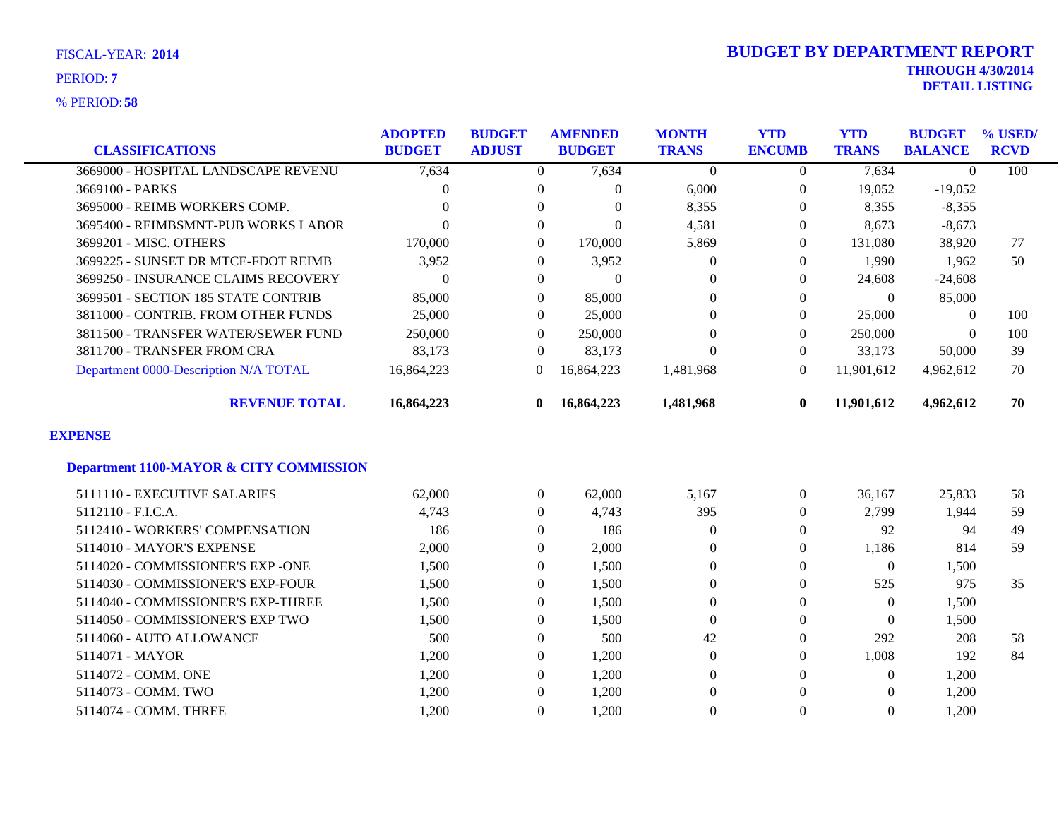|                                                    | <b>ADOPTED</b> | <b>BUDGET</b>    | <b>AMENDED</b> | <b>MONTH</b>     | <b>YTD</b>     | <b>YTD</b>     | <b>BUDGET</b>  | % USED/     |
|----------------------------------------------------|----------------|------------------|----------------|------------------|----------------|----------------|----------------|-------------|
| <b>CLASSIFICATIONS</b>                             | <b>BUDGET</b>  | <b>ADJUST</b>    | <b>BUDGET</b>  | <b>TRANS</b>     | <b>ENCUMB</b>  | <b>TRANS</b>   | <b>BALANCE</b> | <b>RCVD</b> |
| 3669000 - HOSPITAL LANDSCAPE REVENU                | 7,634          | $\overline{0}$   | 7,634          | $\Omega$         | $\Omega$       | 7,634          | $\theta$       | 100         |
| 3669100 - PARKS                                    | 0              | $\overline{0}$   | 0              | 6,000            | $\overline{0}$ | 19,052         | $-19,052$      |             |
| 3695000 - REIMB WORKERS COMP.                      | 0              | $\Omega$         | $\Omega$       | 8,355            | $\Omega$       | 8,355          | $-8,355$       |             |
| 3695400 - REIMBSMNT-PUB WORKS LABOR                | $\Omega$       | $\Omega$         | 0              | 4,581            | $\Omega$       | 8,673          | $-8,673$       |             |
| 3699201 - MISC. OTHERS                             | 170,000        | $\boldsymbol{0}$ | 170,000        | 5,869            | $\Omega$       | 131,080        | 38,920         | 77          |
| 3699225 - SUNSET DR MTCE-FDOT REIMB                | 3,952          | $\Omega$         | 3,952          | $\Omega$         | $\left($       | 1,990          | 1,962          | 50          |
| 3699250 - INSURANCE CLAIMS RECOVERY                | $\Omega$       | $\theta$         | $\Omega$       | $\Omega$         | $\Omega$       | 24,608         | $-24,608$      |             |
| 3699501 - SECTION 185 STATE CONTRIB                | 85,000         | $\Omega$         | 85,000         | $\theta$         | 0              | $\theta$       | 85,000         |             |
| 3811000 - CONTRIB. FROM OTHER FUNDS                | 25,000         | $\theta$         | 25,000         | $\overline{0}$   | $\overline{0}$ | 25,000         | $\theta$       | 100         |
| 3811500 - TRANSFER WATER/SEWER FUND                | 250,000        | $\theta$         | 250,000        | $\Omega$         | $\Omega$       | 250,000        | $\theta$       | 100         |
| 3811700 - TRANSFER FROM CRA                        | 83,173         | $\overline{0}$   | 83,173         | $\theta$         | $\overline{0}$ | 33,173         | 50,000         | 39          |
| Department 0000-Description N/A TOTAL              | 16,864,223     | $\theta$         | 16,864,223     | 1,481,968        | $\theta$       | 11,901,612     | 4,962,612      | 70          |
| <b>REVENUE TOTAL</b>                               | 16,864,223     | $\mathbf{0}$     | 16,864,223     | 1,481,968        | $\bf{0}$       | 11,901,612     | 4,962,612      | 70          |
| <b>EXPENSE</b>                                     |                |                  |                |                  |                |                |                |             |
| <b>Department 1100-MAYOR &amp; CITY COMMISSION</b> |                |                  |                |                  |                |                |                |             |
| 5111110 - EXECUTIVE SALARIES                       | 62,000         | $\boldsymbol{0}$ | 62,000         | 5,167            | $\overline{0}$ | 36,167         | 25,833         | 58          |
| 5112110 - F.I.C.A.                                 | 4,743          | $\mathbf{0}$     | 4,743          | 395              | $\Omega$       | 2,799          | 1,944          | 59          |
| 5112410 - WORKERS' COMPENSATION                    | 186            | $\mathbf{0}$     | 186            | $\overline{0}$   | $\Omega$       | 92             | 94             | 49          |
| 5114010 - MAYOR'S EXPENSE                          | 2,000          | $\Omega$         | 2,000          | $\Omega$         | $\Omega$       | 1,186          | 814            | 59          |
| 5114020 - COMMISSIONER'S EXP -ONE                  | 1,500          | $\mathbf{0}$     | 1,500          | $\theta$         | $\theta$       | $\overline{0}$ | 1,500          |             |
| 5114030 - COMMISSIONER'S EXP-FOUR                  | 1,500          | $\mathbf{0}$     | 1,500          | $\boldsymbol{0}$ | $\theta$       | 525            | 975            | 35          |
| 5114040 - COMMISSIONER'S EXP-THREE                 | 1,500          | $\theta$         | 1,500          | $\theta$         | $\Omega$       | $\overline{0}$ | 1,500          |             |
| 5114050 - COMMISSIONER'S EXP TWO                   | 1,500          | $\Omega$         | 1,500          | $\theta$         | $\Omega$       | $\theta$       | 1,500          |             |
| 5114060 - AUTO ALLOWANCE                           | 500            | $\boldsymbol{0}$ | 500            | 42               | 0              | 292            | 208            | 58          |
| 5114071 - MAYOR                                    | 1,200          | $\mathbf{0}$     | 1,200          | $\boldsymbol{0}$ | $\Omega$       | 1,008          | 192            | 84          |
| 5114072 - COMM. ONE                                | 1,200          | $\theta$         | 1,200          | $\theta$         | 0              | $\overline{0}$ | 1,200          |             |
| 5114073 - COMM. TWO                                | 1,200          | $\theta$         | 1,200          | $\theta$         | $\Omega$       | $\Omega$       | 1,200          |             |
| 5114074 - COMM. THREE                              | 1,200          | $\Omega$         | 1,200          | $\theta$         | 0              | $\Omega$       | 1,200          |             |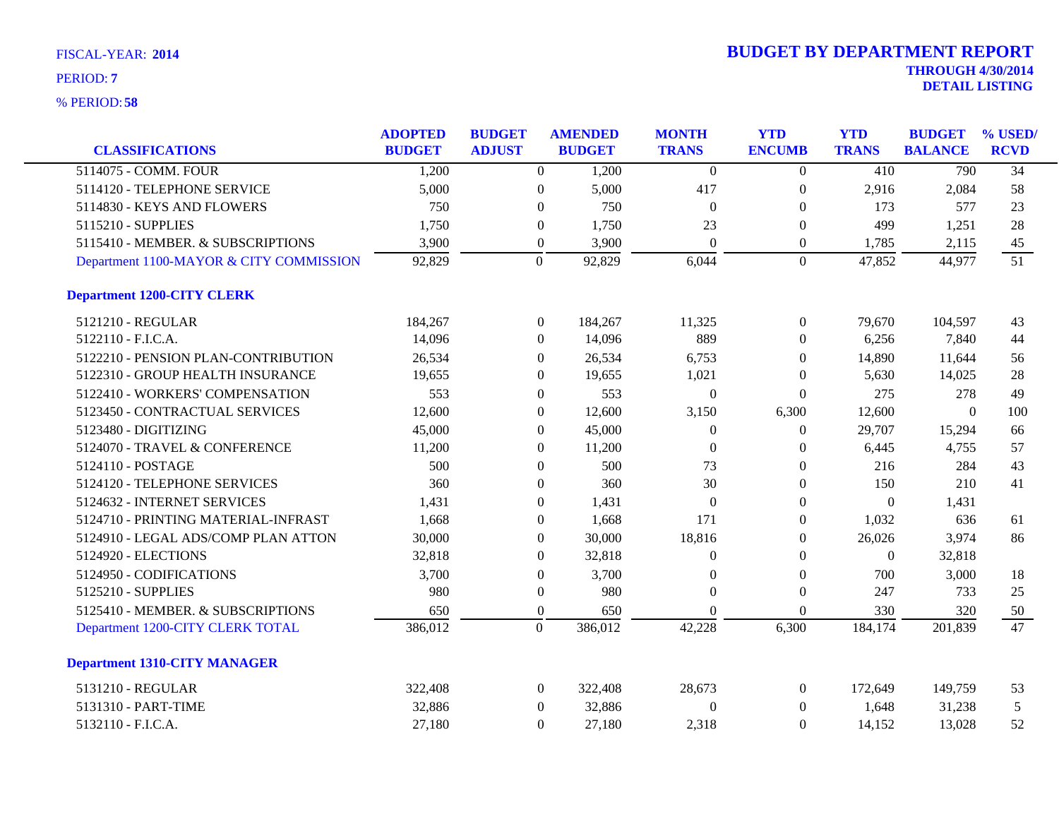| <b>CLASSIFICATIONS</b>                  | <b>ADOPTED</b><br><b>BUDGET</b> | <b>BUDGET</b><br><b>ADJUST</b> |                  | <b>AMENDED</b><br><b>BUDGET</b> | <b>MONTH</b><br><b>TRANS</b> | <b>YTD</b><br><b>ENCUMB</b> | <b>YTD</b><br><b>TRANS</b> | <b>BUDGET</b><br><b>BALANCE</b> | % USED/<br><b>RCVD</b> |
|-----------------------------------------|---------------------------------|--------------------------------|------------------|---------------------------------|------------------------------|-----------------------------|----------------------------|---------------------------------|------------------------|
| 5114075 - COMM. FOUR                    | 1,200                           |                                | $\overline{0}$   | 1,200                           | $\mathbf{0}$                 | $\overline{0}$              | 410                        | 790                             | $\overline{34}$        |
| 5114120 - TELEPHONE SERVICE             | 5,000                           |                                | $\boldsymbol{0}$ | 5,000                           | 417                          | $\boldsymbol{0}$            | 2,916                      | 2,084                           | 58                     |
| 5114830 - KEYS AND FLOWERS              | 750                             |                                | $\overline{0}$   | 750                             | $\overline{0}$               | $\overline{0}$              | 173                        | 577                             | 23                     |
| 5115210 - SUPPLIES                      | 1,750                           |                                | $\overline{0}$   | 1,750                           | 23                           | $\overline{0}$              | 499                        | 1,251                           | 28                     |
| 5115410 - MEMBER. & SUBSCRIPTIONS       | 3,900                           |                                | $\boldsymbol{0}$ | 3,900                           | $\Omega$                     | $\overline{0}$              | 1,785                      | 2,115                           | 45                     |
| Department 1100-MAYOR & CITY COMMISSION | 92,829                          |                                | $\overline{0}$   | 92,829                          | 6,044                        | $\overline{0}$              | 47,852                     | 44,977                          | 51                     |
| <b>Department 1200-CITY CLERK</b>       |                                 |                                |                  |                                 |                              |                             |                            |                                 |                        |
| 5121210 - REGULAR                       | 184,267                         |                                | $\overline{0}$   | 184,267                         | 11,325                       | $\boldsymbol{0}$            | 79,670                     | 104,597                         | 43                     |
| 5122110 - F.I.C.A.                      | 14,096                          |                                | $\overline{0}$   | 14,096                          | 889                          | $\overline{0}$              | 6,256                      | 7,840                           | 44                     |
| 5122210 - PENSION PLAN-CONTRIBUTION     | 26,534                          |                                | $\overline{0}$   | 26,534                          | 6,753                        | $\overline{0}$              | 14,890                     | 11,644                          | 56                     |
| 5122310 - GROUP HEALTH INSURANCE        | 19,655                          |                                | $\overline{0}$   | 19,655                          | 1,021                        | $\overline{0}$              | 5,630                      | 14,025                          | 28                     |
| 5122410 - WORKERS' COMPENSATION         | 553                             |                                | $\overline{0}$   | 553                             | $\overline{0}$               | $\overline{0}$              | 275                        | 278                             | 49                     |
| 5123450 - CONTRACTUAL SERVICES          | 12,600                          |                                | $\overline{0}$   | 12,600                          | 3,150                        | 6,300                       | 12,600                     | $\theta$                        | 100                    |
| 5123480 - DIGITIZING                    | 45,000                          |                                | $\boldsymbol{0}$ | 45,000                          | $\boldsymbol{0}$             | $\boldsymbol{0}$            | 29,707                     | 15,294                          | 66                     |
| 5124070 - TRAVEL & CONFERENCE           | 11,200                          |                                | $\boldsymbol{0}$ | 11,200                          | $\theta$                     | $\overline{0}$              | 6,445                      | 4,755                           | 57                     |
| 5124110 - POSTAGE                       | 500                             |                                | $\boldsymbol{0}$ | 500                             | 73                           | $\overline{0}$              | 216                        | 284                             | 43                     |
| 5124120 - TELEPHONE SERVICES            | 360                             |                                | $\Omega$         | 360                             | 30                           | $\theta$                    | 150                        | 210                             | 41                     |
| 5124632 - INTERNET SERVICES             | 1,431                           |                                | $\overline{0}$   | 1,431                           | $\Omega$                     | $\overline{0}$              | $\Omega$                   | 1,431                           |                        |
| 5124710 - PRINTING MATERIAL-INFRAST     | 1,668                           |                                | $\overline{0}$   | 1,668                           | 171                          | $\overline{0}$              | 1,032                      | 636                             | 61                     |
| 5124910 - LEGAL ADS/COMP PLAN ATTON     | 30,000                          |                                | $\overline{0}$   | 30,000                          | 18,816                       | $\theta$                    | 26,026                     | 3,974                           | 86                     |
| 5124920 - ELECTIONS                     | 32,818                          |                                | $\overline{0}$   | 32,818                          | $\theta$                     | $\overline{0}$              | $\overline{0}$             | 32,818                          |                        |
| 5124950 - CODIFICATIONS                 | 3,700                           |                                | $\overline{0}$   | 3,700                           | $\Omega$                     | $\overline{0}$              | 700                        | 3,000                           | 18                     |
| 5125210 - SUPPLIES                      | 980                             |                                | $\boldsymbol{0}$ | 980                             | $\theta$                     | $\boldsymbol{0}$            | 247                        | 733                             | 25                     |
| 5125410 - MEMBER. & SUBSCRIPTIONS       | 650                             |                                | $\boldsymbol{0}$ | 650                             | $\theta$                     | $\boldsymbol{0}$            | 330                        | 320                             | 50                     |
| Department 1200-CITY CLERK TOTAL        | 386,012                         |                                | $\mathbf{0}$     | 386,012                         | 42,228                       | 6,300                       | 184,174                    | 201,839                         | $\overline{47}$        |
| <b>Department 1310-CITY MANAGER</b>     |                                 |                                |                  |                                 |                              |                             |                            |                                 |                        |
| 5131210 - REGULAR                       | 322,408                         |                                | $\overline{0}$   | 322,408                         | 28,673                       | $\overline{0}$              | 172,649                    | 149,759                         | 53                     |
| 5131310 - PART-TIME                     | 32,886                          |                                | $\overline{0}$   | 32,886                          | $\boldsymbol{0}$             | $\overline{0}$              | 1,648                      | 31,238                          | 5                      |
| 5132110 - F.I.C.A.                      | 27,180                          |                                | $\Omega$         | 27,180                          | 2,318                        | $\theta$                    | 14,152                     | 13,028                          | 52                     |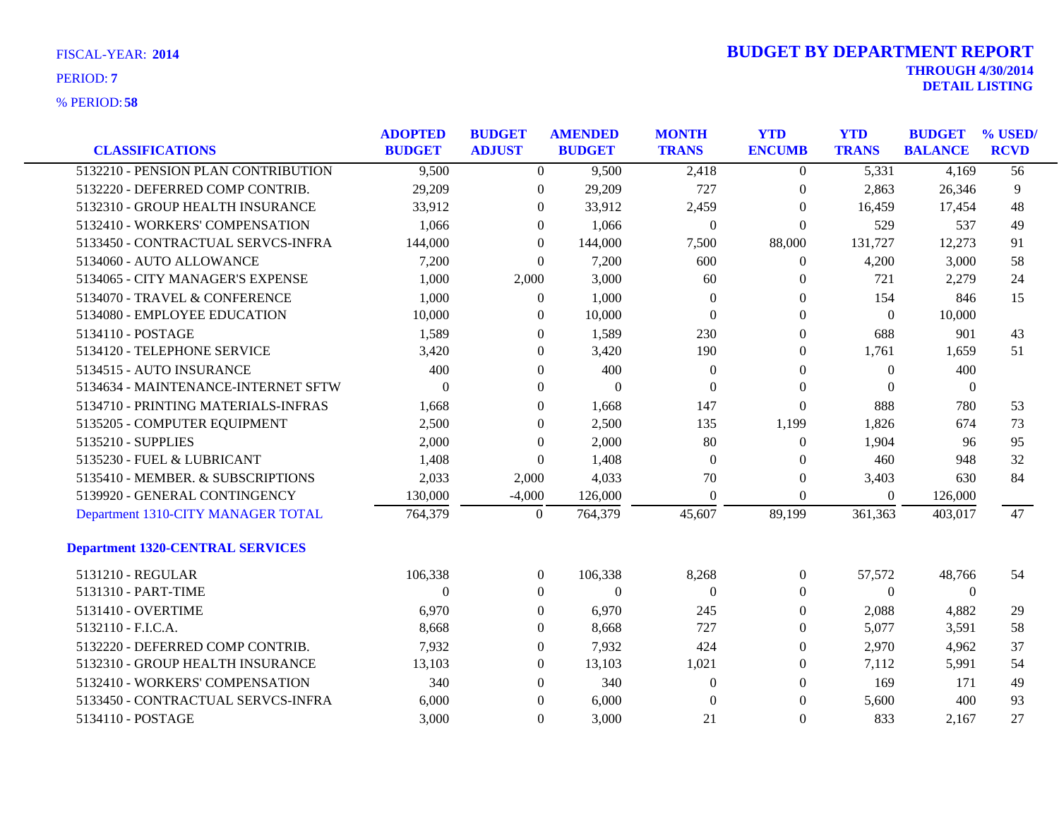| <b>FISCAL-YEAR: 2014</b> |  |
|--------------------------|--|
|                          |  |

| <b>CLASSIFICATIONS</b>                  | <b>ADOPTED</b><br><b>BUDGET</b> | <b>BUDGET</b><br><b>ADJUST</b> | <b>AMENDED</b><br><b>BUDGET</b> | <b>MONTH</b><br><b>TRANS</b> | <b>YTD</b><br><b>ENCUMB</b> | <b>YTD</b><br><b>TRANS</b> | <b>BUDGET</b><br><b>BALANCE</b> | % USED/<br><b>RCVD</b> |
|-----------------------------------------|---------------------------------|--------------------------------|---------------------------------|------------------------------|-----------------------------|----------------------------|---------------------------------|------------------------|
| 5132210 - PENSION PLAN CONTRIBUTION     | 9,500                           | $\overline{0}$                 | 9,500                           | 2,418                        | $\overline{0}$              | 5,331                      | 4,169                           | $\overline{56}$        |
| 5132220 - DEFERRED COMP CONTRIB.        | 29,209                          | $\boldsymbol{0}$               | 29,209                          | 727                          | $\boldsymbol{0}$            | 2,863                      | 26,346                          | 9                      |
| 5132310 - GROUP HEALTH INSURANCE        | 33,912                          | $\left($                       | 33,912                          | 2,459                        | $\theta$                    | 16,459                     | 17,454                          | 48                     |
| 5132410 - WORKERS' COMPENSATION         | 1,066                           | $\theta$                       | 1,066                           | $\boldsymbol{0}$             | $\theta$                    | 529                        | 537                             | 49                     |
| 5133450 - CONTRACTUAL SERVCS-INFRA      | 144,000                         | $\overline{0}$                 | 144,000                         | 7,500                        | 88,000                      | 131,727                    | 12,273                          | 91                     |
| 5134060 - AUTO ALLOWANCE                | 7,200                           | $\overline{0}$                 | 7,200                           | 600                          | $\boldsymbol{0}$            | 4,200                      | 3,000                           | 58                     |
| 5134065 - CITY MANAGER'S EXPENSE        | 1,000                           | 2,000                          | 3,000                           | 60                           | $\theta$                    | 721                        | 2,279                           | 24                     |
| 5134070 - TRAVEL & CONFERENCE           | 1,000                           | $\overline{0}$                 | 1,000                           | $\theta$                     | $\theta$                    | 154                        | 846                             | 15                     |
| 5134080 - EMPLOYEE EDUCATION            | 10,000                          | $\overline{0}$                 | 10,000                          | $\Omega$                     | $\mathbf{0}$                | $\mathbf{0}$               | 10,000                          |                        |
| 5134110 - POSTAGE                       | 1,589                           | $\boldsymbol{0}$               | 1,589                           | 230                          | $\boldsymbol{0}$            | 688                        | 901                             | 43                     |
| 5134120 - TELEPHONE SERVICE             | 3,420                           | $\overline{0}$                 | 3,420                           | 190                          | $\theta$                    | 1,761                      | 1,659                           | 51                     |
| 5134515 - AUTO INSURANCE                | 400                             | $\overline{0}$                 | 400                             | $\theta$                     | $\theta$                    | $\Omega$                   | 400                             |                        |
| 5134634 - MAINTENANCE-INTERNET SFTW     | $\Omega$                        | $\Omega$                       | $\Omega$                        | $\Omega$                     | $\mathbf{0}$                | $\theta$                   | $\mathbf{0}$                    |                        |
| 5134710 - PRINTING MATERIALS-INFRAS     | 1,668                           | $\overline{0}$                 | 1,668                           | 147                          | $\boldsymbol{0}$            | 888                        | 780                             | 53                     |
| 5135205 - COMPUTER EQUIPMENT            | 2,500                           | $\left($                       | 2,500                           | 135                          | 1,199                       | 1,826                      | 674                             | 73                     |
| 5135210 - SUPPLIES                      | 2,000                           | $\Omega$                       | 2,000                           | 80                           | $\Omega$                    | 1,904                      | 96                              | 95                     |
| 5135230 - FUEL & LUBRICANT              | 1,408                           | $\theta$                       | 1,408                           | $\Omega$                     | $\mathbf{0}$                | 460                        | 948                             | 32                     |
| 5135410 - MEMBER. & SUBSCRIPTIONS       | 2,033                           | 2,000                          | 4,033                           | 70                           | $\boldsymbol{0}$            | 3,403                      | 630                             | 84                     |
| 5139920 - GENERAL CONTINGENCY           | 130,000                         | $-4,000$                       | 126,000                         | $\Omega$                     | $\Omega$                    | $\overline{0}$             | 126,000                         |                        |
| Department 1310-CITY MANAGER TOTAL      | 764,379                         | $\mathbf{0}$                   | 764,379                         | 45,607                       | 89,199                      | 361,363                    | 403,017                         | 47                     |
| <b>Department 1320-CENTRAL SERVICES</b> |                                 |                                |                                 |                              |                             |                            |                                 |                        |
| 5131210 - REGULAR                       | 106,338                         | $\boldsymbol{0}$               | 106,338                         | 8,268                        | $\boldsymbol{0}$            | 57,572                     | 48,766                          | 54                     |
| 5131310 - PART-TIME                     | $\Omega$                        | $\theta$                       | $\overline{0}$                  | $\Omega$                     | $\theta$                    | $\mathbf{0}$               | $\mathbf{0}$                    |                        |
| 5131410 - OVERTIME                      | 6,970                           | $\Omega$                       | 6,970                           | 245                          | $\Omega$                    | 2,088                      | 4,882                           | 29                     |
| 5132110 - F.I.C.A.                      | 8,668                           | $\Omega$                       | 8,668                           | 727                          | $\theta$                    | 5,077                      | 3,591                           | 58                     |
| 5132220 - DEFERRED COMP CONTRIB.        | 7,932                           | $\overline{0}$                 | 7,932                           | 424                          | $\mathbf{0}$                | 2,970                      | 4,962                           | 37                     |
| 5132310 - GROUP HEALTH INSURANCE        | 13,103                          | $\theta$                       | 13,103                          | 1,021                        | $\Omega$                    | 7,112                      | 5,991                           | 54                     |
| 5132410 - WORKERS' COMPENSATION         | 340                             | $\Omega$                       | 340                             | $\Omega$                     | $\Omega$                    | 169                        | 171                             | 49                     |
| 5133450 - CONTRACTUAL SERVCS-INFRA      | 6,000                           | $\theta$                       | 6,000                           | $\Omega$                     | $\Omega$                    | 5,600                      | 400                             | 93                     |
| 5134110 - POSTAGE                       | 3,000                           | $\Omega$                       | 3.000                           | 21                           | $\Omega$                    | 833                        | 2.167                           | 27                     |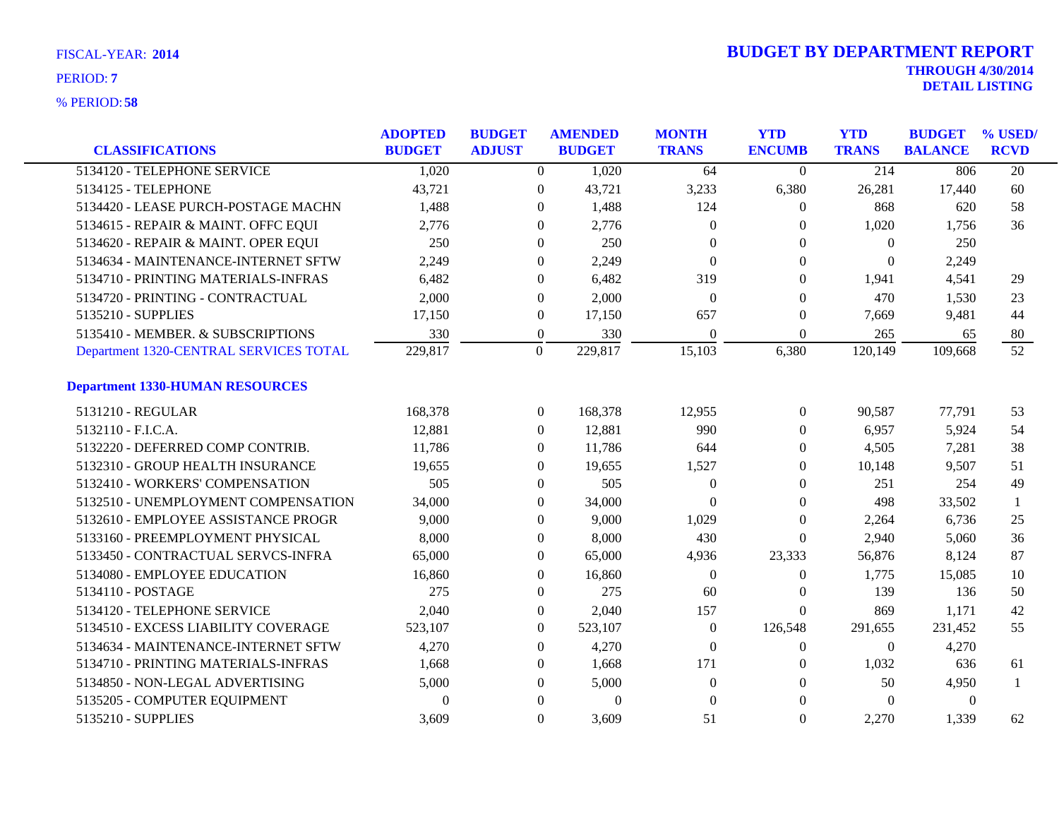| <b>CLASSIFICATIONS</b>                 | <b>ADOPTED</b><br><b>BUDGET</b> | <b>BUDGET</b><br><b>ADJUST</b> | <b>AMENDED</b><br><b>BUDGET</b> |          | <b>MONTH</b><br><b>TRANS</b> | <b>YTD</b><br><b>ENCUMB</b> | <b>YTD</b><br><b>TRANS</b> | <b>BUDGET</b><br><b>BALANCE</b> | % USED/<br><b>RCVD</b> |
|----------------------------------------|---------------------------------|--------------------------------|---------------------------------|----------|------------------------------|-----------------------------|----------------------------|---------------------------------|------------------------|
| 5134120 - TELEPHONE SERVICE            | 1,020                           |                                | $\overline{0}$                  | 1,020    | 64                           | $\Omega$                    | 214                        | 806                             | $\overline{20}$        |
| 5134125 - TELEPHONE                    | 43,721                          |                                | $\overline{0}$                  | 43,721   | 3,233                        | 6,380                       | 26,281                     | 17,440                          | 60                     |
| 5134420 - LEASE PURCH-POSTAGE MACHN    | 1,488                           | $\theta$                       |                                 | 1,488    | 124                          | $\theta$                    | 868                        | 620                             | 58                     |
| 5134615 - REPAIR & MAINT. OFFC EQUI    | 2,776                           |                                | $\Omega$                        | 2,776    | $\Omega$                     | $\Omega$                    | 1,020                      | 1,756                           | 36                     |
| 5134620 - REPAIR & MAINT. OPER EQUI    | 250                             |                                | $\boldsymbol{0}$                | 250      | $\Omega$                     | $\theta$                    | $\theta$                   | 250                             |                        |
| 5134634 - MAINTENANCE-INTERNET SFTW    | 2,249                           |                                | $\overline{0}$                  | 2,249    | $\Omega$                     | $\mathbf{0}$                | $\overline{0}$             | 2,249                           |                        |
| 5134710 - PRINTING MATERIALS-INFRAS    | 6,482                           | $\boldsymbol{0}$               |                                 | 6,482    | 319                          | $\theta$                    | 1,941                      | 4,541                           | 29                     |
| 5134720 - PRINTING - CONTRACTUAL       | 2,000                           |                                | $\overline{0}$                  | 2,000    | $\Omega$                     | $\Omega$                    | 470                        | 1,530                           | 23                     |
| 5135210 - SUPPLIES                     | 17,150                          |                                | $\overline{0}$                  | 17,150   | 657                          | $\theta$                    | 7,669                      | 9,481                           | 44                     |
| 5135410 - MEMBER. & SUBSCRIPTIONS      | 330                             | $\boldsymbol{0}$               |                                 | 330      | $\boldsymbol{0}$             | $\boldsymbol{0}$            | 265                        | 65                              | 80                     |
| Department 1320-CENTRAL SERVICES TOTAL | 229,817                         | $\mathbf{0}$                   | 229,817                         |          | 15,103                       | 6,380                       | 120,149                    | 109,668                         | $\overline{52}$        |
| <b>Department 1330-HUMAN RESOURCES</b> |                                 |                                |                                 |          |                              |                             |                            |                                 |                        |
| 5131210 - REGULAR                      | 168,378                         |                                | $\overline{0}$<br>168,378       |          | 12,955                       | $\boldsymbol{0}$            | 90,587                     | 77,791                          | 53                     |
| 5132110 - F.I.C.A.                     | 12,881                          |                                | $\overline{0}$                  | 12,881   | 990                          | $\theta$                    | 6,957                      | 5,924                           | 54                     |
| 5132220 - DEFERRED COMP CONTRIB.       | 11,786                          |                                | $\overline{0}$                  | 11,786   | 644                          | $\theta$                    | 4,505                      | 7,281                           | 38                     |
| 5132310 - GROUP HEALTH INSURANCE       | 19,655                          |                                | $\Omega$                        | 19,655   | 1,527                        | $\Omega$                    | 10,148                     | 9,507                           | 51                     |
| 5132410 - WORKERS' COMPENSATION        | 505                             |                                | $\overline{0}$                  | 505      | $\mathbf{0}$                 | $\theta$                    | 251                        | 254                             | 49                     |
| 5132510 - UNEMPLOYMENT COMPENSATION    | 34,000                          |                                | $\boldsymbol{0}$                | 34,000   | $\Omega$                     | $\theta$                    | 498                        | 33,502                          | -1                     |
| 5132610 - EMPLOYEE ASSISTANCE PROGR    | 9,000                           |                                | $\overline{0}$                  | 9,000    | 1,029                        | $\mathbf{0}$                | 2,264                      | 6,736                           | 25                     |
| 5133160 - PREEMPLOYMENT PHYSICAL       | 8,000                           |                                | $\overline{0}$                  | 8,000    | 430                          | $\Omega$                    | 2,940                      | 5,060                           | 36                     |
| 5133450 - CONTRACTUAL SERVCS-INFRA     | 65,000                          |                                | $\overline{0}$                  | 65,000   | 4,936                        | 23,333                      | 56,876                     | 8,124                           | 87                     |
| 5134080 - EMPLOYEE EDUCATION           | 16,860                          |                                | $\boldsymbol{0}$                | 16,860   | $\mathbf{0}$                 | $\boldsymbol{0}$            | 1,775                      | 15,085                          | 10                     |
| 5134110 - POSTAGE                      | 275                             |                                | $\overline{0}$                  | 275      | 60                           | $\boldsymbol{0}$            | 139                        | 136                             | 50                     |
| 5134120 - TELEPHONE SERVICE            | 2,040                           |                                | $\overline{0}$                  | 2,040    | 157                          | $\theta$                    | 869                        | 1,171                           | 42                     |
| 5134510 - EXCESS LIABILITY COVERAGE    | 523,107                         |                                | $\overline{0}$<br>523,107       |          | $\mathbf{0}$                 | 126,548                     | 291,655                    | 231,452                         | 55                     |
| 5134634 - MAINTENANCE-INTERNET SFTW    | 4,270                           |                                | $\overline{0}$                  | 4,270    | $\boldsymbol{0}$             | $\boldsymbol{0}$            | $\overline{0}$             | 4,270                           |                        |
| 5134710 - PRINTING MATERIALS-INFRAS    | 1,668                           |                                | $\boldsymbol{0}$                | 1,668    | 171                          | $\theta$                    | 1,032                      | 636                             | 61                     |
| 5134850 - NON-LEGAL ADVERTISING        | 5,000                           |                                | $\overline{0}$                  | 5,000    | $\Omega$                     | $\Omega$                    | 50                         | 4,950                           | $\mathbf{1}$           |
| 5135205 - COMPUTER EQUIPMENT           | $\Omega$                        |                                | $\Omega$                        | $\Omega$ | $\Omega$                     | $\Omega$                    | $\Omega$                   | $\Omega$                        |                        |
| 5135210 - SUPPLIES                     | 3,609                           |                                | $\overline{0}$                  | 3,609    | 51                           | $\Omega$                    | 2,270                      | 1,339                           | 62                     |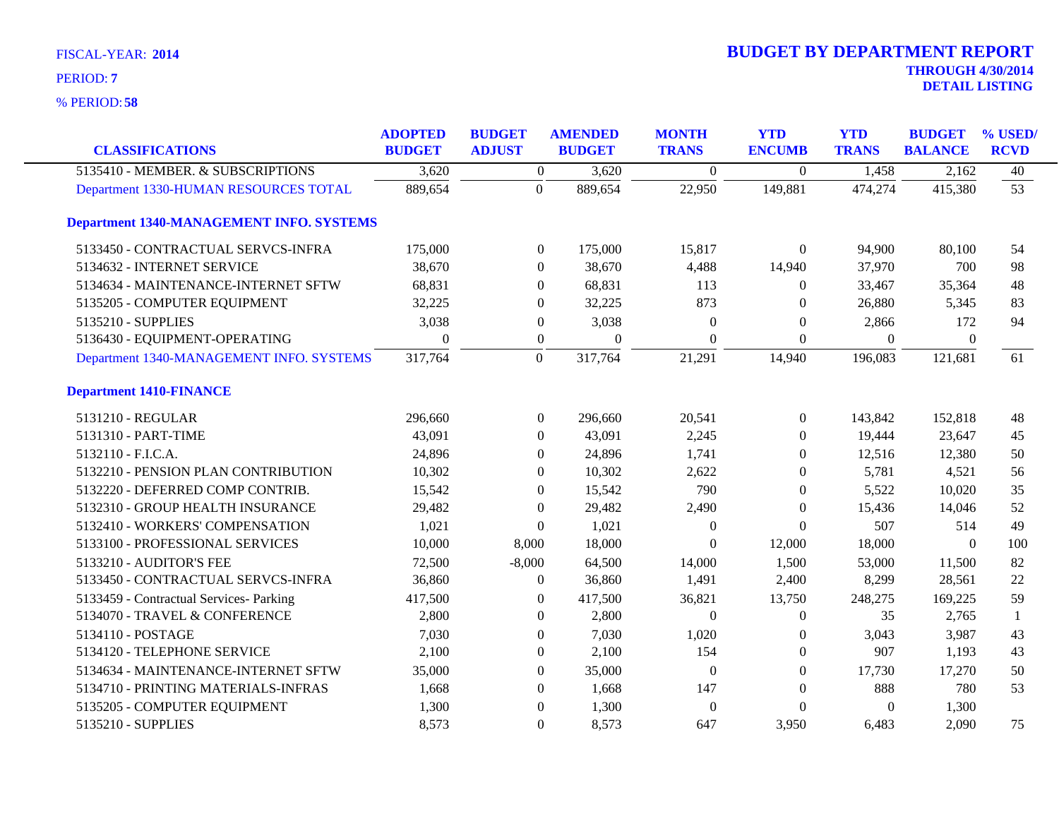**58** % PERIOD:

| <b>CLASSIFICATIONS</b>                          | <b>ADOPTED</b><br><b>BUDGET</b> | <b>BUDGET</b><br><b>ADJUST</b> | <b>AMENDED</b><br><b>BUDGET</b> | <b>MONTH</b><br><b>TRANS</b> | <b>YTD</b><br><b>ENCUMB</b> | <b>YTD</b><br><b>TRANS</b> | <b>BUDGET</b><br><b>BALANCE</b> | % USED/<br><b>RCVD</b> |
|-------------------------------------------------|---------------------------------|--------------------------------|---------------------------------|------------------------------|-----------------------------|----------------------------|---------------------------------|------------------------|
| 5135410 - MEMBER. & SUBSCRIPTIONS               | 3,620                           | $\overline{0}$                 | 3,620                           | $\Omega$                     | $\Omega$                    | 1,458                      | 2,162                           | 40                     |
| Department 1330-HUMAN RESOURCES TOTAL           | 889,654                         | $\theta$                       | 889,654                         | 22,950                       | 149,881                     | 474,274                    | 415,380                         | $\overline{53}$        |
| <b>Department 1340-MANAGEMENT INFO. SYSTEMS</b> |                                 |                                |                                 |                              |                             |                            |                                 |                        |
| 5133450 - CONTRACTUAL SERVCS-INFRA              | 175,000                         |                                | $\mathbf{0}$<br>175,000         | 15,817                       | $\Omega$                    | 94,900                     | 80,100                          | 54                     |
| 5134632 - INTERNET SERVICE                      | 38,670                          |                                | 38,670<br>$\Omega$              | 4,488                        | 14,940                      | 37,970                     | 700                             | 98                     |
| 5134634 - MAINTENANCE-INTERNET SFTW             | 68,831                          |                                | 68,831<br>$\mathbf{0}$          | 113                          | $\overline{0}$              | 33,467                     | 35,364                          | 48                     |
| 5135205 - COMPUTER EQUIPMENT                    | 32,225                          |                                | 32,225<br>$\mathbf{0}$          | 873                          | $\Omega$                    | 26,880                     | 5,345                           | 83                     |
| 5135210 - SUPPLIES                              | 3,038                           |                                | 3,038<br>$\mathbf{0}$           | $\theta$                     | $\theta$                    | 2,866                      | 172                             | 94                     |
| 5136430 - EQUIPMENT-OPERATING                   | $\theta$                        |                                | $\boldsymbol{0}$<br>$\theta$    | $\theta$                     | $\theta$                    | $\Omega$                   | $\theta$                        |                        |
| Department 1340-MANAGEMENT INFO. SYSTEMS        | 317,764                         | $\overline{0}$                 | 317,764                         | 21,291                       | 14,940                      | 196,083                    | 121,681                         | 61                     |
| <b>Department 1410-FINANCE</b>                  |                                 |                                |                                 |                              |                             |                            |                                 |                        |
| 5131210 - REGULAR                               | 296,660                         | $\theta$                       | 296,660                         | 20,541                       | $\mathbf{0}$                | 143,842                    | 152,818                         | 48                     |
| 5131310 - PART-TIME                             | 43,091                          |                                | 43,091<br>$\Omega$              | 2,245                        | $\Omega$                    | 19,444                     | 23,647                          | 45                     |
| 5132110 - F.I.C.A.                              | 24,896                          |                                | 24,896<br>$\Omega$              | 1,741                        | $\theta$                    | 12,516                     | 12,380                          | 50                     |
| 5132210 - PENSION PLAN CONTRIBUTION             | 10,302                          |                                | 10,302<br>$\mathbf{0}$          | 2,622                        | $\Omega$                    | 5,781                      | 4,521                           | 56                     |
| 5132220 - DEFERRED COMP CONTRIB.                | 15,542                          |                                | 15,542<br>$\mathbf{0}$          | 790                          | $\mathbf{0}$                | 5,522                      | 10,020                          | 35                     |
| 5132310 - GROUP HEALTH INSURANCE                | 29,482                          |                                | 29,482<br>$\mathbf{0}$          | 2,490                        | $\Omega$                    | 15,436                     | 14,046                          | 52                     |
| 5132410 - WORKERS' COMPENSATION                 | 1,021                           |                                | 1,021<br>$\Omega$               | $\Omega$                     | $\Omega$                    | 507                        | 514                             | 49                     |
| 5133100 - PROFESSIONAL SERVICES                 | 10,000                          | 8,000                          | 18,000                          | $\theta$                     | 12,000                      | 18,000                     | $\boldsymbol{0}$                | 100                    |
| 5133210 - AUDITOR'S FEE                         | 72,500                          | $-8,000$                       | 64,500                          | 14,000                       | 1,500                       | 53,000                     | 11,500                          | 82                     |
| 5133450 - CONTRACTUAL SERVCS-INFRA              | 36,860                          |                                | 36,860<br>$\boldsymbol{0}$      | 1,491                        | 2,400                       | 8,299                      | 28,561                          | 22                     |
| 5133459 - Contractual Services- Parking         | 417,500                         |                                | 417,500<br>$\Omega$             | 36,821                       | 13,750                      | 248,275                    | 169,225                         | 59                     |
| 5134070 - TRAVEL & CONFERENCE                   | 2,800                           |                                | 2,800<br>$\Omega$               | $\boldsymbol{0}$             | $\mathbf{0}$                | 35                         | 2,765                           | $\mathbf{1}$           |
| 5134110 - POSTAGE                               | 7,030                           |                                | 7,030<br>$\mathbf{0}$           | 1,020                        | $\theta$                    | 3,043                      | 3,987                           | 43                     |
| 5134120 - TELEPHONE SERVICE                     | 2,100                           |                                | 2,100<br>$\boldsymbol{0}$       | 154                          | $\boldsymbol{0}$            | 907                        | 1,193                           | 43                     |
| 5134634 - MAINTENANCE-INTERNET SFTW             | 35,000                          |                                | 35,000<br>$\Omega$              | $\Omega$                     | $\Omega$                    | 17,730                     | 17,270                          | 50                     |
| 5134710 - PRINTING MATERIALS-INFRAS             | 1,668                           |                                | $\Omega$<br>1,668               | 147                          | $\Omega$                    | 888                        | 780                             | 53                     |
| 5135205 - COMPUTER EQUIPMENT                    | 1,300                           |                                | 1,300<br>$\mathbf{0}$           | $\Omega$                     | $\theta$                    | $\theta$                   | 1,300                           |                        |
| 5135210 - SUPPLIES                              | 8,573                           |                                | $\Omega$<br>8,573               | 647                          | 3,950                       | 6,483                      | 2,090                           | 75                     |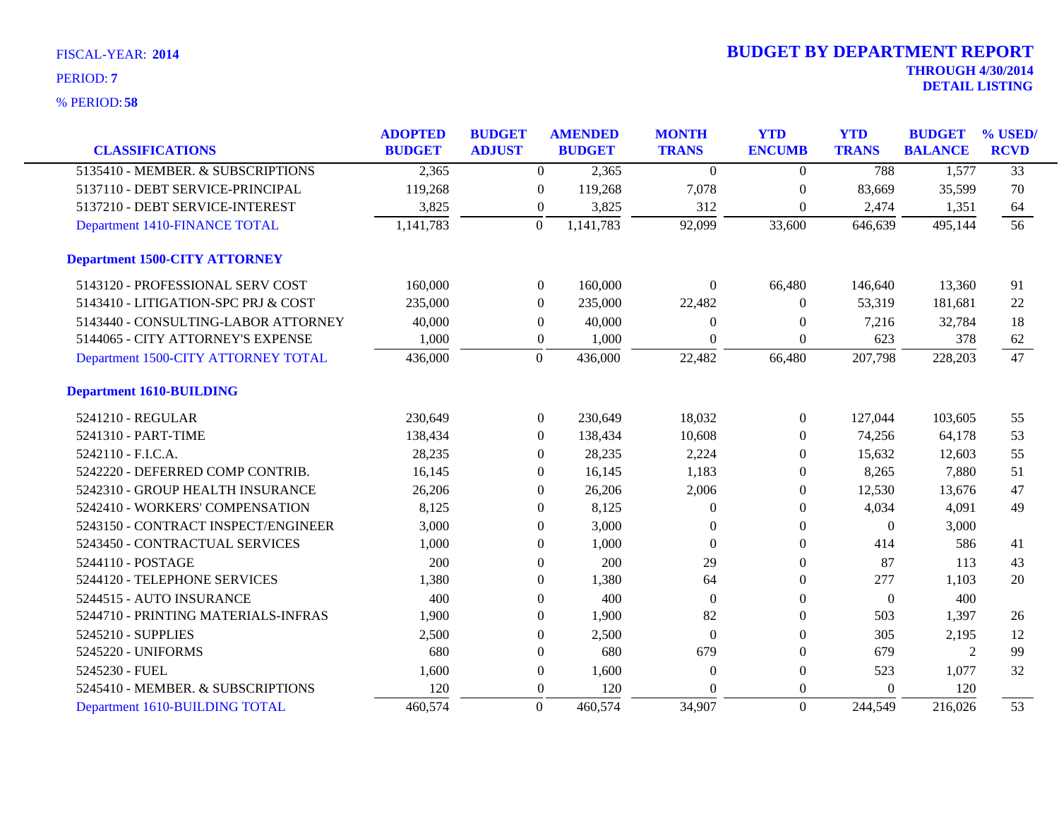| FISCAL-YEAR: 2014 |  |
|-------------------|--|
| PERIOD: 7         |  |

|                                      | <b>ADOPTED</b> | <b>BUDGET</b> |                  | <b>AMENDED</b> | <b>MONTH</b>   | <b>YTD</b>       | <b>YTD</b>       | <b>BUDGET</b>  | % USED/         |
|--------------------------------------|----------------|---------------|------------------|----------------|----------------|------------------|------------------|----------------|-----------------|
| <b>CLASSIFICATIONS</b>               | <b>BUDGET</b>  | <b>ADJUST</b> |                  | <b>BUDGET</b>  | <b>TRANS</b>   | <b>ENCUMB</b>    | <b>TRANS</b>     | <b>BALANCE</b> | <b>RCVD</b>     |
| 5135410 - MEMBER. & SUBSCRIPTIONS    | 2,365          |               | $\overline{0}$   | 2,365          | $\overline{0}$ | $\boldsymbol{0}$ | 788              | 1,577          | $\overline{33}$ |
| 5137110 - DEBT SERVICE-PRINCIPAL     | 119,268        |               | $\overline{0}$   | 119,268        | 7,078          | $\overline{0}$   | 83,669           | 35,599         | 70              |
| 5137210 - DEBT SERVICE-INTEREST      | 3,825          |               | $\boldsymbol{0}$ | 3,825          | 312            | $\boldsymbol{0}$ | 2,474            | 1,351          | 64              |
| Department 1410-FINANCE TOTAL        | 1,141,783      |               | $\overline{0}$   | 1,141,783      | 92,099         | 33,600           | 646,639          | 495,144        | 56              |
| <b>Department 1500-CITY ATTORNEY</b> |                |               |                  |                |                |                  |                  |                |                 |
| 5143120 - PROFESSIONAL SERV COST     | 160,000        |               | $\boldsymbol{0}$ | 160,000        | $\Omega$       | 66,480           | 146,640          | 13,360         | 91              |
| 5143410 - LITIGATION-SPC PRJ & COST  | 235,000        |               | $\overline{0}$   | 235,000        | 22,482         | $\Omega$         | 53,319           | 181,681        | 22              |
| 5143440 - CONSULTING-LABOR ATTORNEY  | 40,000         |               | $\boldsymbol{0}$ | 40,000         | $\theta$       | $\boldsymbol{0}$ | 7,216            | 32,784         | 18              |
| 5144065 - CITY ATTORNEY'S EXPENSE    | 1,000          |               | $\boldsymbol{0}$ | 1,000          | $\Omega$       | $\theta$         | 623              | 378            | 62              |
| Department 1500-CITY ATTORNEY TOTAL  | 436,000        |               | $\overline{0}$   | 436,000        | 22,482         | 66,480           | 207,798          | 228,203        | 47              |
| <b>Department 1610-BUILDING</b>      |                |               |                  |                |                |                  |                  |                |                 |
| 5241210 - REGULAR                    | 230,649        |               | $\overline{0}$   | 230,649        | 18,032         | $\overline{0}$   | 127,044          | 103,605        | 55              |
| 5241310 - PART-TIME                  | 138,434        |               | $\theta$         | 138,434        | 10,608         | $\left($         | 74,256           | 64,178         | 53              |
| 5242110 - F.I.C.A.                   | 28,235         |               | $\overline{0}$   | 28,235         | 2,224          | $\theta$         | 15,632           | 12,603         | 55              |
| 5242220 - DEFERRED COMP CONTRIB.     | 16,145         |               | $\overline{0}$   | 16,145         | 1,183          | $\theta$         | 8,265            | 7,880          | 51              |
| 5242310 - GROUP HEALTH INSURANCE     | 26,206         |               | $\overline{0}$   | 26,206         | 2,006          | $\theta$         | 12,530           | 13,676         | 47              |
| 5242410 - WORKERS' COMPENSATION      | 8,125          |               | $\Omega$         | 8,125          | $\Omega$       | $\Omega$         | 4,034            | 4,091          | 49              |
| 5243150 - CONTRACT INSPECT/ENGINEER  | 3,000          |               | $\boldsymbol{0}$ | 3,000          | $\theta$       | $\theta$         | $\boldsymbol{0}$ | 3,000          |                 |
| 5243450 - CONTRACTUAL SERVICES       | 1,000          |               | $\overline{0}$   | 1,000          | $\theta$       | $\Omega$         | 414              | 586            | 41              |
| 5244110 - POSTAGE                    | 200            |               | $\mathbf{0}$     | 200            | 29             | $\theta$         | 87               | 113            | 43              |
| 5244120 - TELEPHONE SERVICES         | 1,380          |               | $\overline{0}$   | 1,380          | 64             | $\Omega$         | 277              | 1,103          | 20              |
| 5244515 - AUTO INSURANCE             | 400            |               | $\overline{0}$   | 400            | $\overline{0}$ | $\theta$         | $\boldsymbol{0}$ | 400            |                 |
| 5244710 - PRINTING MATERIALS-INFRAS  | 1,900          |               | $\Omega$         | 1,900          | 82             | $\Omega$         | 503              | 1,397          | 26              |
| 5245210 - SUPPLIES                   | 2,500          |               | $\boldsymbol{0}$ | 2,500          | $\overline{0}$ | $\theta$         | 305              | 2,195          | 12              |
| 5245220 - UNIFORMS                   | 680            |               | $\Omega$         | 680            | 679            | $\Omega$         | 679              | 2              | 99              |
| 5245230 - FUEL                       | 1,600          |               | $\boldsymbol{0}$ | 1,600          | $\theta$       | $\theta$         | 523              | 1,077          | 32              |
| 5245410 - MEMBER. & SUBSCRIPTIONS    | 120            |               | $\overline{0}$   | 120            | $\Omega$       | $\Omega$         | $\Omega$         | 120            |                 |
| Department 1610-BUILDING TOTAL       | 460,574        |               | $\mathbf{0}$     | 460,574        | 34,907         | $\theta$         | 244,549          | 216,026        | 53              |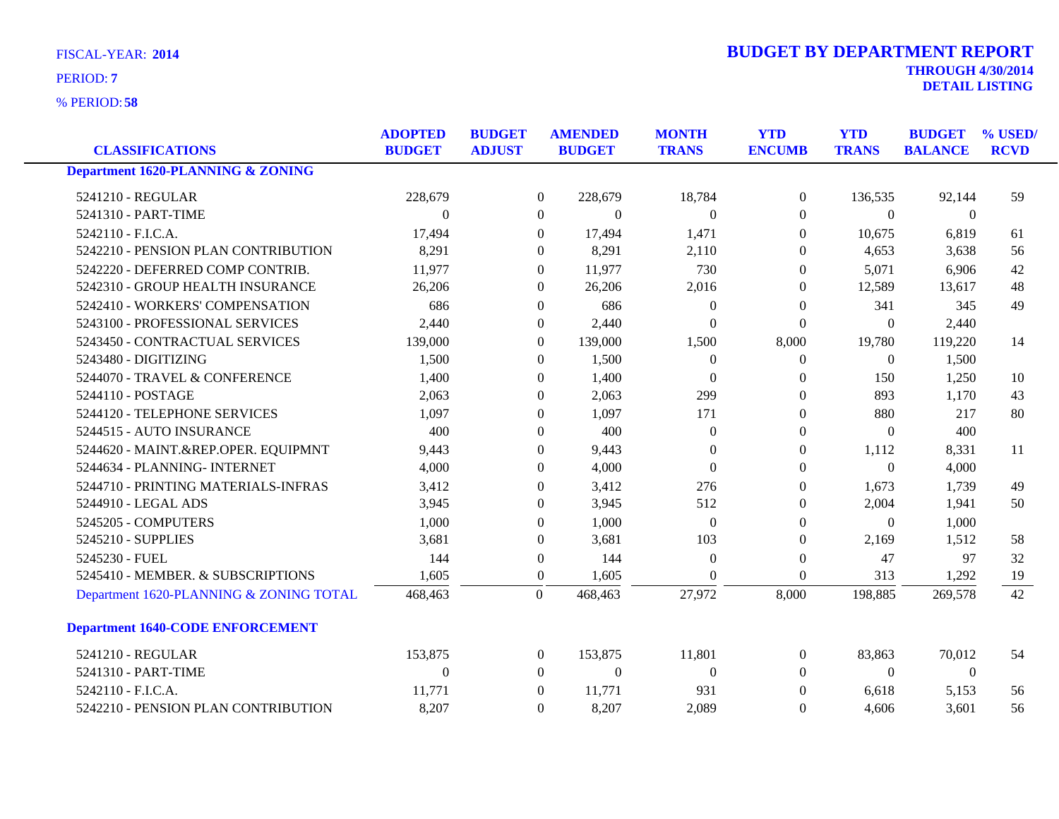**58** % PERIOD:

| <b>DETAIL LISTING</b> |  |  |
|-----------------------|--|--|
|                       |  |  |

| <b>CLASSIFICATIONS</b>                       | <b>ADOPTED</b><br><b>BUDGET</b> | <b>BUDGET</b><br><b>ADJUST</b> | <b>AMENDED</b><br><b>BUDGET</b> |              | <b>MONTH</b><br><b>TRANS</b> | <b>YTD</b><br><b>ENCUMB</b> | <b>YTD</b><br><b>TRANS</b> | <b>BUDGET</b><br><b>BALANCE</b> | % USED/<br><b>RCVD</b> |
|----------------------------------------------|---------------------------------|--------------------------------|---------------------------------|--------------|------------------------------|-----------------------------|----------------------------|---------------------------------|------------------------|
| <b>Department 1620-PLANNING &amp; ZONING</b> |                                 |                                |                                 |              |                              |                             |                            |                                 |                        |
| 5241210 - REGULAR                            | 228,679                         |                                | $\overline{0}$                  | 228,679      | 18,784                       | $\boldsymbol{0}$            | 136,535                    | 92,144                          | 59                     |
| 5241310 - PART-TIME                          | $\theta$                        |                                | $\Omega$                        | $\mathbf{0}$ | $\Omega$                     | $\Omega$                    | $\Omega$                   | $\overline{0}$                  |                        |
| 5242110 - F.I.C.A.                           | 17,494                          |                                | $\theta$                        | 17,494       | 1,471                        | $\mathbf{0}$                | 10,675                     | 6,819                           | 61                     |
| 5242210 - PENSION PLAN CONTRIBUTION          | 8,291                           |                                | $\Omega$                        | 8,291        | 2,110                        | $\Omega$                    | 4,653                      | 3,638                           | 56                     |
| 5242220 - DEFERRED COMP CONTRIB.             | 11,977                          |                                | $\Omega$                        | 11,977       | 730                          | $\mathbf{0}$                | 5,071                      | 6,906                           | 42                     |
| 5242310 - GROUP HEALTH INSURANCE             | 26,206                          |                                | $\Omega$                        | 26,206       | 2,016                        | $\Omega$                    | 12,589                     | 13,617                          | 48                     |
| 5242410 - WORKERS' COMPENSATION              | 686                             |                                | $\Omega$                        | 686          | $\Omega$                     | $\mathbf{0}$                | 341                        | 345                             | 49                     |
| 5243100 - PROFESSIONAL SERVICES              | 2,440                           |                                | $\Omega$                        | 2,440        | $\Omega$                     | $\theta$                    | $\mathbf{0}$               | 2,440                           |                        |
| 5243450 - CONTRACTUAL SERVICES               | 139,000                         |                                | $\overline{0}$                  | 139,000      | 1,500                        | 8,000                       | 19,780                     | 119,220                         | 14                     |
| 5243480 - DIGITIZING                         | 1,500                           |                                | $\theta$                        | 1,500        | $\theta$                     | $\boldsymbol{0}$            | $\boldsymbol{0}$           | 1,500                           |                        |
| 5244070 - TRAVEL & CONFERENCE                | 1,400                           |                                | 0                               | 1,400        | $\Omega$                     | $\Omega$                    | 150                        | 1,250                           | 10                     |
| 5244110 - POSTAGE                            | 2,063                           |                                | 0                               | 2,063        | 299                          | $\Omega$                    | 893                        | 1,170                           | 43                     |
| 5244120 - TELEPHONE SERVICES                 | 1,097                           |                                | $\Omega$                        | 1,097        | 171                          | $\mathbf{0}$                | 880                        | 217                             | 80                     |
| 5244515 - AUTO INSURANCE                     | 400                             |                                | $\Omega$                        | 400          | $\Omega$                     | $\Omega$                    | $\Omega$                   | 400                             |                        |
| 5244620 - MAINT.&REP.OPER. EQUIPMNT          | 9,443                           |                                | $\Omega$                        | 9,443        | $\Omega$                     | $\mathbf{0}$                | 1,112                      | 8,331                           | 11                     |
| 5244634 - PLANNING- INTERNET                 | 4,000                           |                                | $\Omega$                        | 4,000        | $\Omega$                     | $\Omega$                    | $\boldsymbol{0}$           | 4,000                           |                        |
| 5244710 - PRINTING MATERIALS-INFRAS          | 3,412                           |                                | $\theta$                        | 3,412        | 276                          | $\mathbf{0}$                | 1,673                      | 1,739                           | 49                     |
| 5244910 - LEGAL ADS                          | 3,945                           |                                | $\Omega$                        | 3,945        | 512                          | $\mathbf{0}$                | 2,004                      | 1,941                           | 50                     |
| 5245205 - COMPUTERS                          | 1,000                           |                                | 0                               | 1,000        | $\theta$                     | $\Omega$                    | $\Omega$                   | 1,000                           |                        |
| 5245210 - SUPPLIES                           | 3,681                           |                                | $\Omega$                        | 3,681        | 103                          | $\mathbf{0}$                | 2,169                      | 1,512                           | 58                     |
| 5245230 - FUEL                               | 144                             |                                | $\overline{0}$                  | 144          | $\mathbf{0}$                 | $\boldsymbol{0}$            | 47                         | 97                              | 32                     |
| 5245410 - MEMBER. & SUBSCRIPTIONS            | 1,605                           |                                | $\theta$                        | 1,605        | $\Omega$                     | $\mathbf{0}$                | 313                        | 1,292                           | 19                     |
| Department 1620-PLANNING & ZONING TOTAL      | 468,463                         |                                | $\mathbf{0}$                    | 468,463      | 27,972                       | 8,000                       | 198,885                    | 269,578                         | 42                     |
| <b>Department 1640-CODE ENFORCEMENT</b>      |                                 |                                |                                 |              |                              |                             |                            |                                 |                        |
| 5241210 - REGULAR                            | 153,875                         |                                | $\overline{0}$                  | 153,875      | 11,801                       | $\theta$                    | 83,863                     | 70,012                          | 54                     |
| 5241310 - PART-TIME                          | $\theta$                        |                                | $\Omega$                        | $\theta$     | $\Omega$                     | $\Omega$                    | $\theta$                   | $\overline{0}$                  |                        |
| 5242110 - F.I.C.A.                           | 11,771                          |                                | $\Omega$                        | 11,771       | 931                          | $\theta$                    | 6,618                      | 5,153                           | 56                     |
| 5242210 - PENSION PLAN CONTRIBUTION          | 8,207                           |                                | $\theta$                        | 8,207        | 2,089                        | $\mathbf{0}$                | 4,606                      | 3,601                           | 56                     |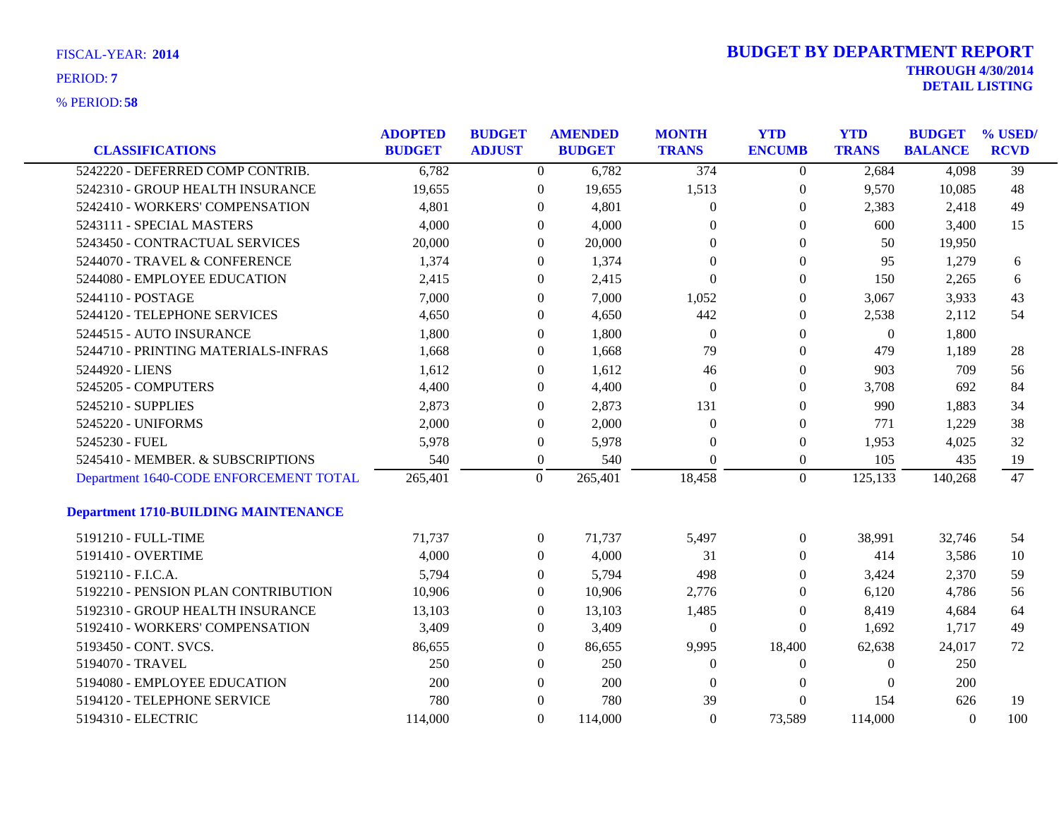| <b>FISCAL-YEAR: 2014</b> |  |
|--------------------------|--|
|                          |  |

| <b>CLASSIFICATIONS</b>                      | <b>ADOPTED</b><br><b>BUDGET</b> | <b>BUDGET</b><br><b>ADJUST</b> | <b>AMENDED</b><br><b>BUDGET</b> | <b>MONTH</b><br><b>TRANS</b> | <b>YTD</b><br><b>ENCUMB</b> | <b>YTD</b><br><b>TRANS</b> | <b>BUDGET</b><br><b>BALANCE</b> | % USED/<br><b>RCVD</b> |
|---------------------------------------------|---------------------------------|--------------------------------|---------------------------------|------------------------------|-----------------------------|----------------------------|---------------------------------|------------------------|
| 5242220 - DEFERRED COMP CONTRIB.            | 6,782                           |                                | 6,782<br>$\overline{0}$         | 374                          | $\overline{0}$              | 2,684                      | 4,098                           | $\overline{39}$        |
| 5242310 - GROUP HEALTH INSURANCE            | 19,655                          | $\mathbf{0}$                   | 19,655                          | 1,513                        | $\mathbf{0}$                | 9,570                      | 10,085                          | 48                     |
| 5242410 - WORKERS' COMPENSATION             | 4,801                           | $\overline{0}$                 | 4,801                           | $\theta$                     | $\overline{0}$              | 2,383                      | 2,418                           | 49                     |
| 5243111 - SPECIAL MASTERS                   | 4,000                           | $\Omega$                       | 4,000                           | $\Omega$                     | $\overline{0}$              | 600                        | 3,400                           | 15                     |
| 5243450 - CONTRACTUAL SERVICES              | 20,000                          | $\Omega$                       | 20,000                          | $\Omega$                     | $\overline{0}$              | 50                         | 19,950                          |                        |
| 5244070 - TRAVEL & CONFERENCE               | 1,374                           | $\overline{0}$                 | 1,374                           | $\theta$                     | 0                           | 95                         | 1,279                           | 6                      |
| 5244080 - EMPLOYEE EDUCATION                | 2,415                           | $\overline{0}$                 | 2,415                           | $\Omega$                     | $\overline{0}$              | 150                        | 2,265                           | 6                      |
| 5244110 - POSTAGE                           | 7,000                           | $\theta$                       | 7,000                           | 1,052                        | $\overline{0}$              | 3,067                      | 3,933                           | 43                     |
| 5244120 - TELEPHONE SERVICES                | 4,650                           | $\theta$                       | 4,650                           | 442                          | $\overline{0}$              | 2,538                      | 2,112                           | 54                     |
| 5244515 - AUTO INSURANCE                    | 1,800                           | $\mathbf{0}$                   | 1,800                           | $\overline{0}$               | 0                           | $\boldsymbol{0}$           | 1,800                           |                        |
| 5244710 - PRINTING MATERIALS-INFRAS         | 1,668                           | $\overline{0}$                 | 1,668                           | 79                           | 0                           | 479                        | 1,189                           | 28                     |
| 5244920 - LIENS                             | 1,612                           | $\overline{0}$                 | 1,612                           | 46                           | 0                           | 903                        | 709                             | 56                     |
| 5245205 - COMPUTERS                         | 4,400                           | $\Omega$                       | 4,400                           | $\Omega$                     | $\overline{0}$              | 3,708                      | 692                             | 84                     |
| 5245210 - SUPPLIES                          | 2,873                           | $\mathbf{0}$                   | 2,873                           | 131                          | $\overline{0}$              | 990                        | 1,883                           | 34                     |
| 5245220 - UNIFORMS                          | 2,000                           | $\theta$                       | 2,000                           | $\overline{0}$               | 0                           | 771                        | 1,229                           | 38                     |
| 5245230 - FUEL                              | 5,978                           | $\theta$                       | 5,978                           | $\Omega$                     | $\mathbf{0}$                | 1,953                      | 4,025                           | 32                     |
| 5245410 - MEMBER. & SUBSCRIPTIONS           | 540                             | $\overline{0}$                 | 540                             | $\Omega$                     | $\mathbf{0}$                | 105                        | 435                             | 19                     |
| Department 1640-CODE ENFORCEMENT TOTAL      | 265,401                         | $\overline{0}$                 | 265,401                         | 18,458                       | $\overline{0}$              | 125,133                    | 140,268                         | 47                     |
| <b>Department 1710-BUILDING MAINTENANCE</b> |                                 |                                |                                 |                              |                             |                            |                                 |                        |
| 5191210 - FULL-TIME                         | 71,737                          | $\overline{0}$                 | 71,737                          | 5,497                        | $\overline{0}$              | 38,991                     | 32,746                          | 54                     |
| 5191410 - OVERTIME                          | 4,000                           | $\Omega$                       | 4,000                           | 31                           | $\overline{0}$              | 414                        | 3,586                           | 10                     |
| 5192110 - F.I.C.A.                          | 5,794                           | $\overline{0}$                 | 5,794                           | 498                          | 0                           | 3,424                      | 2,370                           | 59                     |
| 5192210 - PENSION PLAN CONTRIBUTION         | 10,906                          | $\overline{0}$                 | 10,906                          | 2,776                        | $\Omega$                    | 6,120                      | 4,786                           | 56                     |
| 5192310 - GROUP HEALTH INSURANCE            | 13,103                          | $\Omega$                       | 13,103                          | 1,485                        | $\Omega$                    | 8,419                      | 4,684                           | 64                     |
| 5192410 - WORKERS' COMPENSATION             | 3,409                           | $\Omega$                       | 3,409                           | $\mathbf{0}$                 | $\Omega$                    | 1,692                      | 1,717                           | 49                     |
| 5193450 - CONT. SVCS.                       | 86,655                          | $\overline{0}$                 | 86,655                          | 9,995                        | 18,400                      | 62,638                     | 24,017                          | 72                     |
| 5194070 - TRAVEL                            | 250                             | $\overline{0}$                 | 250                             | $\theta$                     | $\overline{0}$              | $\Omega$                   | 250                             |                        |
| 5194080 - EMPLOYEE EDUCATION                | 200                             | $\Omega$                       | 200                             | $\Omega$                     | $\theta$                    | $\Omega$                   | 200                             |                        |
| 5194120 - TELEPHONE SERVICE                 | 780                             | $\Omega$                       | 780                             | 39                           | $\Omega$                    | 154                        | 626                             | 19                     |
| 5194310 - ELECTRIC                          | 114,000                         | $\Omega$                       | 114,000                         | $\Omega$                     | 73,589                      | 114,000                    | $\Omega$                        | 100                    |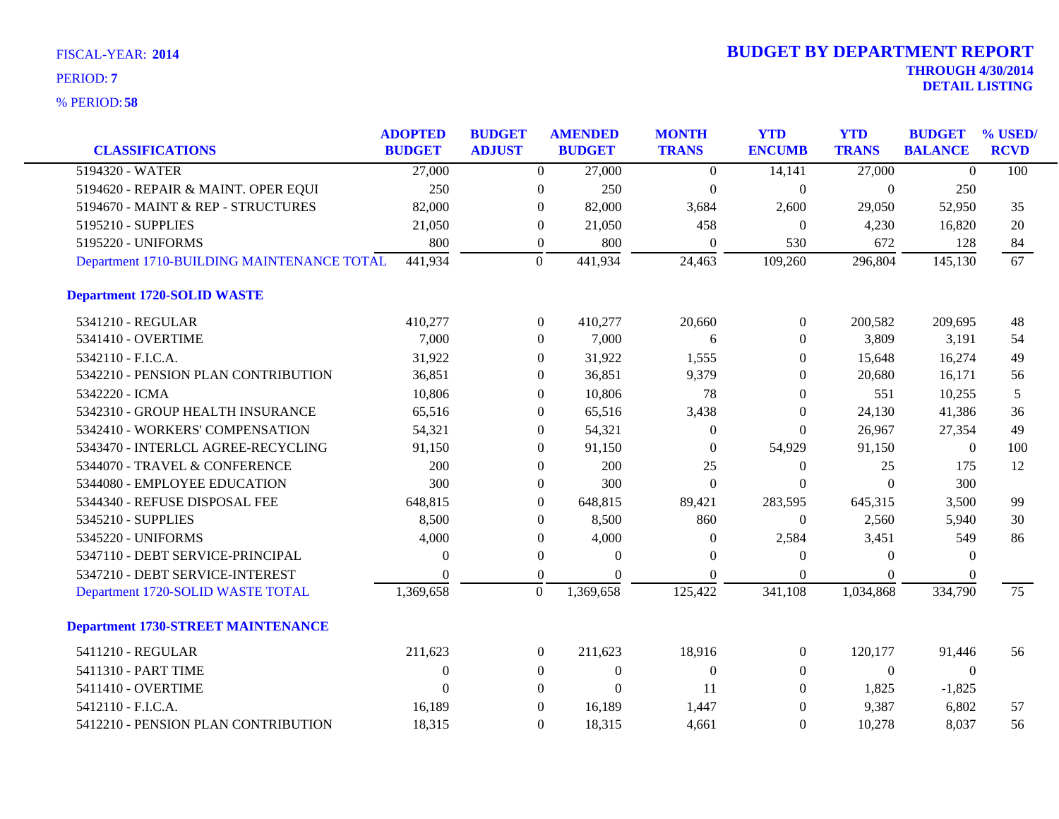| <b>CLASSIFICATIONS</b>                     | <b>ADOPTED</b><br><b>BUDGET</b> | <b>BUDGET</b><br><b>ADJUST</b> | <b>AMENDED</b><br><b>BUDGET</b> | <b>MONTH</b><br><b>TRANS</b> | <b>YTD</b><br><b>ENCUMB</b> | <b>YTD</b><br><b>TRANS</b> | <b>BUDGET</b><br><b>BALANCE</b> | % USED/<br><b>RCVD</b> |
|--------------------------------------------|---------------------------------|--------------------------------|---------------------------------|------------------------------|-----------------------------|----------------------------|---------------------------------|------------------------|
| 5194320 - WATER                            | 27,000                          | $\overline{0}$                 | 27,000                          | $\boldsymbol{0}$             | 14,141                      | 27,000                     | $\Omega$                        | 100                    |
| 5194620 - REPAIR & MAINT. OPER EQUI        | 250                             | $\boldsymbol{0}$               | 250                             | $\theta$                     | $\boldsymbol{0}$            | $\theta$                   | 250                             |                        |
| 5194670 - MAINT & REP - STRUCTURES         | 82,000                          | $\overline{0}$                 | 82,000                          | 3,684                        | 2,600                       | 29,050                     | 52,950                          | 35                     |
| 5195210 - SUPPLIES                         | 21,050                          | $\overline{0}$                 | 21,050                          | 458                          | $\overline{0}$              | 4,230                      | 16,820                          | 20                     |
| 5195220 - UNIFORMS                         | 800                             | $\overline{0}$                 | 800                             | $\theta$                     | 530                         | 672                        | 128                             | 84                     |
| Department 1710-BUILDING MAINTENANCE TOTAL | 441,934                         | $\overline{0}$                 | 441,934                         | 24,463                       | 109,260                     | 296,804                    | 145,130                         | 67                     |
| <b>Department 1720-SOLID WASTE</b>         |                                 |                                |                                 |                              |                             |                            |                                 |                        |
| 5341210 - REGULAR                          | 410,277                         | $\overline{0}$                 | 410,277                         | 20,660                       | $\boldsymbol{0}$            | 200,582                    | 209,695                         | 48                     |
| 5341410 - OVERTIME                         | 7,000                           | $\overline{0}$                 | 7,000                           | 6                            | $\overline{0}$              | 3,809                      | 3,191                           | 54                     |
| 5342110 - F.I.C.A.                         | 31,922                          | $\overline{0}$                 | 31,922                          | 1,555                        | $\Omega$                    | 15,648                     | 16,274                          | 49                     |
| 5342210 - PENSION PLAN CONTRIBUTION        | 36,851                          | $\boldsymbol{0}$               | 36,851                          | 9,379                        | $\theta$                    | 20,680                     | 16,171                          | 56                     |
| 5342220 - ICMA                             | 10,806                          | $\overline{0}$                 | 10,806                          | 78                           | $\overline{0}$              | 551                        | 10,255                          | 5                      |
| 5342310 - GROUP HEALTH INSURANCE           | 65,516                          | $\Omega$                       | 65,516                          | 3,438                        | $\theta$                    | 24,130                     | 41,386                          | 36                     |
| 5342410 - WORKERS' COMPENSATION            | 54,321                          | $\boldsymbol{0}$               | 54,321                          | $\theta$                     | $\Omega$                    | 26,967                     | 27,354                          | 49                     |
| 5343470 - INTERLCL AGREE-RECYCLING         | 91,150                          | $\overline{0}$                 | 91,150                          | $\theta$                     | 54,929                      | 91,150                     | $\boldsymbol{0}$                | 100                    |
| 5344070 - TRAVEL & CONFERENCE              | 200                             | $\overline{0}$                 | 200                             | 25                           | $\boldsymbol{0}$            | 25                         | 175                             | 12                     |
| 5344080 - EMPLOYEE EDUCATION               | 300                             | 0                              | 300                             | $\boldsymbol{0}$             | $\boldsymbol{0}$            | $\Omega$                   | 300                             |                        |
| 5344340 - REFUSE DISPOSAL FEE              | 648,815                         | $\overline{0}$                 | 648,815                         | 89,421                       | 283,595                     | 645,315                    | 3,500                           | 99                     |
| 5345210 - SUPPLIES                         | 8,500                           | $\overline{0}$                 | 8,500                           | 860                          | $\Omega$                    | 2,560                      | 5,940                           | 30                     |
| 5345220 - UNIFORMS                         | 4,000                           | $\boldsymbol{0}$               | 4,000                           | $\theta$                     | 2,584                       | 3,451                      | 549                             | 86                     |
| 5347110 - DEBT SERVICE-PRINCIPAL           | $\Omega$                        | $\boldsymbol{0}$               | $\theta$                        | $\Omega$                     | $\overline{0}$              | $\Omega$                   | $\theta$                        |                        |
| 5347210 - DEBT SERVICE-INTEREST            | $\Omega$                        | $\overline{0}$                 | $\Omega$                        | $\Omega$                     | $\Omega$                    | $\Omega$                   | $\theta$                        |                        |
| Department 1720-SOLID WASTE TOTAL          | 1,369,658                       | $\mathbf{0}$                   | 1,369,658                       | 125,422                      | 341,108                     | 1,034,868                  | 334,790                         | 75                     |
| <b>Department 1730-STREET MAINTENANCE</b>  |                                 |                                |                                 |                              |                             |                            |                                 |                        |
| 5411210 - REGULAR                          | 211,623                         | $\overline{0}$                 | 211,623                         | 18,916                       | $\overline{0}$              | 120,177                    | 91,446                          | 56                     |
| 5411310 - PART TIME                        | $\theta$                        | $\overline{0}$                 | $\mathbf{0}$                    | $\Omega$                     | $\overline{0}$              | $\Omega$                   | $\Omega$                        |                        |
| 5411410 - OVERTIME                         | $\theta$                        | $\overline{0}$                 | $\mathbf{0}$                    | 11                           | $\overline{0}$              | 1,825                      | $-1,825$                        |                        |
| 5412110 - F.I.C.A.                         | 16,189                          | $\overline{0}$                 | 16,189                          | 1,447                        | $\overline{0}$              | 9,387                      | 6,802                           | 57                     |
| 5412210 - PENSION PLAN CONTRIBUTION        | 18,315                          | $\Omega$                       | 18,315                          | 4,661                        | $\theta$                    | 10,278                     | 8,037                           | 56                     |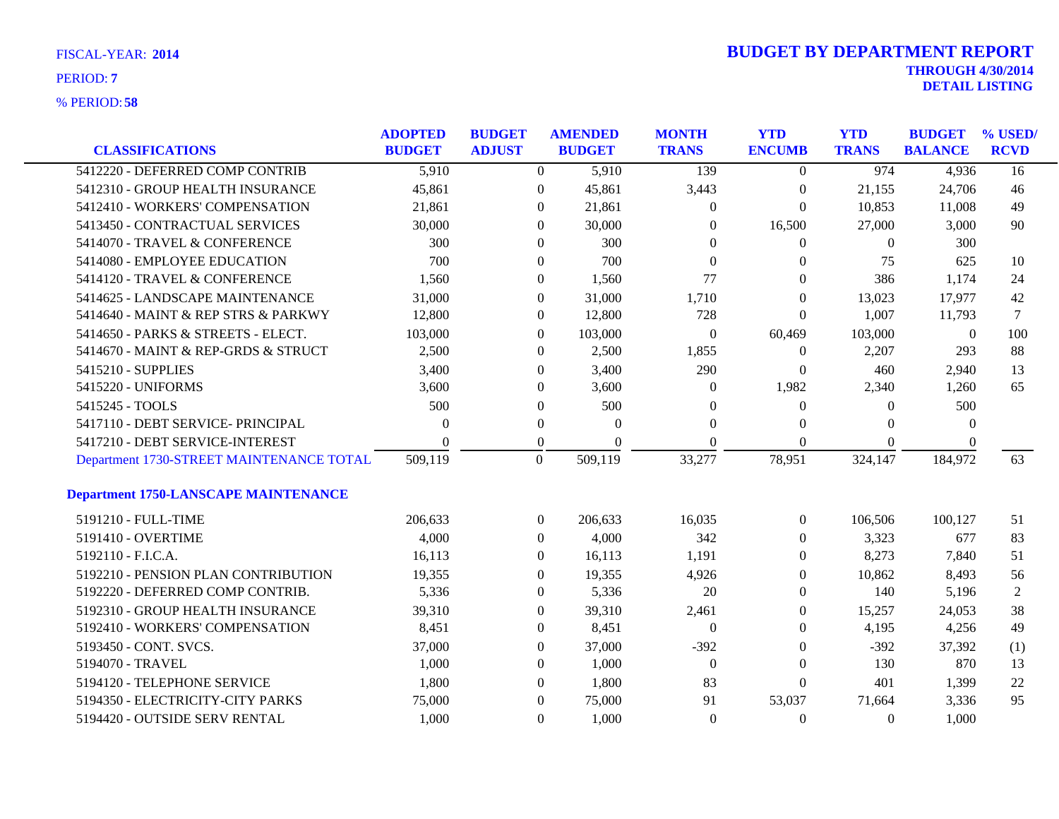| FISCAL-YEAR: 2014 |  |
|-------------------|--|
| PERIOD: 7         |  |

| <b>CLASSIFICATIONS</b>                      | <b>ADOPTED</b><br><b>BUDGET</b> | <b>BUDGET</b><br><b>ADJUST</b> | <b>AMENDED</b><br><b>BUDGET</b> |          | <b>MONTH</b><br><b>TRANS</b> | <b>YTD</b><br><b>ENCUMB</b> | <b>YTD</b><br><b>TRANS</b> | <b>BUDGET</b><br><b>BALANCE</b> | % USED/<br><b>RCVD</b> |
|---------------------------------------------|---------------------------------|--------------------------------|---------------------------------|----------|------------------------------|-----------------------------|----------------------------|---------------------------------|------------------------|
| 5412220 - DEFERRED COMP CONTRIB             | 5,910                           |                                | $\overline{0}$                  | 5,910    | 139                          | $\overline{0}$              | 974                        | 4,936                           | 16                     |
| 5412310 - GROUP HEALTH INSURANCE            | 45,861                          |                                | $\mathbf{0}$                    | 45,861   | 3,443                        | $\boldsymbol{0}$            | 21,155                     | 24,706                          | 46                     |
| 5412410 - WORKERS' COMPENSATION             | 21,861                          |                                | $\overline{0}$                  | 21,861   | $\theta$                     | $\boldsymbol{0}$            | 10,853                     | 11,008                          | 49                     |
| 5413450 - CONTRACTUAL SERVICES              | 30,000                          |                                | $\Omega$                        | 30,000   | $\theta$                     | 16,500                      | 27,000                     | 3,000                           | 90                     |
| 5414070 - TRAVEL & CONFERENCE               | 300                             |                                | $\Omega$                        | 300      | $\Omega$                     | $\overline{0}$              | $\theta$                   | 300                             |                        |
| 5414080 - EMPLOYEE EDUCATION                | 700                             |                                | $\overline{0}$                  | 700      | $\overline{0}$               | 0                           | 75                         | 625                             | 10                     |
| 5414120 - TRAVEL & CONFERENCE               | 1,560                           |                                | $\overline{0}$                  | 1,560    | 77                           | 0                           | 386                        | 1,174                           | 24                     |
| 5414625 - LANDSCAPE MAINTENANCE             | 31,000                          |                                | $\overline{0}$                  | 31,000   | 1,710                        | $\overline{0}$              | 13,023                     | 17,977                          | 42                     |
| 5414640 - MAINT & REP STRS & PARKWY         | 12,800                          |                                | $\overline{0}$                  | 12,800   | 728                          | $\theta$                    | 1,007                      | 11,793                          | 7                      |
| 5414650 - PARKS & STREETS - ELECT.          | 103,000                         |                                | $\overline{0}$                  | 103,000  | $\mathbf{0}$                 | 60,469                      | 103,000                    | $\boldsymbol{0}$                | 100                    |
| 5414670 - MAINT & REP-GRDS & STRUCT         | 2,500                           |                                | $\overline{0}$                  | 2,500    | 1,855                        | $\boldsymbol{0}$            | 2,207                      | 293                             | 88                     |
| 5415210 - SUPPLIES                          | 3,400                           |                                | $\overline{0}$                  | 3,400    | 290                          | $\overline{0}$              | 460                        | 2,940                           | 13                     |
| 5415220 - UNIFORMS                          | 3,600                           | $\theta$                       |                                 | 3,600    | $\theta$                     | 1,982                       | 2,340                      | 1,260                           | 65                     |
| 5415245 - TOOLS                             | 500                             |                                | $\overline{0}$                  | 500      | $\theta$                     | $\boldsymbol{0}$            | $\theta$                   | 500                             |                        |
| 5417110 - DEBT SERVICE- PRINCIPAL           | $\theta$                        |                                | $\overline{0}$                  | $\Omega$ | $\Omega$                     | 0                           | $\Omega$                   | $\Omega$                        |                        |
| 5417210 - DEBT SERVICE-INTEREST             | 0                               |                                | $\boldsymbol{0}$                | $\Omega$ | $\Omega$                     | $\theta$                    | $\Omega$                   | $\theta$                        |                        |
| Department 1730-STREET MAINTENANCE TOTAL    | 509,119                         | $\overline{0}$                 |                                 | 509,119  | 33,277                       | 78,951                      | 324,147                    | 184,972                         | 63                     |
| <b>Department 1750-LANSCAPE MAINTENANCE</b> |                                 |                                |                                 |          |                              |                             |                            |                                 |                        |
| 5191210 - FULL-TIME                         | 206,633                         |                                | $\overline{0}$                  | 206,633  | 16,035                       | $\overline{0}$              | 106,506                    | 100,127                         | 51                     |
| 5191410 - OVERTIME                          | 4,000                           |                                | $\overline{0}$                  | 4,000    | 342                          | 0                           | 3,323                      | 677                             | 83                     |
| 5192110 - F.I.C.A.                          | 16,113                          |                                | $\overline{0}$                  | 16,113   | 1,191                        | 0                           | 8,273                      | 7,840                           | 51                     |
| 5192210 - PENSION PLAN CONTRIBUTION         | 19,355                          |                                | $\boldsymbol{0}$                | 19,355   | 4,926                        | 0                           | 10,862                     | 8,493                           | 56                     |
| 5192220 - DEFERRED COMP CONTRIB.            | 5,336                           |                                | $\overline{0}$                  | 5,336    | 20                           | 0                           | 140                        | 5,196                           | $\overline{2}$         |
| 5192310 - GROUP HEALTH INSURANCE            | 39,310                          |                                | $\overline{0}$                  | 39,310   | 2,461                        | 0                           | 15,257                     | 24,053                          | 38                     |
| 5192410 - WORKERS' COMPENSATION             | 8,451                           |                                | $\overline{0}$                  | 8,451    | $\overline{0}$               | $\theta$                    | 4,195                      | 4,256                           | 49                     |
| 5193450 - CONT. SVCS.                       | 37,000                          |                                | $\boldsymbol{0}$                | 37,000   | $-392$                       | $\theta$                    | $-392$                     | 37,392                          | (1)                    |
| 5194070 - TRAVEL                            | 1,000                           |                                | $\overline{0}$                  | 1,000    | $\overline{0}$               | 0                           | 130                        | 870                             | 13                     |
| 5194120 - TELEPHONE SERVICE                 | 1,800                           |                                | $\overline{0}$                  | 1,800    | 83                           | $\overline{0}$              | 401                        | 1,399                           | 22                     |
| 5194350 - ELECTRICITY-CITY PARKS            | 75,000                          | $\theta$                       |                                 | 75,000   | 91                           | 53,037                      | 71,664                     | 3,336                           | 95                     |
| 5194420 - OUTSIDE SERV RENTAL               | 1,000                           |                                | $\Omega$                        | 1,000    | $\theta$                     | $\Omega$                    | $\Omega$                   | 1,000                           |                        |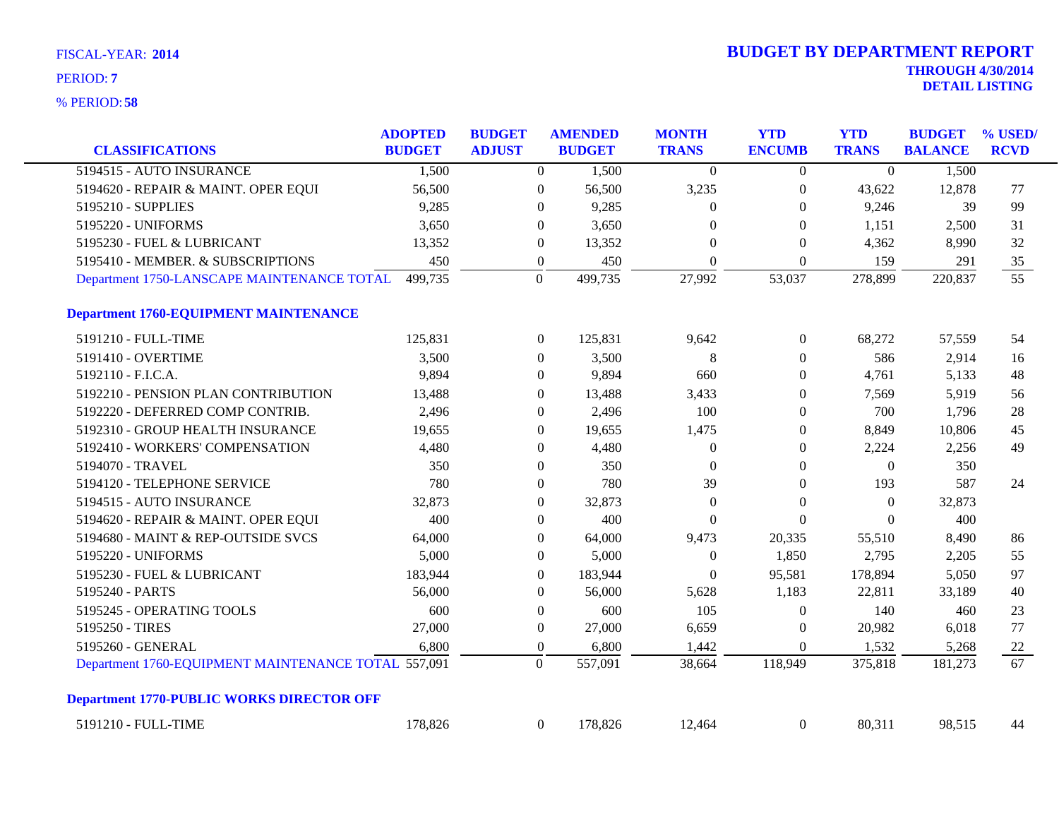| <b>CLASSIFICATIONS</b>                              | <b>ADOPTED</b><br><b>BUDGET</b> | <b>BUDGET</b><br><b>ADJUST</b> |                  | <b>AMENDED</b><br><b>BUDGET</b> | <b>MONTH</b><br><b>TRANS</b> | <b>YTD</b><br><b>ENCUMB</b> | <b>YTD</b><br><b>TRANS</b> | <b>BUDGET</b><br><b>BALANCE</b> | % USED/<br><b>RCVD</b> |
|-----------------------------------------------------|---------------------------------|--------------------------------|------------------|---------------------------------|------------------------------|-----------------------------|----------------------------|---------------------------------|------------------------|
| 5194515 - AUTO INSURANCE                            | 1,500                           |                                | $\overline{0}$   | 1,500                           | $\theta$                     | $\overline{0}$              | $\Omega$                   | 1,500                           |                        |
| 5194620 - REPAIR & MAINT. OPER EQUI                 | 56,500                          |                                | $\boldsymbol{0}$ | 56,500                          | 3,235                        | $\boldsymbol{0}$            | 43,622                     | 12,878                          | 77                     |
| 5195210 - SUPPLIES                                  | 9,285                           |                                | $\overline{0}$   | 9,285                           | $\theta$                     | $\overline{0}$              | 9,246                      | 39                              | 99                     |
| 5195220 - UNIFORMS                                  | 3,650                           |                                | $\overline{0}$   | 3,650                           | $\Omega$                     | $\overline{0}$              | 1,151                      | 2,500                           | 31                     |
| 5195230 - FUEL & LUBRICANT                          | 13,352                          |                                | $\overline{0}$   | 13,352                          | $\Omega$                     | $\Omega$                    | 4,362                      | 8,990                           | 32                     |
| 5195410 - MEMBER. & SUBSCRIPTIONS                   | 450                             |                                | $\boldsymbol{0}$ | 450                             | $\boldsymbol{0}$             | $\overline{0}$              | 159                        | 291                             | $35\,$                 |
| Department 1750-LANSCAPE MAINTENANCE TOTAL          | 499,735                         |                                | $\Omega$         | 499,735                         | 27,992                       | 53,037                      | 278,899                    | 220,837                         | $\overline{55}$        |
| <b>Department 1760-EQUIPMENT MAINTENANCE</b>        |                                 |                                |                  |                                 |                              |                             |                            |                                 |                        |
| 5191210 - FULL-TIME                                 | 125,831                         |                                | $\overline{0}$   | 125,831                         | 9,642                        | $\overline{0}$              | 68,272                     | 57,559                          | 54                     |
| 5191410 - OVERTIME                                  | 3,500                           |                                | $\overline{0}$   | 3,500                           | $\,8\,$                      | $\boldsymbol{0}$            | 586                        | 2,914                           | 16                     |
| 5192110 - F.I.C.A.                                  | 9,894                           |                                | $\overline{0}$   | 9,894                           | 660                          | $\overline{0}$              | 4,761                      | 5,133                           | 48                     |
| 5192210 - PENSION PLAN CONTRIBUTION                 | 13,488                          |                                | $\overline{0}$   | 13,488                          | 3,433                        | $\boldsymbol{0}$            | 7,569                      | 5,919                           | 56                     |
| 5192220 - DEFERRED COMP CONTRIB.                    | 2,496                           |                                | $\theta$         | 2,496                           | 100                          | $\overline{0}$              | 700                        | 1,796                           | 28                     |
| 5192310 - GROUP HEALTH INSURANCE                    | 19,655                          |                                | $\overline{0}$   | 19,655                          | 1,475                        | $\boldsymbol{0}$            | 8,849                      | 10,806                          | 45                     |
| 5192410 - WORKERS' COMPENSATION                     | 4,480                           |                                | $\overline{0}$   | 4,480                           | $\overline{0}$               | $\theta$                    | 2,224                      | 2,256                           | 49                     |
| 5194070 - TRAVEL                                    | 350                             |                                | $\boldsymbol{0}$ | 350                             | $\boldsymbol{0}$             | $\boldsymbol{0}$            | $\overline{0}$             | 350                             |                        |
| 5194120 - TELEPHONE SERVICE                         | 780                             |                                | $\overline{0}$   | 780                             | 39                           | $\theta$                    | 193                        | 587                             | 24                     |
| 5194515 - AUTO INSURANCE                            | 32,873                          |                                | $\overline{0}$   | 32,873                          | $\overline{0}$               | $\boldsymbol{0}$            | $\overline{0}$             | 32,873                          |                        |
| 5194620 - REPAIR & MAINT. OPER EQUI                 | 400                             |                                | $\overline{0}$   | 400                             | $\Omega$                     | $\theta$                    | $\Omega$                   | 400                             |                        |
| 5194680 - MAINT & REP-OUTSIDE SVCS                  | 64,000                          |                                | $\overline{0}$   | 64,000                          | 9,473                        | 20,335                      | 55,510                     | 8,490                           | 86                     |
| 5195220 - UNIFORMS                                  | 5,000                           |                                | $\overline{0}$   | 5,000                           | $\overline{0}$               | 1,850                       | 2,795                      | 2,205                           | 55                     |
| 5195230 - FUEL & LUBRICANT                          | 183,944                         |                                | $\overline{0}$   | 183,944                         | $\overline{0}$               | 95,581                      | 178,894                    | 5,050                           | 97                     |
| 5195240 - PARTS                                     | 56,000                          |                                | $\Omega$         | 56,000                          | 5,628                        | 1,183                       | 22,811                     | 33,189                          | 40                     |
| 5195245 - OPERATING TOOLS                           | 600                             |                                | $\overline{0}$   | 600                             | 105                          | $\boldsymbol{0}$            | 140                        | 460                             | 23                     |
| 5195250 - TIRES                                     | 27,000                          |                                | $\boldsymbol{0}$ | 27,000                          | 6,659                        | $\boldsymbol{0}$            | 20,982                     | 6,018                           | 77                     |
| 5195260 - GENERAL                                   | 6,800                           |                                | $\overline{0}$   | 6,800                           | 1,442                        | $\theta$                    | 1,532                      | 5,268                           | <b>22</b>              |
| Department 1760-EQUIPMENT MAINTENANCE TOTAL 557,091 |                                 |                                | $\overline{0}$   | 557,091                         | 38,664                       | 118,949                     | 375,818                    | 181,273                         | $\overline{67}$        |
| <b>Department 1770-PUBLIC WORKS DIRECTOR OFF</b>    |                                 |                                |                  |                                 |                              |                             |                            |                                 |                        |
| 5191210 - FULL-TIME                                 | 178,826                         |                                | $\overline{0}$   | 178,826                         | 12,464                       | $\mathbf{0}$                | 80,311                     | 98,515                          | 44                     |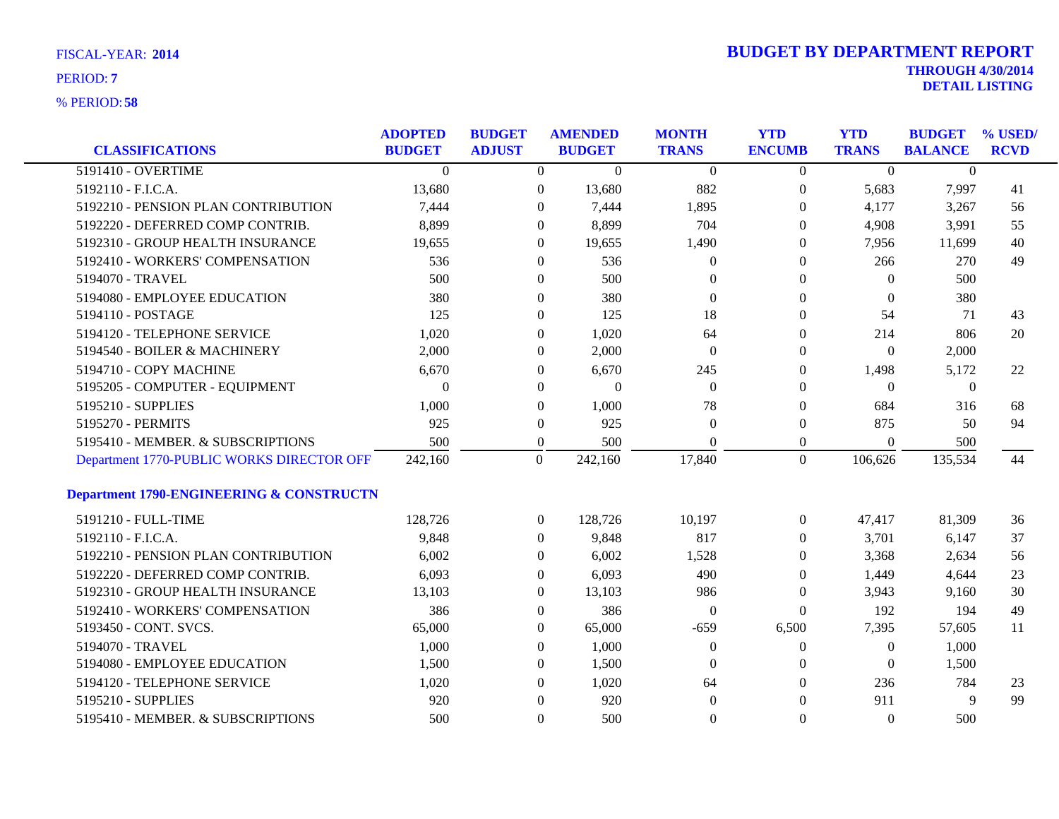| <b>CLASSIFICATIONS</b>                    | <b>ADOPTED</b><br><b>BUDGET</b> | <b>BUDGET</b><br><b>ADJUST</b> | <b>AMENDED</b><br><b>BUDGET</b> | <b>MONTH</b><br><b>TRANS</b> | <b>YTD</b><br><b>ENCUMB</b> | <b>YTD</b><br><b>TRANS</b> | <b>BUDGET</b><br><b>BALANCE</b> | % USED/<br><b>RCVD</b> |
|-------------------------------------------|---------------------------------|--------------------------------|---------------------------------|------------------------------|-----------------------------|----------------------------|---------------------------------|------------------------|
| 5191410 - OVERTIME                        | $\Omega$                        | $\overline{0}$                 | $\overline{0}$                  | $\theta$                     | $\overline{0}$              | $\Omega$                   | $\Omega$                        |                        |
| 5192110 - F.I.C.A.                        | 13,680                          | $\mathbf{0}$                   | 13,680                          | 882                          | $\boldsymbol{0}$            | 5,683                      | 7,997                           | 41                     |
| 5192210 - PENSION PLAN CONTRIBUTION       | 7,444                           | $\theta$                       | 7,444                           | 1,895                        | $\overline{0}$              | 4,177                      | 3,267                           | 56                     |
| 5192220 - DEFERRED COMP CONTRIB.          | 8,899                           | $\Omega$                       | 8,899                           | 704                          | $\overline{0}$              | 4,908                      | 3,991                           | 55                     |
| 5192310 - GROUP HEALTH INSURANCE          | 19,655                          | $\theta$                       | 19,655                          | 1,490                        | $\theta$                    | 7,956                      | 11,699                          | 40                     |
| 5192410 - WORKERS' COMPENSATION           | 536                             | $\theta$                       | 536                             | $\theta$                     | 0                           | 266                        | 270                             | 49                     |
| 5194070 - TRAVEL                          | 500                             | $\overline{0}$                 | 500                             | $\Omega$                     | 0                           | $\Omega$                   | 500                             |                        |
| 5194080 - EMPLOYEE EDUCATION              | 380                             | $\theta$                       | 380                             | $\Omega$                     | $\overline{0}$              | $\mathbf{0}$               | 380                             |                        |
| 5194110 - POSTAGE                         | 125                             | $\mathbf{0}$                   | 125                             | 18                           | $\overline{0}$              | 54                         | 71                              | 43                     |
| 5194120 - TELEPHONE SERVICE               | 1,020                           | $\theta$                       | 1,020                           | 64                           | $\theta$                    | 214                        | 806                             | 20                     |
| 5194540 - BOILER & MACHINERY              | 2,000                           | $\theta$                       | 2,000                           | $\overline{0}$               | $\theta$                    | $\mathbf{0}$               | 2,000                           |                        |
| 5194710 - COPY MACHINE                    | 6,670                           | $\theta$                       | 6,670                           | 245                          | $\overline{0}$              | 1,498                      | 5,172                           | 22                     |
| 5195205 - COMPUTER - EQUIPMENT            | $\Omega$                        | $\mathbf{0}$                   | $\mathbf{0}$                    | $\overline{0}$               | $\theta$                    | $\theta$                   | $\overline{0}$                  |                        |
| 5195210 - SUPPLIES                        | 1,000                           | $\theta$                       | 1,000                           | 78                           | $\theta$                    | 684                        | 316                             | 68                     |
| 5195270 - PERMITS                         | 925                             | $\overline{0}$                 | 925                             | $\theta$                     | $\overline{0}$              | 875                        | 50                              | 94                     |
| 5195410 - MEMBER. & SUBSCRIPTIONS         | 500                             | $\mathbf{0}$                   | 500                             | $\theta$                     | $\overline{0}$              | $\theta$                   | 500                             |                        |
| Department 1770-PUBLIC WORKS DIRECTOR OFF | 242,160                         | $\overline{0}$                 | 242,160                         | 17,840                       | $\overline{0}$              | 106,626                    | 135,534                         | 44                     |
| Department 1790-ENGINEERING & CONSTRUCTN  |                                 |                                |                                 |                              |                             |                            |                                 |                        |
| 5191210 - FULL-TIME                       | 128,726                         | $\overline{0}$                 | 128,726                         | 10,197                       | $\overline{0}$              | 47,417                     | 81,309                          | 36                     |
| 5192110 - F.I.C.A.                        | 9,848                           | $\theta$                       | 9,848                           | 817                          | $\overline{0}$              | 3,701                      | 6,147                           | 37                     |
| 5192210 - PENSION PLAN CONTRIBUTION       | 6,002                           | $\theta$                       | 6,002                           | 1,528                        | 0                           | 3,368                      | 2,634                           | 56                     |
| 5192220 - DEFERRED COMP CONTRIB.          | 6,093                           | $\overline{0}$                 | 6,093                           | 490                          | 0                           | 1,449                      | 4,644                           | 23                     |
| 5192310 - GROUP HEALTH INSURANCE          | 13,103                          | $\overline{0}$                 | 13,103                          | 986                          | $\overline{0}$              | 3,943                      | 9,160                           | 30                     |
| 5192410 - WORKERS' COMPENSATION           | 386                             | $\overline{0}$                 | 386                             | $\overline{0}$               | $\mathbf{0}$                | 192                        | 194                             | 49                     |
| 5193450 - CONT. SVCS.                     | 65,000                          | $\overline{0}$                 | 65,000                          | $-659$                       | 6,500                       | 7,395                      | 57,605                          | 11                     |
| 5194070 - TRAVEL                          | 1,000                           | $\overline{0}$                 | 1,000                           | $\boldsymbol{0}$             | $\boldsymbol{0}$            | $\boldsymbol{0}$           | 1,000                           |                        |
| 5194080 - EMPLOYEE EDUCATION              | 1,500                           | $\overline{0}$                 | 1,500                           | $\theta$                     | $\overline{0}$              | $\theta$                   | 1,500                           |                        |
| 5194120 - TELEPHONE SERVICE               | 1,020                           | $\theta$                       | 1,020                           | 64                           | $\theta$                    | 236                        | 784                             | 23                     |
| 5195210 - SUPPLIES                        | 920                             | $\mathbf{0}$                   | 920                             | $\overline{0}$               | $\theta$                    | 911                        | 9                               | 99                     |
| 5195410 - MEMBER. & SUBSCRIPTIONS         | 500                             | $\Omega$                       | 500                             | $\Omega$                     | $\Omega$                    | $\Omega$                   | 500                             |                        |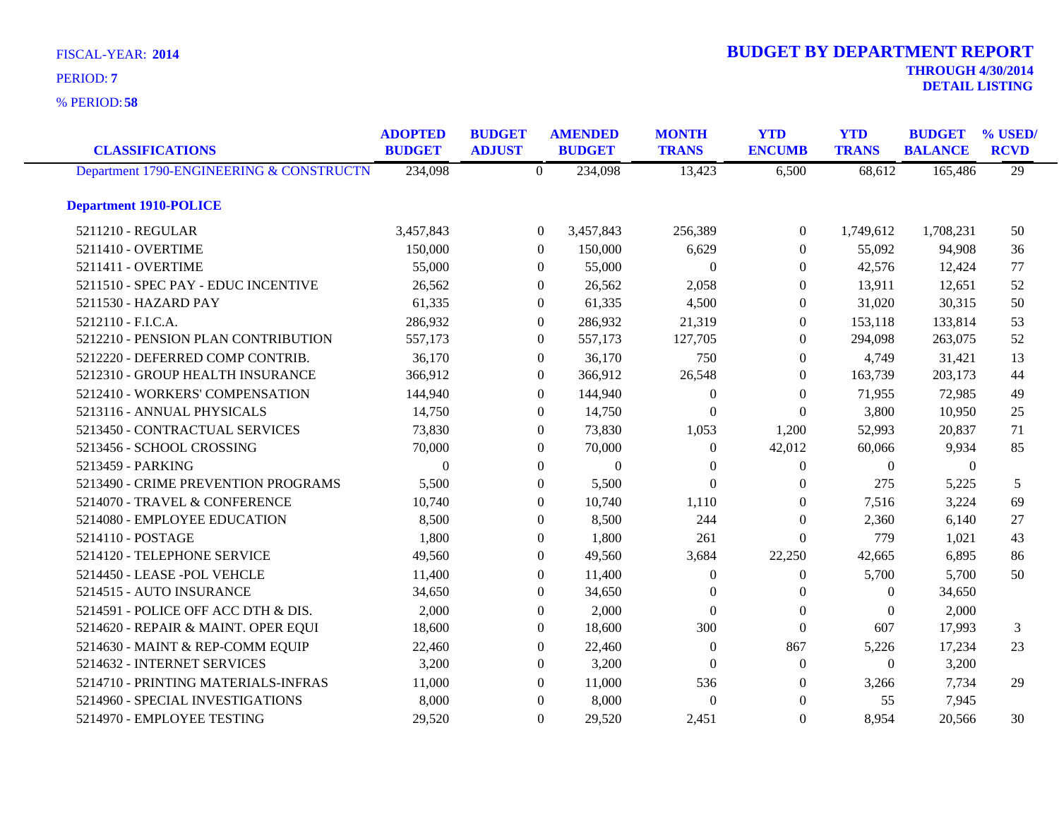**58** % PERIOD:

| <b>CLASSIFICATIONS</b>                   | <b>ADOPTED</b><br><b>BUDGET</b> | <b>BUDGET</b><br><b>ADJUST</b> |                  | <b>AMENDED</b><br><b>BUDGET</b> | <b>MONTH</b><br><b>TRANS</b> |                | <b>YTD</b><br><b>TRANS</b> | <b>BUDGET</b><br><b>BALANCE</b> | % USED/<br><b>RCVD</b> |
|------------------------------------------|---------------------------------|--------------------------------|------------------|---------------------------------|------------------------------|----------------|----------------------------|---------------------------------|------------------------|
| Department 1790-ENGINEERING & CONSTRUCTN | 234,098                         |                                | $\overline{0}$   | 234,098                         | 13,423                       | 6,500          | 68,612                     | 165,486                         | $\overline{29}$        |
| <b>Department 1910-POLICE</b>            |                                 |                                |                  |                                 |                              |                |                            |                                 |                        |
| 5211210 - REGULAR                        | 3,457,843                       |                                | $\overline{0}$   | 3,457,843                       | 256,389                      | $\overline{0}$ | 1,749,612                  | 1,708,231                       | 50                     |
| 5211410 - OVERTIME                       | 150,000                         |                                | $\overline{0}$   | 150,000                         | 6,629                        | $\overline{0}$ | 55,092                     | 94,908                          | 36                     |
| 5211411 - OVERTIME                       | 55,000                          |                                | $\overline{0}$   | 55,000                          | $\theta$                     | $\overline{0}$ | 42,576                     | 12,424                          | 77                     |
| 5211510 - SPEC PAY - EDUC INCENTIVE      | 26,562                          |                                | $\boldsymbol{0}$ | 26,562                          | 2,058                        | $\mathbf{0}$   | 13,911                     | 12,651                          | 52                     |
| 5211530 - HAZARD PAY                     | 61,335                          |                                | $\boldsymbol{0}$ | 61,335                          | 4,500                        | $\overline{0}$ | 31,020                     | 30,315                          | 50                     |
| 5212110 - F.I.C.A.                       | 286,932                         |                                | $\theta$         | 286,932                         | 21,319                       | $\Omega$       | 153,118                    | 133,814                         | 53                     |
| 5212210 - PENSION PLAN CONTRIBUTION      | 557,173                         |                                | $\Omega$         | 557,173                         | 127,705                      | $\Omega$       | 294,098                    | 263,075                         | 52                     |
| 5212220 - DEFERRED COMP CONTRIB.         | 36,170                          |                                | $\overline{0}$   | 36,170                          | 750                          | $\overline{0}$ | 4,749                      | 31,421                          | 13                     |
| 5212310 - GROUP HEALTH INSURANCE         | 366,912                         |                                | $\overline{0}$   | 366,912                         | 26,548                       | $\overline{0}$ | 163,739                    | 203,173                         | 44                     |
| 5212410 - WORKERS' COMPENSATION          | 144,940                         |                                | $\theta$         | 144,940                         | $\Omega$                     | $\Omega$       | 71,955                     | 72,985                          | 49                     |
| 5213116 - ANNUAL PHYSICALS               | 14,750                          |                                | $\theta$         | 14,750                          | $\theta$                     | $\Omega$       | 3,800                      | 10,950                          | 25                     |
| 5213450 - CONTRACTUAL SERVICES           | 73,830                          |                                | $\overline{0}$   | 73,830                          | 1,053                        | 1,200          | 52,993                     | 20,837                          | 71                     |
| 5213456 - SCHOOL CROSSING                | 70,000                          |                                | $\overline{0}$   | 70,000                          | $\theta$                     | 42,012         | 60,066                     | 9,934                           | 85                     |
| 5213459 - PARKING                        | $\mathbf{0}$                    |                                | $\overline{0}$   | $\mathbf{0}$                    | $\Omega$                     | $\overline{0}$ | $\overline{0}$             | $\overline{0}$                  |                        |
| 5213490 - CRIME PREVENTION PROGRAMS      | 5,500                           |                                | $\theta$         | 5,500                           | $\theta$                     | $\Omega$       | 275                        | 5,225                           | 5                      |
| 5214070 - TRAVEL & CONFERENCE            | 10,740                          |                                | $\Omega$         | 10,740                          | 1,110                        | $\Omega$       | 7,516                      | 3,224                           | 69                     |
| 5214080 - EMPLOYEE EDUCATION             | 8,500                           |                                | $\overline{0}$   | 8,500                           | 244                          | $\overline{0}$ | 2,360                      | 6,140                           | 27                     |
| 5214110 - POSTAGE                        | 1,800                           |                                | $\overline{0}$   | 1,800                           | 261                          | $\Omega$       | 779                        | 1,021                           | 43                     |
| 5214120 - TELEPHONE SERVICE              | 49,560                          |                                | $\theta$         | 49,560                          | 3,684                        | 22,250         | 42,665                     | 6,895                           | 86                     |
| 5214450 - LEASE - POL VEHCLE             | 11,400                          |                                | $\overline{0}$   | 11,400                          | $\theta$                     | $\overline{0}$ | 5,700                      | 5,700                           | 50                     |
| 5214515 - AUTO INSURANCE                 | 34,650                          |                                | $\overline{0}$   | 34,650                          | $\theta$                     | $\overline{0}$ | $\overline{0}$             | 34,650                          |                        |
| 5214591 - POLICE OFF ACC DTH & DIS.      | 2,000                           |                                | $\overline{0}$   | 2,000                           | $\theta$                     | $\mathbf{0}$   | $\theta$                   | 2,000                           |                        |
| 5214620 - REPAIR & MAINT. OPER EQUI      | 18,600                          |                                | $\overline{0}$   | 18,600                          | 300                          | $\mathbf{0}$   | 607                        | 17,993                          | 3                      |
| 5214630 - MAINT & REP-COMM EQUIP         | 22,460                          |                                | $\overline{0}$   | 22,460                          | $\overline{0}$               | 867            | 5,226                      | 17,234                          | 23                     |
| 5214632 - INTERNET SERVICES              | 3,200                           |                                | $\theta$         | 3,200                           | $\Omega$                     | $\overline{0}$ | $\theta$                   | 3,200                           |                        |
| 5214710 - PRINTING MATERIALS-INFRAS      | 11,000                          |                                | $\boldsymbol{0}$ | 11,000                          | 536                          | $\overline{0}$ | 3,266                      | 7,734                           | 29                     |
| 5214960 - SPECIAL INVESTIGATIONS         | 8,000                           |                                | $\overline{0}$   | 8,000                           | $\Omega$                     | $\overline{0}$ | 55                         | 7,945                           |                        |
| 5214970 - EMPLOYEE TESTING               | 29,520                          |                                | $\theta$         | 29,520                          | 2,451                        | $\Omega$       | 8,954                      | 20,566                          | 30                     |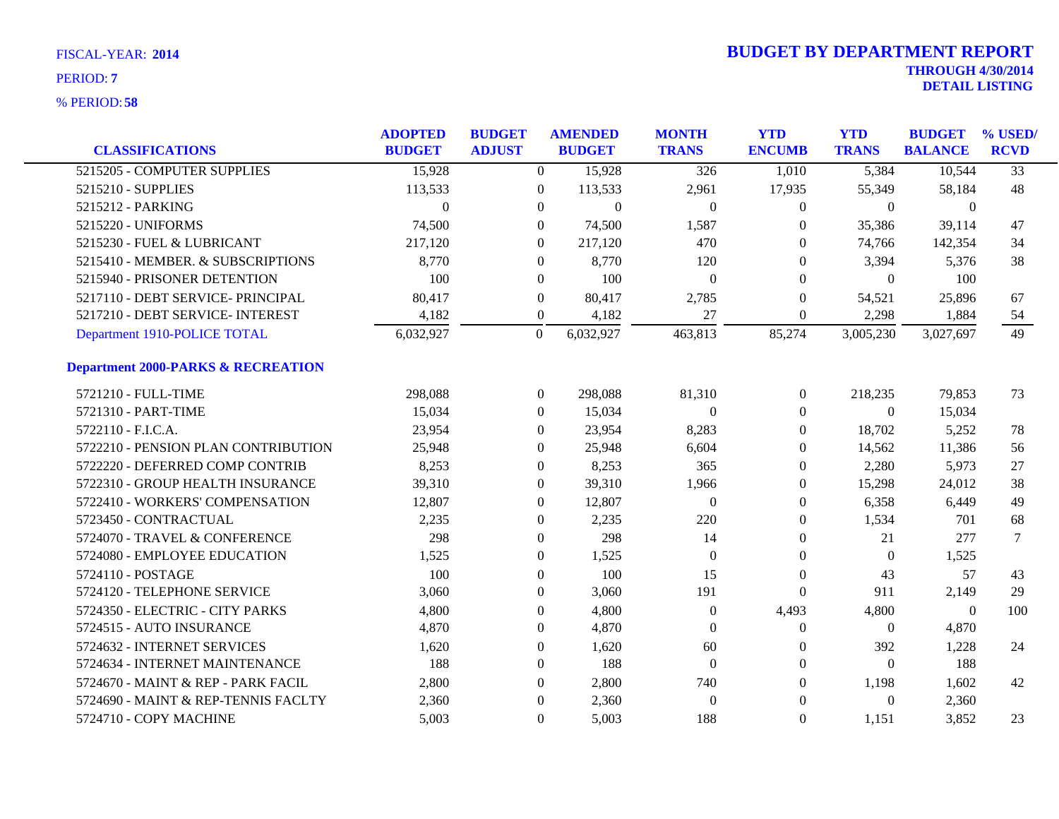| <b>CLASSIFICATIONS</b>                        | <b>ADOPTED</b><br><b>BUDGET</b> | <b>BUDGET</b><br><b>ADJUST</b> |                  | <b>AMENDED</b><br><b>BUDGET</b> | <b>MONTH</b><br><b>TRANS</b> | <b>YTD</b><br><b>ENCUMB</b> | <b>YTD</b><br><b>TRANS</b> | <b>BUDGET</b><br><b>BALANCE</b> | % USED/<br><b>RCVD</b> |
|-----------------------------------------------|---------------------------------|--------------------------------|------------------|---------------------------------|------------------------------|-----------------------------|----------------------------|---------------------------------|------------------------|
| 5215205 - COMPUTER SUPPLIES                   | 15,928                          |                                | $\overline{0}$   | 15,928                          | 326                          | 1,010                       | 5,384                      | 10,544                          | $\overline{33}$        |
| 5215210 - SUPPLIES                            | 113,533                         |                                | $\boldsymbol{0}$ | 113,533                         | 2,961                        | 17,935                      | 55,349                     | 58,184                          | 48                     |
| 5215212 - PARKING                             | $\mathbf{0}$                    |                                | $\overline{0}$   | $\boldsymbol{0}$                | $\overline{0}$               | $\boldsymbol{0}$            | $\overline{0}$             | $\overline{0}$                  |                        |
| 5215220 - UNIFORMS                            | 74,500                          |                                | $\overline{0}$   | 74,500                          | 1,587                        | $\theta$                    | 35,386                     | 39,114                          | 47                     |
| 5215230 - FUEL & LUBRICANT                    | 217,120                         |                                | $\overline{0}$   | 217,120                         | 470                          | $\theta$                    | 74,766                     | 142,354                         | 34                     |
| 5215410 - MEMBER. & SUBSCRIPTIONS             | 8,770                           |                                | $\overline{0}$   | 8,770                           | 120                          | $\theta$                    | 3,394                      | 5,376                           | 38                     |
| 5215940 - PRISONER DETENTION                  | 100                             |                                | $\overline{0}$   | 100                             | $\overline{0}$               | $\theta$                    | $\overline{0}$             | 100                             |                        |
| 5217110 - DEBT SERVICE- PRINCIPAL             | 80,417                          |                                | $\overline{0}$   | 80,417                          | 2,785                        | $\theta$                    | 54,521                     | 25,896                          | 67                     |
| 5217210 - DEBT SERVICE- INTEREST              | 4,182                           |                                | $\overline{0}$   | 4,182                           | 27                           | $\boldsymbol{0}$            | 2,298                      | 1,884                           | 54                     |
| Department 1910-POLICE TOTAL                  | 6,032,927                       |                                | $\boldsymbol{0}$ | 6,032,927                       | 463,813                      | 85,274                      | 3,005,230                  | 3,027,697                       | 49                     |
| <b>Department 2000-PARKS &amp; RECREATION</b> |                                 |                                |                  |                                 |                              |                             |                            |                                 |                        |
| 5721210 - FULL-TIME                           | 298,088                         |                                | $\overline{0}$   | 298,088                         | 81,310                       | $\boldsymbol{0}$            | 218,235                    | 79,853                          | 73                     |
| 5721310 - PART-TIME                           | 15,034                          |                                | $\overline{0}$   | 15,034                          | $\mathbf{0}$                 | $\boldsymbol{0}$            | $\overline{0}$             | 15,034                          |                        |
| 5722110 - F.I.C.A.                            | 23,954                          |                                | 0                | 23,954                          | 8,283                        | $\boldsymbol{0}$            | 18,702                     | 5,252                           | 78                     |
| 5722210 - PENSION PLAN CONTRIBUTION           | 25,948                          |                                | $\overline{0}$   | 25,948                          | 6,604                        | 0                           | 14,562                     | 11,386                          | 56                     |
| 5722220 - DEFERRED COMP CONTRIB               | 8,253                           |                                | $\overline{0}$   | 8,253                           | 365                          | $\theta$                    | 2,280                      | 5,973                           | 27                     |
| 5722310 - GROUP HEALTH INSURANCE              | 39,310                          |                                | $\overline{0}$   | 39,310                          | 1,966                        | $\theta$                    | 15,298                     | 24,012                          | 38                     |
| 5722410 - WORKERS' COMPENSATION               | 12,807                          |                                | $\overline{0}$   | 12,807                          | $\overline{0}$               | $\boldsymbol{0}$            | 6,358                      | 6,449                           | 49                     |
| 5723450 - CONTRACTUAL                         | 2,235                           |                                | $\overline{0}$   | 2,235                           | 220                          | $\theta$                    | 1,534                      | 701                             | 68                     |
| 5724070 - TRAVEL & CONFERENCE                 | 298                             |                                | $\overline{0}$   | 298                             | 14                           | $\theta$                    | 21                         | 277                             | 7                      |
| 5724080 - EMPLOYEE EDUCATION                  | 1,525                           |                                | $\overline{0}$   | 1,525                           | $\theta$                     | $\overline{0}$              | $\overline{0}$             | 1,525                           |                        |
| 5724110 - POSTAGE                             | 100                             |                                | $\overline{0}$   | 100                             | 15                           | $\boldsymbol{0}$            | 43                         | 57                              | 43                     |
| 5724120 - TELEPHONE SERVICE                   | 3,060                           |                                | $\theta$         | 3,060                           | 191                          | $\boldsymbol{0}$            | 911                        | 2,149                           | 29                     |
| 5724350 - ELECTRIC - CITY PARKS               | 4,800                           |                                | $\overline{0}$   | 4,800                           | $\theta$                     | 4,493                       | 4,800                      | $\overline{0}$                  | 100                    |
| 5724515 - AUTO INSURANCE                      | 4,870                           |                                | $\theta$         | 4,870                           | $\Omega$                     | $\boldsymbol{0}$            | $\overline{0}$             | 4,870                           |                        |
| 5724632 - INTERNET SERVICES                   | 1,620                           |                                | $\boldsymbol{0}$ | 1,620                           | 60                           | $\boldsymbol{0}$            | 392                        | 1,228                           | 24                     |
| 5724634 - INTERNET MAINTENANCE                | 188                             |                                | $\overline{0}$   | 188                             | $\overline{0}$               | $\boldsymbol{0}$            | $\overline{0}$             | 188                             |                        |
| 5724670 - MAINT & REP - PARK FACIL            | 2,800                           |                                | 0                | 2,800                           | 740                          | $\theta$                    | 1,198                      | 1,602                           | 42                     |
| 5724690 - MAINT & REP-TENNIS FACLTY           | 2,360                           |                                | $\theta$         | 2,360                           | $\boldsymbol{0}$             | $\mathbf{0}$                | $\overline{0}$             | 2,360                           |                        |
| 5724710 - COPY MACHINE                        | 5,003                           |                                | $\mathbf{0}$     | 5,003                           | 188                          | $\theta$                    | 1,151                      | 3,852                           | 23                     |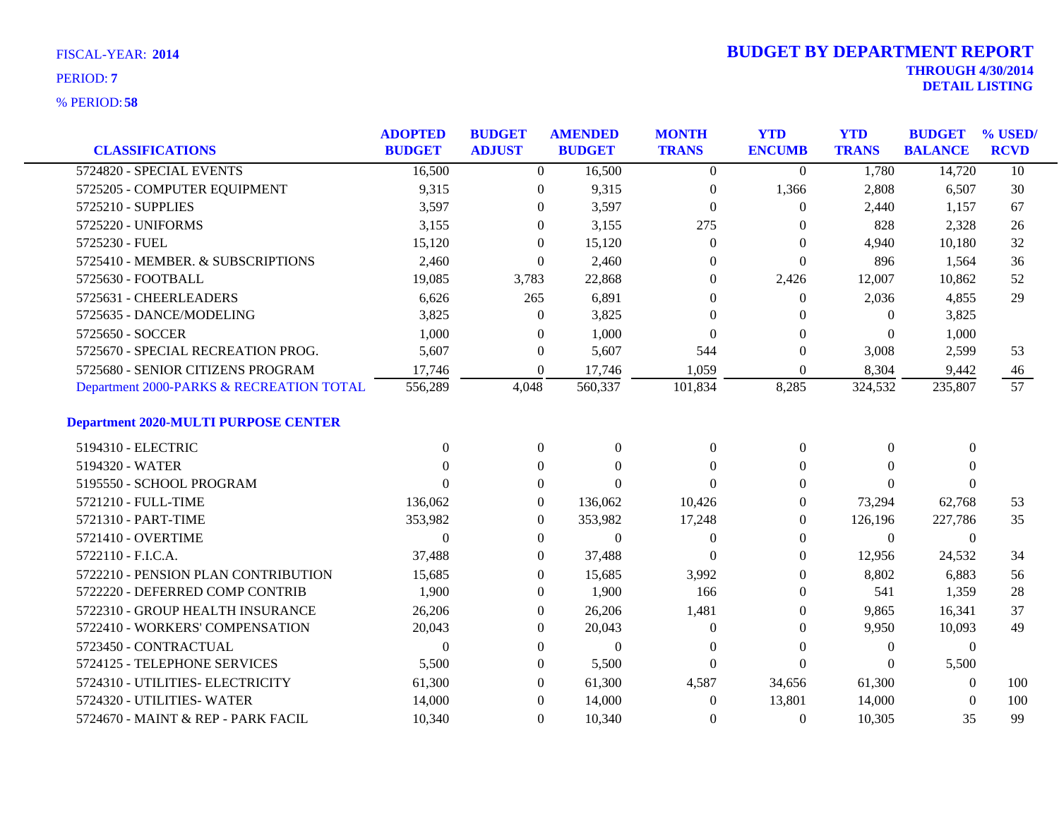|                                             | <b>ADOPTED</b> | <b>BUDGET</b>    | <b>AMENDED</b>   | <b>MONTH</b>   | <b>YTD</b>     | <b>YTD</b>   | <b>BUDGET</b>  | % USED/     |
|---------------------------------------------|----------------|------------------|------------------|----------------|----------------|--------------|----------------|-------------|
| <b>CLASSIFICATIONS</b>                      | <b>BUDGET</b>  | <b>ADJUST</b>    | <b>BUDGET</b>    | <b>TRANS</b>   | <b>ENCUMB</b>  | <b>TRANS</b> | <b>BALANCE</b> | <b>RCVD</b> |
| 5724820 - SPECIAL EVENTS                    | 16,500         | $\overline{0}$   | 16,500           | $\overline{0}$ | $\overline{0}$ | 1,780        | 14,720         | 10          |
| 5725205 - COMPUTER EQUIPMENT                | 9,315          | $\theta$         | 9,315            | $\overline{0}$ | 1,366          | 2,808        | 6,507          | 30          |
| 5725210 - SUPPLIES                          | 3,597          | $\theta$         | 3,597            | $\mathbf{0}$   | 0              | 2,440        | 1,157          | 67          |
| 5725220 - UNIFORMS                          | 3,155          | $\theta$         | 3,155            | 275            | $\theta$       | 828          | 2,328          | 26          |
| 5725230 - FUEL                              | 15,120         | $\theta$         | 15,120           | $\overline{0}$ | 0              | 4,940        | 10,180         | 32          |
| 5725410 - MEMBER. & SUBSCRIPTIONS           | 2,460          | $\theta$         | 2,460            | $\theta$       | $\mathbf{0}$   | 896          | 1,564          | 36          |
| 5725630 - FOOTBALL                          | 19,085         | 3,783            | 22,868           | $\theta$       | 2,426          | 12,007       | 10,862         | 52          |
| 5725631 - CHEERLEADERS                      | 6,626          | 265              | 6,891            | $\Omega$       | $\overline{0}$ | 2,036        | 4,855          | 29          |
| 5725635 - DANCE/MODELING                    | 3,825          | $\theta$         | 3,825            | $\Omega$       | $\theta$       | $\theta$     | 3,825          |             |
| 5725650 - SOCCER                            | 1,000          | $\theta$         | 1,000            | $\Omega$       | $\Omega$       | $\Omega$     | 1,000          |             |
| 5725670 - SPECIAL RECREATION PROG.          | 5,607          | $\boldsymbol{0}$ | 5,607            | 544            | 0              | 3,008        | 2,599          | 53          |
| 5725680 - SENIOR CITIZENS PROGRAM           | 17,746         | $\theta$         | 17,746           | 1,059          | $\theta$       | 8,304        | 9,442          | 46          |
| Department 2000-PARKS & RECREATION TOTAL    | 556,289        | 4,048            | 560,337          | 101,834        | 8,285          | 324,532      | 235,807        | 57          |
| <b>Department 2020-MULTI PURPOSE CENTER</b> |                |                  |                  |                |                |              |                |             |
| 5194310 - ELECTRIC                          | $\Omega$       | $\mathbf{0}$     | $\boldsymbol{0}$ | $\overline{0}$ | 0              | $\theta$     | $\overline{0}$ |             |
| 5194320 - WATER                             | 0              | $\theta$         | $\Omega$         | $\Omega$       | 0              | $\Omega$     | $\theta$       |             |
| 5195550 - SCHOOL PROGRAM                    | 0              | $\theta$         | $\Omega$         | $\Omega$       | 0              | $\Omega$     | $\Omega$       |             |
| 5721210 - FULL-TIME                         | 136,062        | $\overline{0}$   | 136,062          | 10,426         | $\theta$       | 73,294       | 62,768         | 53          |
| 5721310 - PART-TIME                         | 353,982        | $\overline{0}$   | 353,982          | 17,248         | 0              | 126,196      | 227,786        | 35          |
| 5721410 - OVERTIME                          | $\Omega$       | $\Omega$         | $\mathbf{0}$     | $\theta$       | 0              | $\Omega$     | $\overline{0}$ |             |
| 5722110 - F.I.C.A.                          | 37,488         | $\theta$         | 37,488           | $\Omega$       | 0              | 12,956       | 24,532         | 34          |
| 5722210 - PENSION PLAN CONTRIBUTION         | 15,685         | $\theta$         | 15,685           | 3,992          | $\Omega$       | 8,802        | 6,883          | 56          |
| 5722220 - DEFERRED COMP CONTRIB             | 1,900          | $\overline{0}$   | 1,900            | 166            | $\theta$       | 541          | 1,359          | 28          |
| 5722310 - GROUP HEALTH INSURANCE            | 26,206         | $\theta$         | 26,206           | 1,481          | 0              | 9,865        | 16,341         | 37          |
| 5722410 - WORKERS' COMPENSATION             | 20,043         | $\theta$         | 20,043           | $\theta$       | 0              | 9,950        | 10,093         | 49          |
| 5723450 - CONTRACTUAL                       | $\Omega$       | $\theta$         | $\mathbf{0}$     | $\theta$       | $\theta$       | $\theta$     | $\overline{0}$ |             |
| 5724125 - TELEPHONE SERVICES                | 5,500          | $\theta$         | 5,500            | $\Omega$       | $\theta$       | $\mathbf{0}$ | 5,500          |             |
| 5724310 - UTILITIES- ELECTRICITY            | 61,300         | $\theta$         | 61,300           | 4,587          | 34,656         | 61,300       | $\theta$       | 100         |
| 5724320 - UTILITIES- WATER                  | 14,000         | $\theta$         | 14,000           | $\theta$       | 13,801         | 14,000       | $\theta$       | 100         |
| 5724670 - MAINT & REP - PARK FACIL          | 10,340         | $\overline{0}$   | 10,340           | $\Omega$       | $\overline{0}$ | 10,305       | 35             | 99          |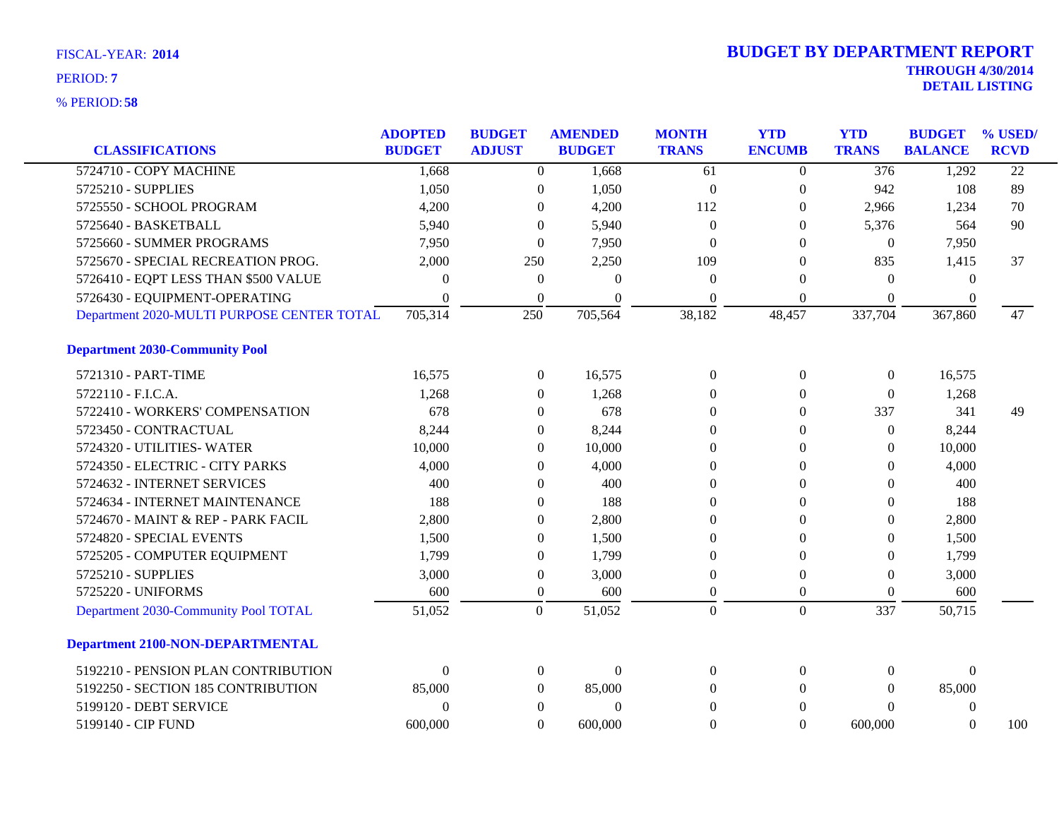| <b>CLASSIFICATIONS</b>                     | <b>ADOPTED</b><br><b>BUDGET</b> | <b>BUDGET</b><br><b>ADJUST</b> | <b>AMENDED</b><br><b>BUDGET</b> | <b>MONTH</b><br><b>TRANS</b> | <b>YTD</b><br><b>ENCUMB</b> | <b>YTD</b><br><b>TRANS</b> | <b>BUDGET</b><br><b>BALANCE</b> | % USED/<br><b>RCVD</b> |
|--------------------------------------------|---------------------------------|--------------------------------|---------------------------------|------------------------------|-----------------------------|----------------------------|---------------------------------|------------------------|
| 5724710 - COPY MACHINE                     | 1,668                           | $\overline{0}$                 | 1,668                           | 61                           | $\theta$                    | $\overline{376}$           | 1,292                           | $\overline{22}$        |
| 5725210 - SUPPLIES                         | 1,050                           | $\boldsymbol{0}$               | 1,050                           | $\overline{0}$               | $\boldsymbol{0}$            | 942                        | 108                             | 89                     |
| 5725550 - SCHOOL PROGRAM                   | 4,200                           | $\theta$                       | 4,200                           | 112                          | $\overline{0}$              | 2,966                      | 1,234                           | 70                     |
| 5725640 - BASKETBALL                       | 5,940                           | $\Omega$                       | 5,940                           | $\Omega$                     | $\Omega$                    | 5,376                      | 564                             | 90                     |
| 5725660 - SUMMER PROGRAMS                  | 7,950                           | $\theta$                       | 7,950                           | $\Omega$                     | $\Omega$                    | $\overline{0}$             | 7,950                           |                        |
| 5725670 - SPECIAL RECREATION PROG.         | 2,000                           | 250                            | 2,250                           | 109                          | $\Omega$                    | 835                        | 1,415                           | 37                     |
| 5726410 - EQPT LESS THAN \$500 VALUE       | $\Omega$                        | $\boldsymbol{0}$               | $\Omega$                        | $\Omega$                     | $\Omega$                    | $\Omega$                   | $\theta$                        |                        |
| 5726430 - EQUIPMENT-OPERATING              | $\Omega$                        | $\theta$                       | $\Omega$                        | $\Omega$                     | $\theta$                    | $\theta$                   | $\theta$                        |                        |
| Department 2020-MULTI PURPOSE CENTER TOTAL | 705,314                         | 250                            | 705,564                         | 38,182                       | 48,457                      | 337,704                    | 367,860                         | 47                     |
| <b>Department 2030-Community Pool</b>      |                                 |                                |                                 |                              |                             |                            |                                 |                        |
| 5721310 - PART-TIME                        | 16,575                          | $\mathbf{0}$                   | 16,575                          | $\Omega$                     | $\theta$                    | $\overline{0}$             | 16,575                          |                        |
| 5722110 - F.I.C.A.                         | 1,268                           | $\Omega$                       | 1,268                           | $\Omega$                     | $\Omega$                    | $\theta$                   | 1,268                           |                        |
| 5722410 - WORKERS' COMPENSATION            | 678                             | $\theta$                       | 678                             | $\Omega$                     | $\Omega$                    | 337                        | 341                             | 49                     |
| 5723450 - CONTRACTUAL                      | 8,244                           | $\theta$                       | 8,244                           | $\theta$                     | $\mathbf{0}$                | $\Omega$                   | 8,244                           |                        |
| 5724320 - UTILITIES-WATER                  | 10,000                          | $\mathbf{0}$                   | 10,000                          | $\theta$                     | $\Omega$                    | $\Omega$                   | 10,000                          |                        |
| 5724350 - ELECTRIC - CITY PARKS            | 4,000                           | $\theta$                       | 4,000                           | $\theta$                     | $\theta$                    | $\Omega$                   | 4,000                           |                        |
| 5724632 - INTERNET SERVICES                | 400                             | $\theta$                       | 400                             | $\Omega$                     | $\Omega$                    | $\Omega$                   | 400                             |                        |
| 5724634 - INTERNET MAINTENANCE             | 188                             | $\theta$                       | 188                             | $\Omega$                     | $\Omega$                    | $\Omega$                   | 188                             |                        |
| 5724670 - MAINT & REP - PARK FACIL         | 2,800                           | $\theta$                       | 2,800                           | $\theta$                     | $\Omega$                    | $\Omega$                   | 2,800                           |                        |
| 5724820 - SPECIAL EVENTS                   | 1,500                           | $\theta$                       | 1,500                           | $\theta$                     | $\theta$                    | $\overline{0}$             | 1,500                           |                        |
| 5725205 - COMPUTER EQUIPMENT               | 1,799                           | $\theta$                       | 1,799                           | $\theta$                     | $\Omega$                    | $\Omega$                   | 1,799                           |                        |
| 5725210 - SUPPLIES                         | 3,000                           | $\boldsymbol{0}$               | 3,000                           | $\Omega$                     | $\theta$                    | $\Omega$                   | 3,000                           |                        |
| 5725220 - UNIFORMS                         | 600                             | $\boldsymbol{0}$               | 600                             | $\theta$                     | $\overline{0}$              | $\Omega$                   | 600                             |                        |
| Department 2030-Community Pool TOTAL       | 51,052                          | $\overline{0}$                 | 51,052                          | $\overline{0}$               | $\overline{0}$              | 337                        | 50,715                          |                        |
| <b>Department 2100-NON-DEPARTMENTAL</b>    |                                 |                                |                                 |                              |                             |                            |                                 |                        |
| 5192210 - PENSION PLAN CONTRIBUTION        | $\Omega$                        | $\mathbf{0}$                   | $\Omega$                        | $\Omega$                     | $\Omega$                    | $\Omega$                   | $\Omega$                        |                        |
| 5192250 - SECTION 185 CONTRIBUTION         | 85,000                          | $\overline{0}$                 | 85,000                          | $\Omega$                     | $\Omega$                    | $\Omega$                   | 85,000                          |                        |
| 5199120 - DEBT SERVICE                     | $\Omega$                        | $\theta$                       | $\Omega$                        | $\Omega$                     | $\Omega$                    | $\Omega$                   | $\mathbf{0}$                    |                        |
| 5199140 - CIP FUND                         | 600,000                         | $\Omega$                       | 600,000                         | $\theta$                     | $\Omega$                    | 600,000                    | $\Omega$                        | 100                    |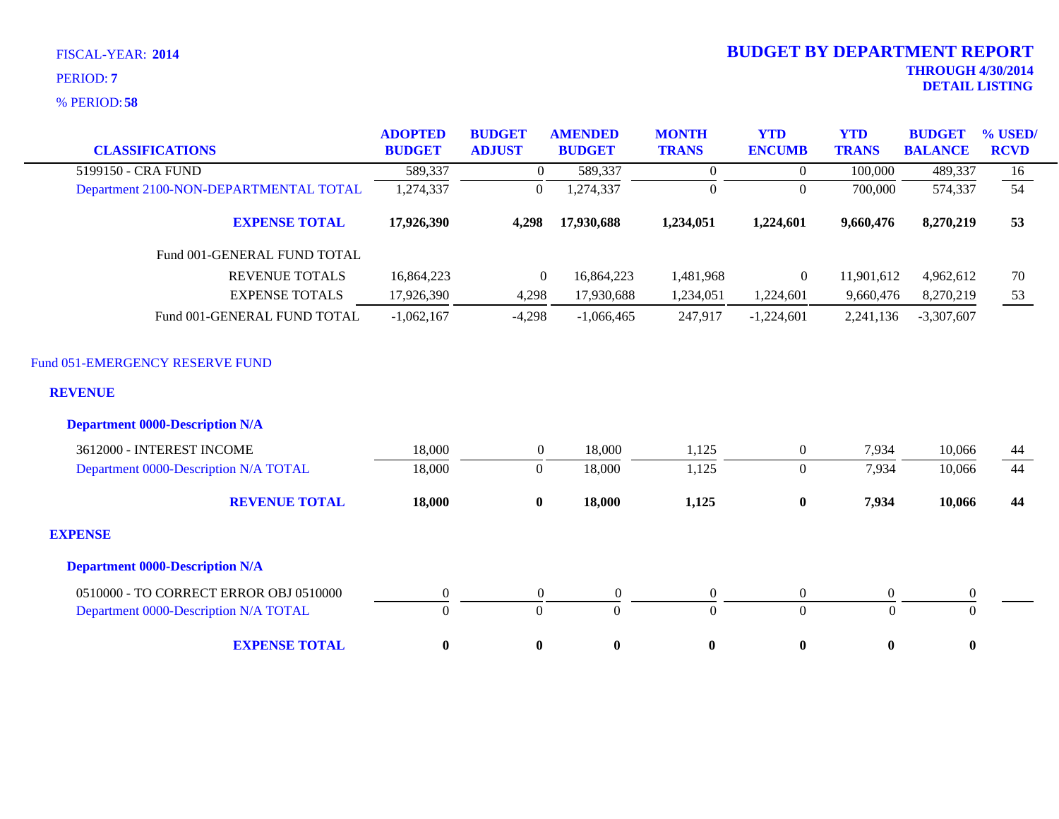**58** % PERIOD:

| <b>CLASSIFICATIONS</b>                            | <b>ADOPTED</b><br><b>BUDGET</b> | <b>BUDGET</b><br><b>ADJUST</b> | <b>AMENDED</b><br><b>BUDGET</b> | <b>MONTH</b><br><b>TRANS</b> | <b>YTD</b><br><b>ENCUMB</b> | <b>YTD</b><br><b>TRANS</b> | <b>BUDGET</b><br><b>BALANCE</b> | % USED/<br><b>RCVD</b> |
|---------------------------------------------------|---------------------------------|--------------------------------|---------------------------------|------------------------------|-----------------------------|----------------------------|---------------------------------|------------------------|
| 5199150 - CRA FUND                                | 589,337                         | $\overline{0}$                 | 589,337                         | $\mathbf{0}$                 | $\overline{0}$              | 100,000                    | 489,337                         | 16                     |
| Department 2100-NON-DEPARTMENTAL TOTAL            | 1,274,337                       | $\boldsymbol{0}$               | 1,274,337                       | $\mathbf{0}$                 | $\Omega$                    | 700,000                    | 574,337                         | 54                     |
| <b>EXPENSE TOTAL</b>                              | 17,926,390                      | 4,298                          | 17,930,688                      | 1,234,051                    | 1,224,601                   | 9,660,476                  | 8,270,219                       | 53                     |
| Fund 001-GENERAL FUND TOTAL                       |                                 |                                |                                 |                              |                             |                            |                                 |                        |
| <b>REVENUE TOTALS</b>                             | 16,864,223                      | $\mathbf{0}$                   | 16,864,223                      | 1,481,968                    | $\boldsymbol{0}$            | 11,901,612                 | 4,962,612                       | 70                     |
| <b>EXPENSE TOTALS</b>                             | 17,926,390                      | 4,298                          | 17,930,688                      | 1,234,051                    | 1,224,601                   | 9,660,476                  | 8,270,219                       | 53                     |
| Fund 001-GENERAL FUND TOTAL                       | $-1,062,167$                    | $-4,298$                       | $-1,066,465$                    | 247,917                      | $-1,224,601$                | 2,241,136                  | $-3,307,607$                    |                        |
| Fund 051-EMERGENCY RESERVE FUND<br><b>REVENUE</b> |                                 |                                |                                 |                              |                             |                            |                                 |                        |
| <b>Department 0000-Description N/A</b>            |                                 |                                |                                 |                              |                             |                            |                                 |                        |
| 3612000 - INTEREST INCOME                         | 18,000                          | $\boldsymbol{0}$               | 18,000                          | 1,125                        | $\boldsymbol{0}$            | 7,934                      | 10,066                          | 44                     |
| Department 0000-Description N/A TOTAL             | 18,000                          | $\boldsymbol{0}$               | 18,000                          | 1,125                        | $\overline{0}$              | 7,934                      | 10,066                          | 44                     |
| <b>REVENUE TOTAL</b>                              | 18,000                          | $\bf{0}$                       | 18,000                          | 1,125                        | $\boldsymbol{0}$            | 7,934                      | 10,066                          | 44                     |
| <b>EXPENSE</b>                                    |                                 |                                |                                 |                              |                             |                            |                                 |                        |
| <b>Department 0000-Description N/A</b>            |                                 |                                |                                 |                              |                             |                            |                                 |                        |
| 0510000 - TO CORRECT ERROR OBJ 0510000            | $\boldsymbol{0}$                | $\theta$                       | $\overline{0}$                  | $\boldsymbol{0}$             | $\mathbf{0}$                | $\overline{0}$             | $\boldsymbol{0}$                |                        |
| Department 0000-Description N/A TOTAL             | $\overline{0}$                  | $\mathbf{0}$                   | $\mathbf{0}$                    | $\mathbf{0}$                 | $\overline{0}$              | $\Omega$                   | $\Omega$                        |                        |
| <b>EXPENSE TOTAL</b>                              | $\bf{0}$                        | $\bf{0}$                       | $\bf{0}$                        | $\bf{0}$                     | $\bf{0}$                    | $\bf{0}$                   | $\bf{0}$                        |                        |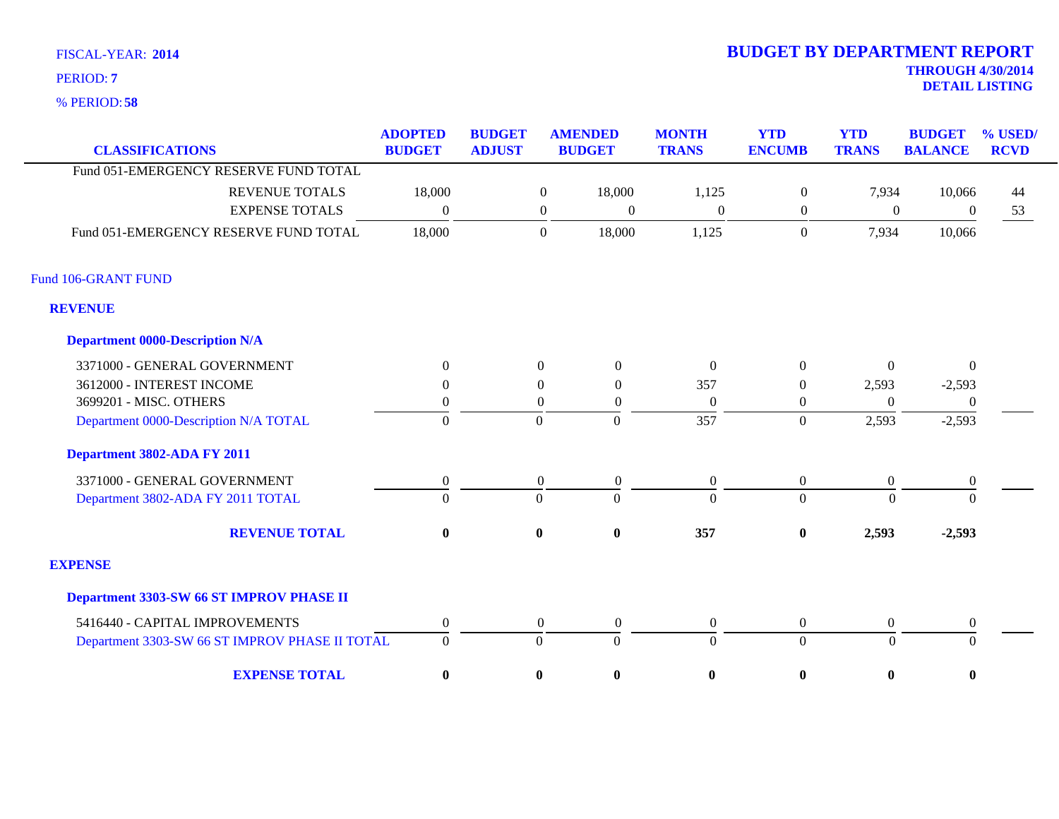**58** % PERIOD:

# **THROUGH 4/30/2014 DETAIL LISTING** PERIOD: **<sup>7</sup> 2014 BUDGET BY DEPARTMENT REPORT**

| PERIOD: 58                             |                                 |                                |                                    |                              |                             |                            |                                 |                        |
|----------------------------------------|---------------------------------|--------------------------------|------------------------------------|------------------------------|-----------------------------|----------------------------|---------------------------------|------------------------|
| <b>CLASSIFICATIONS</b>                 | <b>ADOPTED</b><br><b>BUDGET</b> | <b>BUDGET</b><br><b>ADJUST</b> | <b>AMENDED</b><br><b>BUDGET</b>    | <b>MONTH</b><br><b>TRANS</b> | <b>YTD</b><br><b>ENCUMB</b> | <b>YTD</b><br><b>TRANS</b> | <b>BUDGET</b><br><b>BALANCE</b> | % USED/<br><b>RCVD</b> |
| Fund 051-EMERGENCY RESERVE FUND TOTAL  |                                 |                                |                                    |                              |                             |                            |                                 |                        |
| <b>REVENUE TOTALS</b>                  | 18,000                          |                                | 18,000<br>$\overline{0}$           | 1,125                        | $\overline{0}$              | 7,934                      | 10,066                          | 44                     |
| <b>EXPENSE TOTALS</b>                  | $\boldsymbol{0}$                |                                | $\overline{0}$<br>$\boldsymbol{0}$ | $\theta$                     | $\boldsymbol{0}$            | 0                          | $\theta$                        | 53                     |
| Fund 051-EMERGENCY RESERVE FUND TOTAL  | 18,000                          |                                | 18,000<br>$\theta$                 | 1,125                        | $\theta$                    | 7,934                      | 10,066                          |                        |
| 06-GRANT FUND                          |                                 |                                |                                    |                              |                             |                            |                                 |                        |
| <b>VENUE</b>                           |                                 |                                |                                    |                              |                             |                            |                                 |                        |
| <b>Department 0000-Description N/A</b> |                                 |                                |                                    |                              |                             |                            |                                 |                        |
| 3371000 - GENERAL GOVERNMENT           | $\Omega$                        |                                | $\Omega$<br>$\theta$               | $\Omega$                     | $\Omega$                    | $\Omega$                   | $\Omega$                        |                        |
| $2512000$ BEEDECENICOUE                | $\sim$                          |                                | $\sim$<br>$\sim$                   | $\sim$ $\sim$ $\sim$         | $\sim$                      | $\sim$ $\sim$ $\sim$       | $\sim$ $\sim$ $\sim$            |                        |

### Fund 106-GRANT FUND

### **REVENUE**

| <b>Department 0000-Description N/A</b>          |              |                |                |                  |              |          |                |
|-------------------------------------------------|--------------|----------------|----------------|------------------|--------------|----------|----------------|
| 3371000 - GENERAL GOVERNMENT                    | 0            | $\Omega$       | $\Omega$       | $\boldsymbol{0}$ | $\Omega$     | $\Omega$ | $\theta$       |
| 3612000 - INTEREST INCOME                       |              |                | $\Omega$       | 357              |              | 2,593    | $-2,593$       |
| 3699201 - MISC. OTHERS                          |              |                |                | $\theta$         |              | 0        | $\overline{0}$ |
| Department 0000-Description N/A TOTAL           | 0            | 0              |                | 357              | $\Omega$     | 2,593    | $-2,593$       |
| Department 3802-ADA FY 2011                     |              |                |                |                  |              |          |                |
| 3371000 - GENERAL GOVERNMENT                    | $\mathbf{0}$ | $\overline{0}$ | $\overline{0}$ | $\overline{0}$   | $\Omega$     | $\Omega$ | $\overline{0}$ |
| Department 3802-ADA FY 2011 TOTAL               | $\Omega$     | $\Omega$       | $\Omega$       | $\Omega$         | $\Omega$     | $\theta$ | $\Omega$       |
| <b>REVENUE TOTAL</b>                            | $\mathbf{0}$ | $\mathbf{0}$   | $\mathbf{0}$   | 357              | $\mathbf{0}$ | 2,593    | $-2,593$       |
| <b>EXPENSE</b>                                  |              |                |                |                  |              |          |                |
| <b>Department 3303-SW 66 ST IMPROV PHASE II</b> |              |                |                |                  |              |          |                |
| 5416440 - CAPITAL IMPROVEMENTS                  | 0            | $\Omega$       | $\Omega$       | $\overline{0}$   | $\Omega$     | $\Omega$ | $\mathbf{0}$   |
| Department 3303-SW 66 ST IMPROV PHASE II TOTAL  | $\Omega$     |                |                | $\Omega$         | $\Omega$     | $\Omega$ | $\Omega$       |
| <b>EXPENSE TOTAL</b>                            | $\bf{0}$     | $\mathbf{0}$   | $\bf{0}$       | $\mathbf{0}$     | $\mathbf{0}$ | $\bf{0}$ | $\mathbf{0}$   |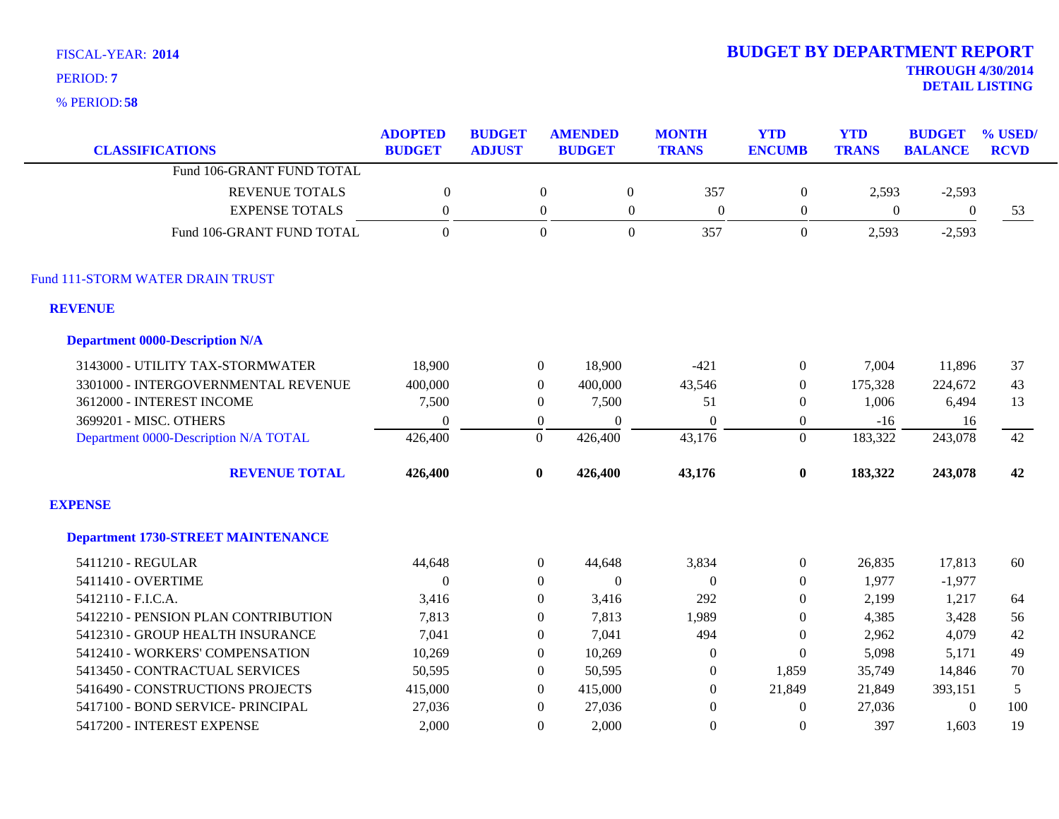**58** % PERIOD:

# **THROUGH 4/30/2014 2014 BUDGET BY DEPARTMENT REPORT**

**DETAIL LISTING** PERIOD: **<sup>7</sup>**

| <b>CLASSIFICATIONS</b>                    | <b>ADOPTED</b><br><b>BUDGET</b> | <b>BUDGET</b><br><b>ADJUST</b> | <b>AMENDED</b><br><b>BUDGET</b> | <b>MONTH</b><br><b>TRANS</b>   | <b>YTD</b><br><b>ENCUMB</b> | <b>YTD</b><br><b>TRANS</b> | <b>BUDGET</b><br><b>BALANCE</b> | % USED/<br><b>RCVD</b> |
|-------------------------------------------|---------------------------------|--------------------------------|---------------------------------|--------------------------------|-----------------------------|----------------------------|---------------------------------|------------------------|
| Fund 106-GRANT FUND TOTAL                 |                                 |                                |                                 |                                |                             |                            |                                 |                        |
| <b>REVENUE TOTALS</b>                     | $\boldsymbol{0}$                | $\boldsymbol{0}$               |                                 | $\boldsymbol{0}$<br>357        | $\boldsymbol{0}$            | 2,593                      | $-2,593$                        |                        |
| <b>EXPENSE TOTALS</b>                     | $\boldsymbol{0}$                | $\boldsymbol{0}$               |                                 | $\mathbf{0}$<br>$\overline{0}$ | $\boldsymbol{0}$            | $\overline{0}$             | $\mathbf{0}$                    | 53                     |
| Fund 106-GRANT FUND TOTAL                 | $\Omega$                        | $\boldsymbol{0}$               |                                 | $\overline{0}$<br>357          | $\mathbf{0}$                | 2,593                      | $-2,593$                        |                        |
| Fund 111-STORM WATER DRAIN TRUST          |                                 |                                |                                 |                                |                             |                            |                                 |                        |
| <b>REVENUE</b>                            |                                 |                                |                                 |                                |                             |                            |                                 |                        |
| <b>Department 0000-Description N/A</b>    |                                 |                                |                                 |                                |                             |                            |                                 |                        |
| 3143000 - UTILITY TAX-STORMWATER          | 18,900                          | $\overline{0}$                 | 18,900                          | $-421$                         | $\boldsymbol{0}$            | 7,004                      | 11,896                          | 37                     |
| 3301000 - INTERGOVERNMENTAL REVENUE       | 400,000                         | $\overline{0}$                 | 400,000                         | 43,546                         | $\boldsymbol{0}$            | 175,328                    | 224,672                         | 43                     |
| 3612000 - INTEREST INCOME                 | 7,500                           | $\theta$                       | 7,500                           | 51                             | $\theta$                    | 1,006                      | 6,494                           | 13                     |
| 3699201 - MISC. OTHERS                    | $\overline{0}$                  | $\boldsymbol{0}$               | $\mathbf{0}$                    | $\overline{0}$                 | $\overline{0}$              | $-16$                      | 16                              |                        |
| Department 0000-Description N/A TOTAL     | 426,400                         | $\overline{0}$                 | 426,400                         | 43,176                         | $\Omega$                    | 183,322                    | 243,078                         | 42                     |
| <b>REVENUE TOTAL</b>                      | 426,400                         | $\bf{0}$                       | 426,400                         | 43,176                         | $\bf{0}$                    | 183,322                    | 243,078                         | 42                     |
| <b>EXPENSE</b>                            |                                 |                                |                                 |                                |                             |                            |                                 |                        |
| <b>Department 1730-STREET MAINTENANCE</b> |                                 |                                |                                 |                                |                             |                            |                                 |                        |
| 5411210 - REGULAR                         | 44,648                          | $\boldsymbol{0}$               | 44,648                          | 3,834                          | $\boldsymbol{0}$            | 26,835                     | 17,813                          | 60                     |
| 5411410 - OVERTIME                        | $\theta$                        | $\theta$                       | $\mathbf{0}$                    | $\boldsymbol{0}$               | $\Omega$                    | 1,977                      | $-1,977$                        |                        |
| 5412110 - F.I.C.A.                        | 3,416                           | $\Omega$                       | 3,416                           | 292                            | $\overline{0}$              | 2,199                      | 1,217                           | 64                     |
| 5412210 - PENSION PLAN CONTRIBUTION       | 7,813                           | $\Omega$                       | 7,813                           | 1,989                          | $\Omega$                    | 4,385                      | 3,428                           | 56                     |
| 5412310 - GROUP HEALTH INSURANCE          | 7,041                           | $\overline{0}$                 | 7,041                           | 494                            | $\mathbf{0}$                | 2,962                      | 4,079                           | 42                     |
| 5412410 - WORKERS' COMPENSATION           | 10,269                          | $\theta$                       | 10,269                          | $\boldsymbol{0}$               | $\Omega$                    | 5,098                      | 5,171                           | 49                     |
| 5413450 - CONTRACTUAL SERVICES            | 50,595                          | $\theta$                       | 50,595                          | $\mathbf{0}$                   | 1,859                       | 35,749                     | 14,846                          | 70                     |
| 5416490 - CONSTRUCTIONS PROJECTS          | 415,000                         | $\theta$                       | 415,000                         | $\Omega$                       | 21,849                      | 21,849                     | 393,151                         | 5                      |
| 5417100 - BOND SERVICE- PRINCIPAL         | 27,036                          | $\Omega$                       | 27,036                          | $\mathbf{0}$                   | $\theta$                    | 27,036                     | $\boldsymbol{0}$                | 100                    |
| 5417200 - INTEREST EXPENSE                | 2.000                           | $\Omega$                       | 2,000                           | $\boldsymbol{0}$               | $\Omega$                    | 397                        | 1,603                           | 19                     |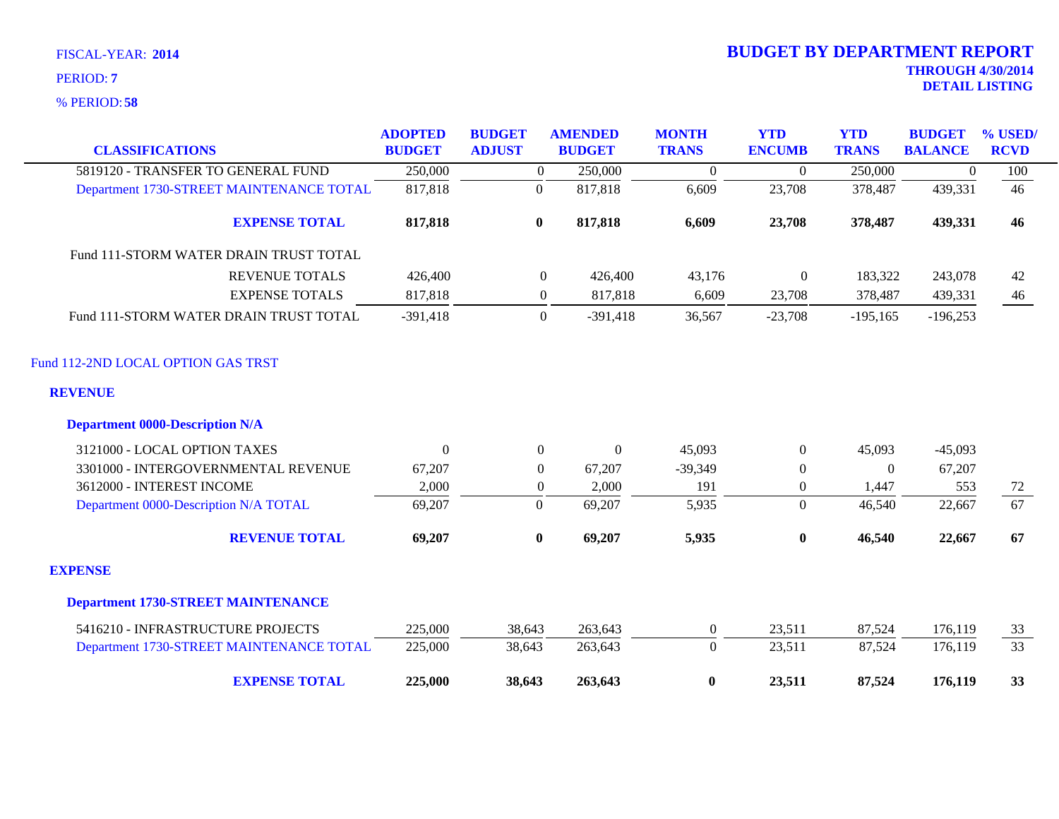| <b>CLASSIFICATIONS</b>                    | <b>ADOPTED</b><br><b>BUDGET</b> | <b>BUDGET</b><br><b>ADJUST</b> | <b>AMENDED</b><br><b>BUDGET</b> | <b>MONTH</b><br><b>TRANS</b> | <b>YTD</b><br><b>ENCUMB</b> | <b>YTD</b><br><b>TRANS</b> | <b>BUDGET</b><br><b>BALANCE</b> | % USED/<br><b>RCVD</b> |
|-------------------------------------------|---------------------------------|--------------------------------|---------------------------------|------------------------------|-----------------------------|----------------------------|---------------------------------|------------------------|
| 5819120 - TRANSFER TO GENERAL FUND        | 250,000                         | $\overline{0}$                 | 250,000                         | $\overline{0}$               | $\theta$                    | 250,000                    | $\mathbf{0}$                    | 100                    |
| Department 1730-STREET MAINTENANCE TOTAL  | 817,818                         | $\boldsymbol{0}$               | 817,818                         | 6,609                        | 23,708                      | 378,487                    | 439,331                         | 46                     |
| <b>EXPENSE TOTAL</b>                      | 817,818                         | $\bf{0}$                       | 817,818                         | 6,609                        | 23,708                      | 378,487                    | 439,331                         | 46                     |
| Fund 111-STORM WATER DRAIN TRUST TOTAL    |                                 |                                |                                 |                              |                             |                            |                                 |                        |
| <b>REVENUE TOTALS</b>                     | 426,400                         | $\overline{0}$                 | 426,400                         | 43,176                       | $\boldsymbol{0}$            | 183,322                    | 243,078                         | 42                     |
| <b>EXPENSE TOTALS</b>                     | 817,818                         | $\boldsymbol{0}$               | 817,818                         | 6,609                        | 23,708                      | 378,487                    | 439,331                         | 46                     |
| Fund 111-STORM WATER DRAIN TRUST TOTAL    | $-391,418$                      | $\overline{0}$                 | $-391,418$                      | 36,567                       | $-23,708$                   | $-195,165$                 | $-196,253$                      |                        |
| Fund 112-2ND LOCAL OPTION GAS TRST        |                                 |                                |                                 |                              |                             |                            |                                 |                        |
| <b>REVENUE</b>                            |                                 |                                |                                 |                              |                             |                            |                                 |                        |
| <b>Department 0000-Description N/A</b>    |                                 |                                |                                 |                              |                             |                            |                                 |                        |
| 3121000 - LOCAL OPTION TAXES              | $\Omega$                        | $\overline{0}$                 | $\mathbf{0}$                    | 45,093                       | $\overline{0}$              | 45,093                     | $-45,093$                       |                        |
| 3301000 - INTERGOVERNMENTAL REVENUE       | 67,207                          | $\Omega$                       | 67,207                          | $-39,349$                    | $\theta$                    | $\Omega$                   | 67,207                          |                        |
| 3612000 - INTEREST INCOME                 | 2,000                           | $\overline{0}$                 | 2,000                           | 191                          | $\boldsymbol{0}$            | 1,447                      | 553                             | 72                     |
| Department 0000-Description N/A TOTAL     | 69,207                          | $\boldsymbol{0}$               | 69,207                          | 5,935                        | $\overline{0}$              | 46,540                     | 22,667                          | 67                     |
| <b>REVENUE TOTAL</b>                      | 69,207                          | $\bf{0}$                       | 69,207                          | 5,935                        | $\bf{0}$                    | 46,540                     | 22,667                          | 67                     |
| <b>EXPENSE</b>                            |                                 |                                |                                 |                              |                             |                            |                                 |                        |
| <b>Department 1730-STREET MAINTENANCE</b> |                                 |                                |                                 |                              |                             |                            |                                 |                        |
| 5416210 - INFRASTRUCTURE PROJECTS         | 225,000                         | 38,643                         | 263,643                         | $\overline{0}$               | 23,511                      | 87,524                     | 176,119                         | 33                     |
| Department 1730-STREET MAINTENANCE TOTAL  | 225,000                         | 38,643                         | 263,643                         | $\Omega$                     | 23,511                      | 87,524                     | 176,119                         | $\overline{33}$        |
| <b>EXPENSE TOTAL</b>                      | 225,000                         | 38,643                         | 263,643                         | $\bf{0}$                     | 23,511                      | 87,524                     | 176,119                         | 33                     |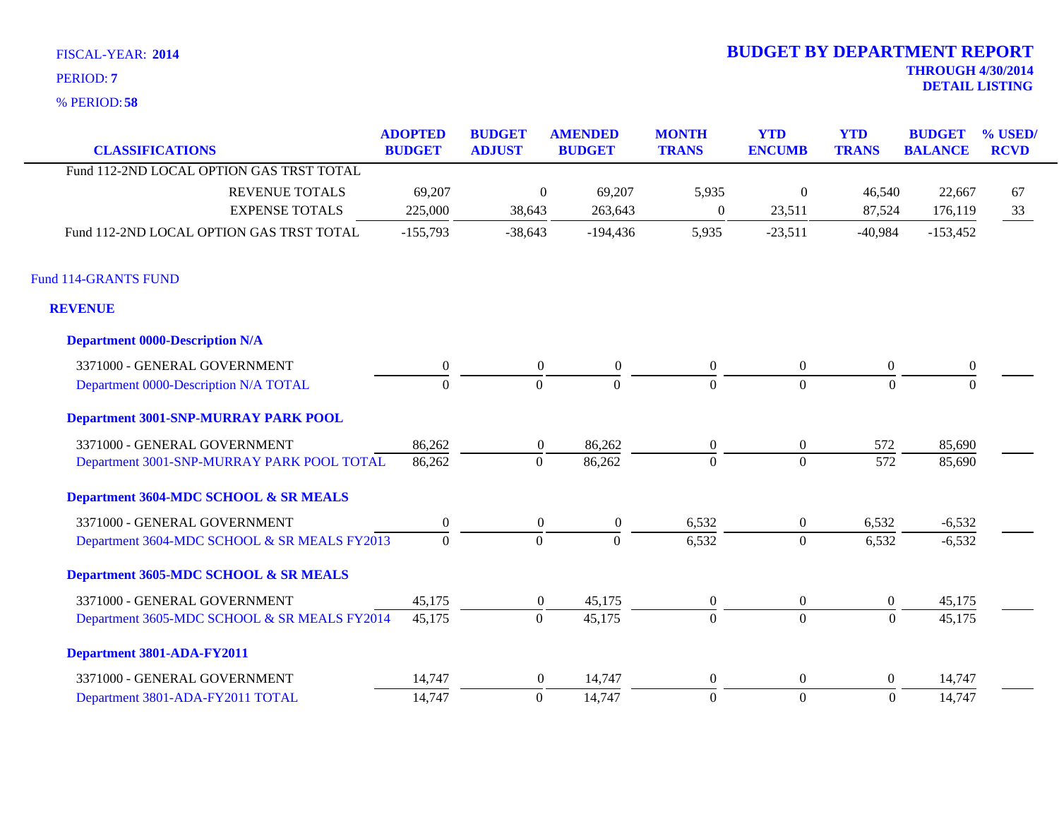**Department 0000-Description N/A**

**58** % PERIOD:

Fund 114-GRANTS FUND

**REVENUE**

| 6 PERIOD: 58                             |                                 |                                |                                 |                              |                             |                            |                                 |                           |
|------------------------------------------|---------------------------------|--------------------------------|---------------------------------|------------------------------|-----------------------------|----------------------------|---------------------------------|---------------------------|
| <b>CLASSIFICATIONS</b>                   | <b>ADOPTED</b><br><b>BUDGET</b> | <b>BUDGET</b><br><b>ADJUST</b> | <b>AMENDED</b><br><b>BUDGET</b> | <b>MONTH</b><br><b>TRANS</b> | <b>YTD</b><br><b>ENCUMB</b> | <b>YTD</b><br><b>TRANS</b> | <b>BUDGET</b><br><b>BALANCE</b> | $\%$ USED/<br><b>RCVD</b> |
| Fund 112-2ND LOCAL OPTION GAS TRST TOTAL |                                 |                                |                                 |                              |                             |                            |                                 |                           |
| <b>REVENUE TOTALS</b>                    | 69,207                          | $\overline{0}$                 | 69,207                          | 5,935                        | $\overline{0}$              | 46,540                     | 22,667                          | 67                        |
| <b>EXPENSE TOTALS</b>                    | 225,000                         | 38,643                         | 263,643                         | $\overline{0}$               | 23,511                      | 87,524                     | 176,119                         | 33                        |
| Fund 112-2ND LOCAL OPTION GAS TRST TOTAL | $-155,793$                      | $-38,643$                      | -194,436                        | 5,935                        | $-23,511$                   | $-40,984$                  | $-153,452$                      |                           |
| <b>114-GRANTS FUND</b>                   |                                 |                                |                                 |                              |                             |                            |                                 |                           |
| EVENUE                                   |                                 |                                |                                 |                              |                             |                            |                                 |                           |
|                                          |                                 |                                |                                 |                              |                             |                            |                                 |                           |

| 3371000 - GENERAL GOVERNMENT                 | 0        | $\left($ | $\Omega$ | $\overline{0}$   | $\overline{0}$ | $\theta$       | $\overline{0}$ |  |
|----------------------------------------------|----------|----------|----------|------------------|----------------|----------------|----------------|--|
| Department 0000-Description N/A TOTAL        | $\Omega$ |          | $\Omega$ | $\theta$         | $\Omega$       | $\Omega$       | $\Omega$       |  |
| Department 3001-SNP-MURRAY PARK POOL         |          |          |          |                  |                |                |                |  |
| 3371000 - GENERAL GOVERNMENT                 | 86,262   | $\Omega$ | 86,262   | $\boldsymbol{0}$ | $\overline{0}$ | 572            | 85,690         |  |
| Department 3001-SNP-MURRAY PARK POOL TOTAL   | 86,262   | $\Omega$ | 86,262   | $\Omega$         | $\Omega$       | 572            | 85,690         |  |
| Department 3604-MDC SCHOOL & SR MEALS        |          |          |          |                  |                |                |                |  |
| 3371000 - GENERAL GOVERNMENT                 | $\Omega$ | $\theta$ | $\Omega$ | 6,532            | $\overline{0}$ | 6,532          | $-6,532$       |  |
| Department 3604-MDC SCHOOL & SR MEALS FY2013 | $\theta$ | $\Omega$ | $\Omega$ | 6,532            | $\theta$       | 6,532          | $-6,532$       |  |
| Department 3605-MDC SCHOOL & SR MEALS        |          |          |          |                  |                |                |                |  |
| 3371000 - GENERAL GOVERNMENT                 | 45,175   | $\Omega$ | 45,175   | $\overline{0}$   | $\overline{0}$ | $\Omega$       | 45,175         |  |
| Department 3605-MDC SCHOOL & SR MEALS FY2014 | 45,175   | $\Omega$ | 45,175   | $\theta$         | $\Omega$       | $\Omega$       | 45,175         |  |
| Department 3801-ADA-FY2011                   |          |          |          |                  |                |                |                |  |
| 3371000 - GENERAL GOVERNMENT                 | 14,747   | $\Omega$ | 14,747   | $\boldsymbol{0}$ | $\overline{0}$ | $\overline{0}$ | 14,747         |  |
| Department 3801-ADA-FY2011 TOTAL             | 14,747   |          | 14,747   | $\Omega$         | $\Omega$       | $\Omega$       | 14,747         |  |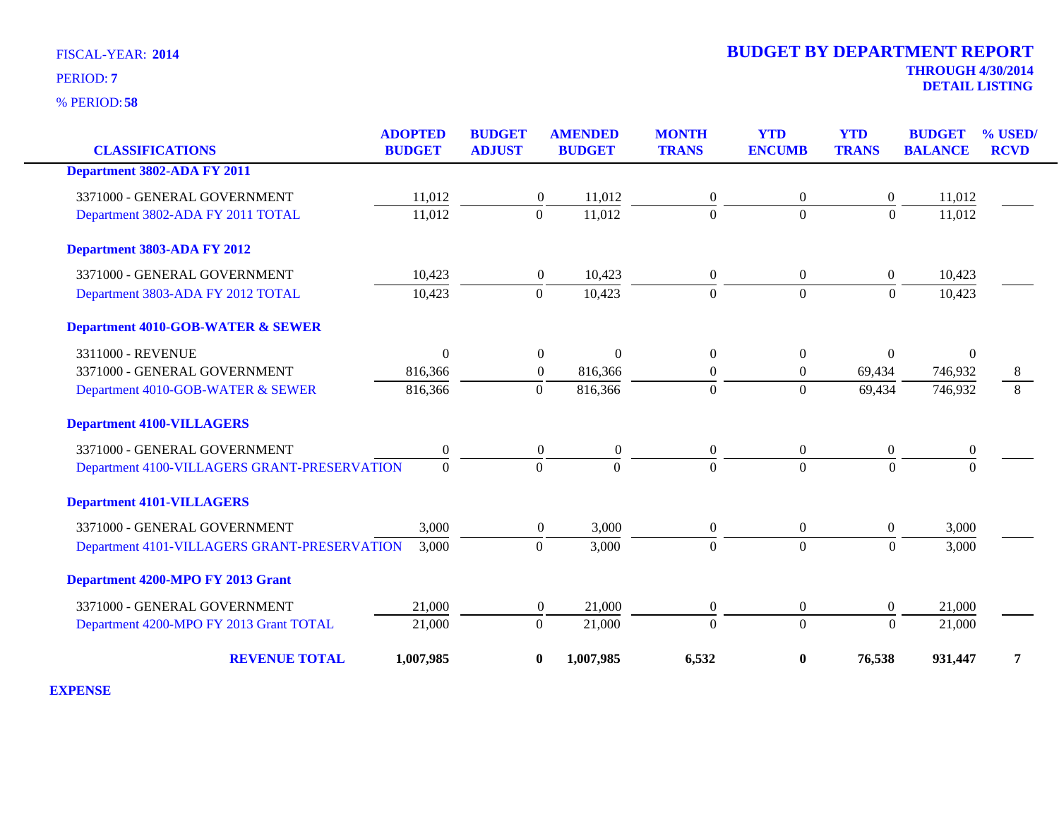**58** % PERIOD:

# **THROUGH 4/30/2014 DETAIL LISTING** PERIOD: **<sup>7</sup> 2014 BUDGET BY DEPARTMENT REPORT**

| <b>CLASSIFICATIONS</b>                       | <b>ADOPTED</b><br><b>BUDGET</b> | <b>BUDGET</b><br><b>ADJUST</b> | <b>AMENDED</b><br><b>BUDGET</b> | <b>MONTH</b><br><b>TRANS</b> | <b>YTD</b><br><b>ENCUMB</b> | <b>YTD</b><br><b>TRANS</b> | <b>BUDGET</b><br><b>BALANCE</b> | % USED/<br><b>RCVD</b> |
|----------------------------------------------|---------------------------------|--------------------------------|---------------------------------|------------------------------|-----------------------------|----------------------------|---------------------------------|------------------------|
|                                              |                                 |                                |                                 |                              |                             |                            |                                 |                        |
| Department 3802-ADA FY 2011                  |                                 |                                |                                 |                              |                             |                            |                                 |                        |
| 3371000 - GENERAL GOVERNMENT                 | 11,012                          | $\boldsymbol{0}$               | 11,012                          | $\mathbf{0}$                 | 0                           | $\overline{0}$             | 11,012                          |                        |
| Department 3802-ADA FY 2011 TOTAL            | 11,012                          | $\overline{0}$                 | 11,012                          | $\overline{0}$               | $\mathbf{0}$                | $\mathbf{0}$               | 11,012                          |                        |
| Department 3803-ADA FY 2012                  |                                 |                                |                                 |                              |                             |                            |                                 |                        |
| 3371000 - GENERAL GOVERNMENT                 | 10,423                          | $\overline{0}$                 | 10,423                          | $\overline{0}$               | $\overline{0}$              | $\boldsymbol{0}$           | 10,423                          |                        |
| Department 3803-ADA FY 2012 TOTAL            | 10,423                          | $\overline{0}$                 | 10,423                          | $\Omega$                     | $\theta$                    | $\theta$                   | 10,423                          |                        |
| <b>Department 4010-GOB-WATER &amp; SEWER</b> |                                 |                                |                                 |                              |                             |                            |                                 |                        |
| 3311000 - REVENUE                            | $\Omega$                        | $\boldsymbol{0}$               | $\theta$                        | $\overline{0}$               | $\overline{0}$              | $\mathbf{0}$               | $\Omega$                        |                        |
| 3371000 - GENERAL GOVERNMENT                 | 816,366                         | $\boldsymbol{0}$               | 816,366                         | $\boldsymbol{0}$             | $\boldsymbol{0}$            | 69,434                     | 746,932                         | 8                      |
| Department 4010-GOB-WATER & SEWER            | 816,366                         | $\mathbf{0}$                   | 816,366                         | $\overline{0}$               | $\mathbf{0}$                | 69,434                     | 746,932                         | 8                      |
| <b>Department 4100-VILLAGERS</b>             |                                 |                                |                                 |                              |                             |                            |                                 |                        |
| 3371000 - GENERAL GOVERNMENT                 | $\boldsymbol{0}$                | $\theta$                       | $\boldsymbol{0}$                | $\overline{0}$               | $\overline{0}$              | $\boldsymbol{0}$           | $\boldsymbol{0}$                |                        |
| Department 4100-VILLAGERS GRANT-PRESERVATION | $\mathbf{0}$                    | $\theta$                       | $\Omega$                        | $\Omega$                     | $\Omega$                    | $\Omega$                   | $\Omega$                        |                        |
| <b>Department 4101-VILLAGERS</b>             |                                 |                                |                                 |                              |                             |                            |                                 |                        |
| 3371000 - GENERAL GOVERNMENT                 | 3,000                           | $\boldsymbol{0}$               | 3,000                           | $\overline{0}$               | $\overline{0}$              | $\overline{0}$             | 3,000                           |                        |
| Department 4101-VILLAGERS GRANT-PRESERVATION | 3,000                           | $\boldsymbol{0}$               | 3,000                           | $\overline{0}$               | $\overline{0}$              | $\overline{0}$             | 3,000                           |                        |
| Department 4200-MPO FY 2013 Grant            |                                 |                                |                                 |                              |                             |                            |                                 |                        |
| 3371000 - GENERAL GOVERNMENT                 | 21,000                          | $\boldsymbol{0}$               | 21,000                          | $\boldsymbol{0}$             | $\boldsymbol{0}$            | $\overline{0}$             | 21,000                          |                        |
| Department 4200-MPO FY 2013 Grant TOTAL      | 21,000                          | $\Omega$                       | 21,000                          | $\Omega$                     | $\overline{0}$              | $\Omega$                   | 21,000                          |                        |
| <b>REVENUE TOTAL</b>                         | 1,007,985                       | $\bf{0}$                       | 1,007,985                       | 6,532                        | $\boldsymbol{0}$            | 76,538                     | 931,447                         | 7                      |

**EXPENSE**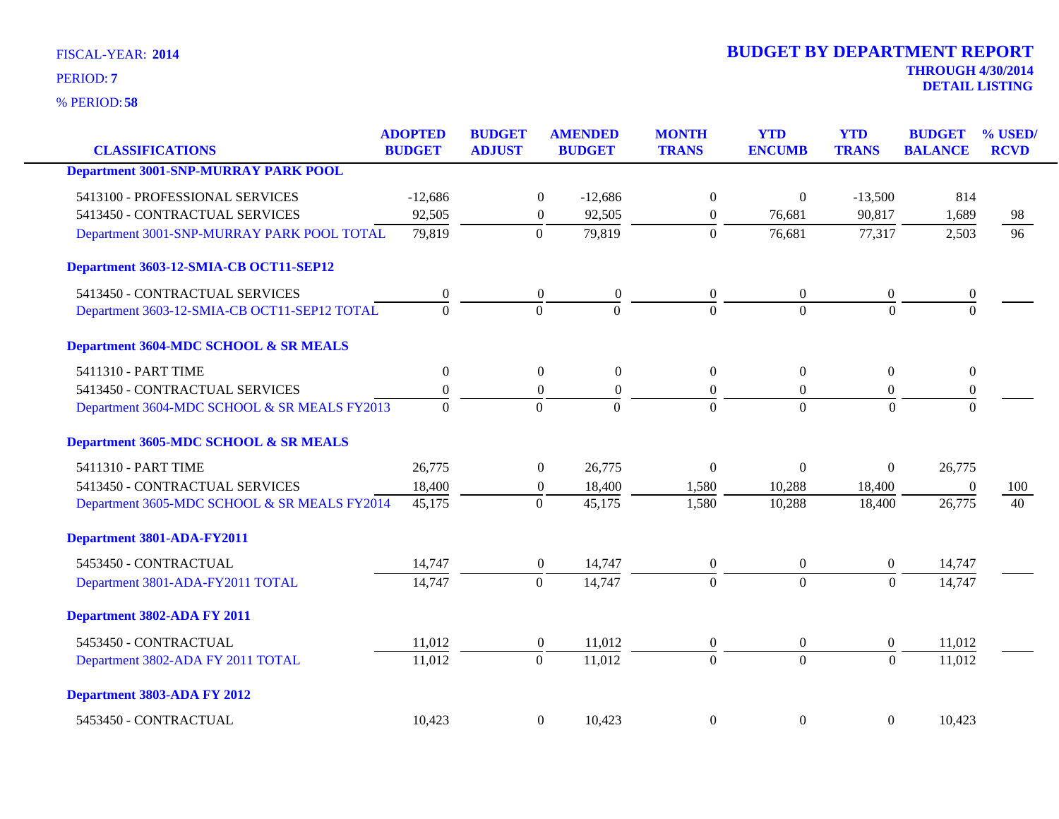**58** % PERIOD:

| <b>CLASSIFICATIONS</b>                       | <b>ADOPTED</b><br><b>BUDGET</b> | <b>BUDGET</b><br><b>ADJUST</b> | <b>AMENDED</b><br><b>BUDGET</b>      | <b>MONTH</b><br><b>TRANS</b> | <b>YTD</b><br><b>ENCUMB</b> | <b>YTD</b><br><b>TRANS</b> | <b>BUDGET</b><br><b>BALANCE</b> | % USED/<br><b>RCVD</b> |
|----------------------------------------------|---------------------------------|--------------------------------|--------------------------------------|------------------------------|-----------------------------|----------------------------|---------------------------------|------------------------|
| <b>Department 3001-SNP-MURRAY PARK POOL</b>  |                                 |                                |                                      |                              |                             |                            |                                 |                        |
| 5413100 - PROFESSIONAL SERVICES              | $-12,686$                       |                                | $\boldsymbol{0}$<br>$-12,686$        | $\boldsymbol{0}$             | $\mathbf{0}$                | $-13,500$                  | 814                             |                        |
| 5413450 - CONTRACTUAL SERVICES               | 92,505                          |                                | $\boldsymbol{0}$<br>92,505           | $\boldsymbol{0}$             | 76,681                      | 90,817                     | 1,689                           | 98                     |
| Department 3001-SNP-MURRAY PARK POOL TOTAL   | 79,819                          | $\mathbf{0}$                   | 79,819                               | $\Omega$                     | 76,681                      | 77,317                     | 2,503                           | 96                     |
| Department 3603-12-SMIA-CB OCT11-SEP12       |                                 |                                |                                      |                              |                             |                            |                                 |                        |
| 5413450 - CONTRACTUAL SERVICES               | $\boldsymbol{0}$                | $\boldsymbol{0}$               | $\boldsymbol{0}$                     | $\overline{0}$               | $\boldsymbol{0}$            | $\boldsymbol{0}$           | $\boldsymbol{0}$                |                        |
| Department 3603-12-SMIA-CB OCT11-SEP12 TOTAL | $\overline{0}$                  | $\overline{0}$                 | $\theta$                             | $\theta$                     | $\theta$                    | $\Omega$                   | $\theta$                        |                        |
| Department 3604-MDC SCHOOL & SR MEALS        |                                 |                                |                                      |                              |                             |                            |                                 |                        |
| 5411310 - PART TIME                          | $\boldsymbol{0}$                |                                | $\boldsymbol{0}$<br>$\mathbf{0}$     | $\Omega$                     | $\theta$                    | $\overline{0}$             | $\overline{0}$                  |                        |
| 5413450 - CONTRACTUAL SERVICES               | $\boldsymbol{0}$                |                                | $\boldsymbol{0}$<br>$\boldsymbol{0}$ | $\overline{0}$               | $\boldsymbol{0}$            | $\overline{0}$             | $\boldsymbol{0}$                |                        |
| Department 3604-MDC SCHOOL & SR MEALS FY2013 | $\Omega$                        | $\Omega$                       | $\Omega$                             | $\Omega$                     | $\Omega$                    | $\Omega$                   | $\Omega$                        |                        |
| Department 3605-MDC SCHOOL & SR MEALS        |                                 |                                |                                      |                              |                             |                            |                                 |                        |
| 5411310 - PART TIME                          | 26,775                          |                                | 26,775<br>$\boldsymbol{0}$           | $\boldsymbol{0}$             | $\mathbf{0}$                | $\boldsymbol{0}$           | 26,775                          |                        |
| 5413450 - CONTRACTUAL SERVICES               | 18,400                          |                                | $\boldsymbol{0}$<br>18,400           | 1,580                        | 10,288                      | 18,400                     | $\overline{0}$                  | 100                    |
| Department 3605-MDC SCHOOL & SR MEALS FY2014 | 45,175                          | $\mathbf{0}$                   | 45,175                               | 1,580                        | 10,288                      | 18,400                     | 26,775                          | 40                     |
| Department 3801-ADA-FY2011                   |                                 |                                |                                      |                              |                             |                            |                                 |                        |
| 5453450 - CONTRACTUAL                        | 14,747                          |                                | $\boldsymbol{0}$<br>14,747           | $\boldsymbol{0}$             | $\overline{0}$              | $\boldsymbol{0}$           | 14,747                          |                        |
| Department 3801-ADA-FY2011 TOTAL             | 14,747                          | $\mathbf{0}$                   | 14,747                               | $\Omega$                     | $\Omega$                    | $\Omega$                   | 14,747                          |                        |
| Department 3802-ADA FY 2011                  |                                 |                                |                                      |                              |                             |                            |                                 |                        |
| 5453450 - CONTRACTUAL                        | 11,012                          |                                | $\boldsymbol{0}$<br>11,012           | $\boldsymbol{0}$             | $\boldsymbol{0}$            | $\boldsymbol{0}$           | 11,012                          |                        |
| Department 3802-ADA FY 2011 TOTAL            | 11,012                          | $\overline{0}$                 | 11,012                               | $\theta$                     | $\overline{0}$              | $\Omega$                   | 11,012                          |                        |
| Department 3803-ADA FY 2012                  |                                 |                                |                                      |                              |                             |                            |                                 |                        |
| 5453450 - CONTRACTUAL                        | 10,423                          |                                | $\overline{0}$<br>10,423             | $\theta$                     | $\boldsymbol{0}$            | $\overline{0}$             | 10,423                          |                        |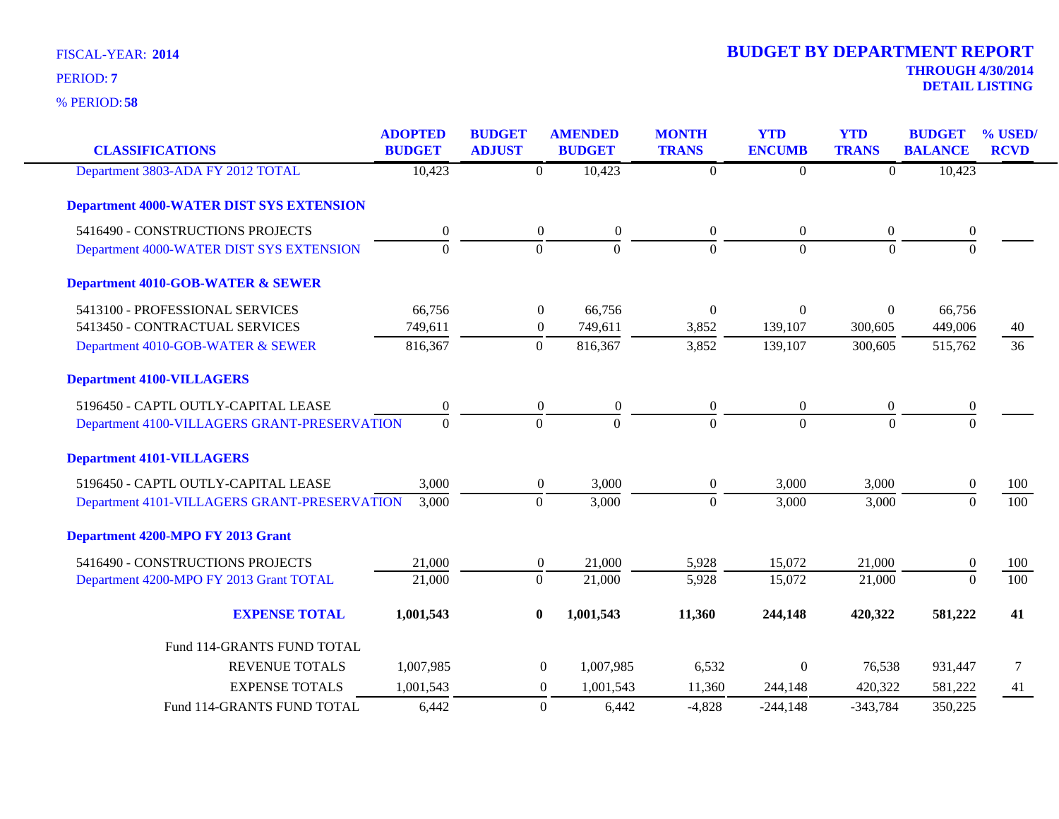| <b>CLASSIFICATIONS</b>                          | <b>ADOPTED</b><br><b>BUDGET</b> | <b>BUDGET</b><br><b>ADJUST</b> | <b>AMENDED</b><br><b>BUDGET</b> | <b>MONTH</b><br><b>TRANS</b> | <b>YTD</b><br><b>ENCUMB</b> | <b>YTD</b><br><b>TRANS</b> | <b>BUDGET</b><br><b>BALANCE</b> | % USED/<br><b>RCVD</b> |
|-------------------------------------------------|---------------------------------|--------------------------------|---------------------------------|------------------------------|-----------------------------|----------------------------|---------------------------------|------------------------|
|                                                 |                                 |                                |                                 |                              |                             |                            |                                 |                        |
| Department 3803-ADA FY 2012 TOTAL               | 10,423                          | $\mathbf{0}$                   | 10,423                          | $\boldsymbol{0}$             | $\mathbf{0}$                | $\overline{0}$             | 10,423                          |                        |
| <b>Department 4000-WATER DIST SYS EXTENSION</b> |                                 |                                |                                 |                              |                             |                            |                                 |                        |
| 5416490 - CONSTRUCTIONS PROJECTS                | $\boldsymbol{0}$                | $\boldsymbol{0}$               | $\boldsymbol{0}$                | $\mathbf{0}$                 | $\boldsymbol{0}$            | $\overline{0}$             | $\mathbf{0}$                    |                        |
| Department 4000-WATER DIST SYS EXTENSION        | $\overline{0}$                  | $\mathbf{0}$                   | $\overline{0}$                  | $\mathbf{0}$                 | $\overline{0}$              | $\mathbf{0}$               | $\overline{0}$                  |                        |
| <b>Department 4010-GOB-WATER &amp; SEWER</b>    |                                 |                                |                                 |                              |                             |                            |                                 |                        |
| 5413100 - PROFESSIONAL SERVICES                 | 66,756                          | $\boldsymbol{0}$               | 66,756                          | $\Omega$                     | $\boldsymbol{0}$            | $\boldsymbol{0}$           | 66,756                          |                        |
| 5413450 - CONTRACTUAL SERVICES                  | 749,611                         | $\boldsymbol{0}$               | 749,611                         | 3,852                        | 139,107                     | 300,605                    | 449,006                         | 40                     |
| Department 4010-GOB-WATER & SEWER               | 816,367                         | $\mathbf{0}$                   | 816,367                         | 3,852                        | 139,107                     | 300,605                    | 515,762                         | 36                     |
| <b>Department 4100-VILLAGERS</b>                |                                 |                                |                                 |                              |                             |                            |                                 |                        |
| 5196450 - CAPTL OUTLY-CAPITAL LEASE             | $\boldsymbol{0}$                | $\boldsymbol{0}$               | $\boldsymbol{0}$                | $\boldsymbol{0}$             | $\boldsymbol{0}$            | $\boldsymbol{0}$           | $\boldsymbol{0}$                |                        |
| Department 4100-VILLAGERS GRANT-PRESERVATION    | $\mathbf{0}$                    | $\mathbf{0}$                   | $\overline{0}$                  | $\Omega$                     | $\overline{0}$              | $\Omega$                   | $\Omega$                        |                        |
| <b>Department 4101-VILLAGERS</b>                |                                 |                                |                                 |                              |                             |                            |                                 |                        |
| 5196450 - CAPTL OUTLY-CAPITAL LEASE             | 3,000                           | $\boldsymbol{0}$               | 3,000                           | $\overline{0}$               | 3,000                       | 3,000                      | $\Omega$                        | 100                    |
| Department 4101-VILLAGERS GRANT-PRESERVATION    | 3,000                           | $\boldsymbol{0}$               | 3,000                           | $\mathbf{0}$                 | 3,000                       | 3,000                      | $\mathbf{0}$                    | 100                    |
| Department 4200-MPO FY 2013 Grant               |                                 |                                |                                 |                              |                             |                            |                                 |                        |
| 5416490 - CONSTRUCTIONS PROJECTS                | 21,000                          | $\boldsymbol{0}$               | 21,000                          | 5,928                        | 15,072                      | 21,000                     | $\Omega$                        | 100                    |
| Department 4200-MPO FY 2013 Grant TOTAL         | 21,000                          | $\mathbf{0}$                   | 21,000                          | 5,928                        | 15,072                      | 21,000                     | $\overline{0}$                  | 100                    |
| <b>EXPENSE TOTAL</b>                            | 1,001,543                       | $\bf{0}$                       | 1,001,543                       | 11,360                       | 244,148                     | 420,322                    | 581,222                         | 41                     |
| Fund 114-GRANTS FUND TOTAL                      |                                 |                                |                                 |                              |                             |                            |                                 |                        |
| <b>REVENUE TOTALS</b>                           | 1,007,985                       | $\overline{0}$                 | 1,007,985                       | 6,532                        | $\mathbf{0}$                | 76,538                     | 931,447                         | $\tau$                 |
| <b>EXPENSE TOTALS</b>                           | 1,001,543                       | $\overline{0}$                 | 1,001,543                       | 11,360                       | 244,148                     | 420,322                    | 581,222                         | 41                     |
| Fund 114-GRANTS FUND TOTAL                      | 6,442                           | $\theta$                       | 6,442                           | $-4,828$                     | $-244,148$                  | $-343,784$                 | 350,225                         |                        |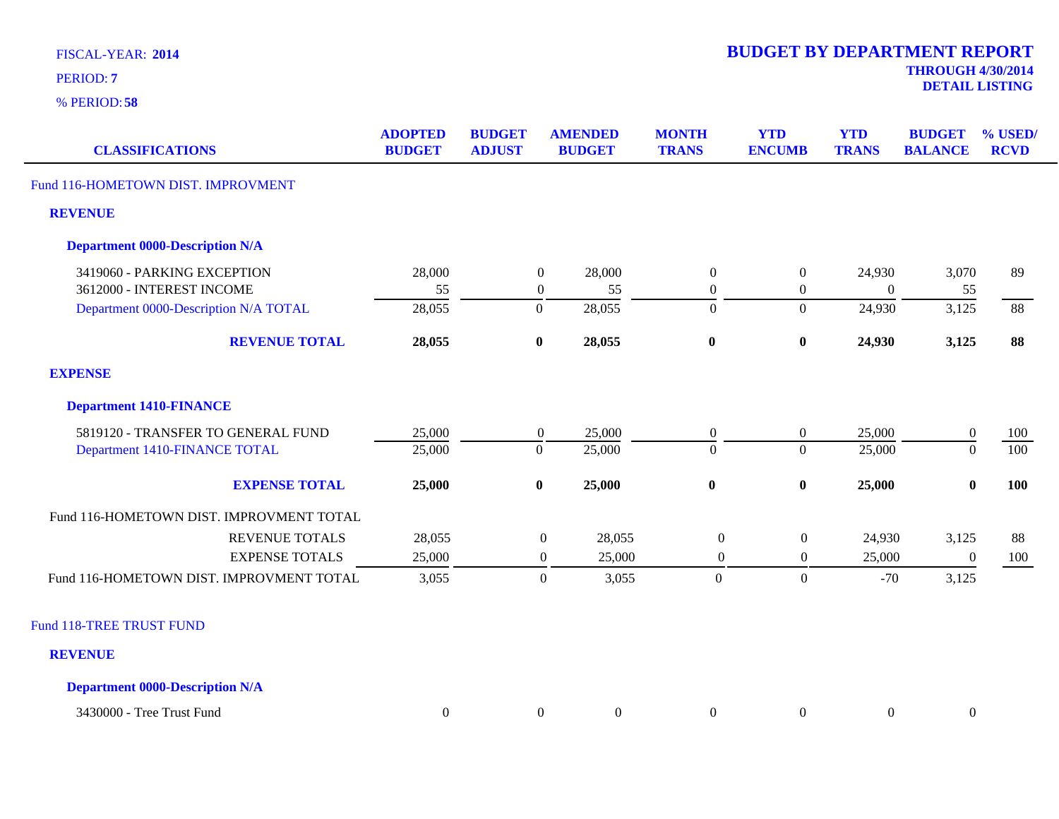**58** % PERIOD:

**DETAIL LISTING** PERIOD: **<sup>7</sup>**

| <b>CLASSIFICATIONS</b>                   | <b>ADOPTED</b><br><b>BUDGET</b> | <b>BUDGET</b><br><b>ADJUST</b> | <b>AMENDED</b><br><b>BUDGET</b> | <b>MONTH</b><br><b>TRANS</b> | <b>YTD</b><br><b>ENCUMB</b> | <b>YTD</b><br><b>TRANS</b> | <b>BUDGET</b><br><b>BALANCE</b> | % USED/<br><b>RCVD</b> |
|------------------------------------------|---------------------------------|--------------------------------|---------------------------------|------------------------------|-----------------------------|----------------------------|---------------------------------|------------------------|
| Fund 116-HOMETOWN DIST. IMPROVMENT       |                                 |                                |                                 |                              |                             |                            |                                 |                        |
| <b>REVENUE</b>                           |                                 |                                |                                 |                              |                             |                            |                                 |                        |
| <b>Department 0000-Description N/A</b>   |                                 |                                |                                 |                              |                             |                            |                                 |                        |
| 3419060 - PARKING EXCEPTION              | 28,000                          |                                | 28,000<br>$\boldsymbol{0}$      | $\boldsymbol{0}$             | $\boldsymbol{0}$            | 24,930                     | 3,070                           | 89                     |
| 3612000 - INTEREST INCOME                | 55                              |                                | $\boldsymbol{0}$<br>55          | $\overline{0}$               | $\boldsymbol{0}$            | $\boldsymbol{0}$           | 55                              |                        |
| Department 0000-Description N/A TOTAL    | 28,055                          |                                | $\overline{0}$<br>28,055        | $\boldsymbol{0}$             | $\boldsymbol{0}$            | 24,930                     | 3,125                           | 88                     |
| <b>REVENUE TOTAL</b>                     | 28,055                          |                                | 28,055<br>$\bf{0}$              | $\bf{0}$                     | $\bf{0}$                    | 24,930                     | 3,125                           | 88                     |
| <b>EXPENSE</b>                           |                                 |                                |                                 |                              |                             |                            |                                 |                        |
| <b>Department 1410-FINANCE</b>           |                                 |                                |                                 |                              |                             |                            |                                 |                        |
| 5819120 - TRANSFER TO GENERAL FUND       | 25,000                          |                                | 25,000<br>$\boldsymbol{0}$      | $\overline{0}$               | $\boldsymbol{0}$            | 25,000                     | $\boldsymbol{0}$                | 100                    |
| Department 1410-FINANCE TOTAL            | 25,000                          |                                | $\boldsymbol{0}$<br>25,000      | $\overline{0}$               | $\boldsymbol{0}$            | 25,000                     | $\overline{0}$                  | 100                    |
| <b>EXPENSE TOTAL</b>                     | 25,000                          |                                | $\bf{0}$<br>25,000              | $\bf{0}$                     | $\bf{0}$                    | 25,000                     | $\bf{0}$                        | 100                    |
| Fund 116-HOMETOWN DIST. IMPROVMENT TOTAL |                                 |                                |                                 |                              |                             |                            |                                 |                        |
| <b>REVENUE TOTALS</b>                    | 28,055                          |                                | 28,055<br>$\boldsymbol{0}$      | $\boldsymbol{0}$             | $\boldsymbol{0}$            | 24,930                     | 3,125                           | 88                     |
| <b>EXPENSE TOTALS</b>                    | 25,000                          |                                | $\boldsymbol{0}$<br>25,000      | $\boldsymbol{0}$             | $\boldsymbol{0}$            | 25,000                     | $\boldsymbol{0}$                | 100                    |
| Fund 116-HOMETOWN DIST. IMPROVMENT TOTAL | 3,055                           |                                | $\boldsymbol{0}$<br>3,055       | $\overline{0}$               | $\mathbf{0}$                | $-70$                      | 3,125                           |                        |
| Fund 118-TREE TRUST FUND                 |                                 |                                |                                 |                              |                             |                            |                                 |                        |
| <b>REVENUE</b>                           |                                 |                                |                                 |                              |                             |                            |                                 |                        |
| <b>Department 0000-Description N/A</b>   |                                 |                                |                                 |                              |                             |                            |                                 |                        |

| 3430000<br>$\mathbf{r}$<br>Tree<br>Frust Fund |  |  |  |  |
|-----------------------------------------------|--|--|--|--|
|                                               |  |  |  |  |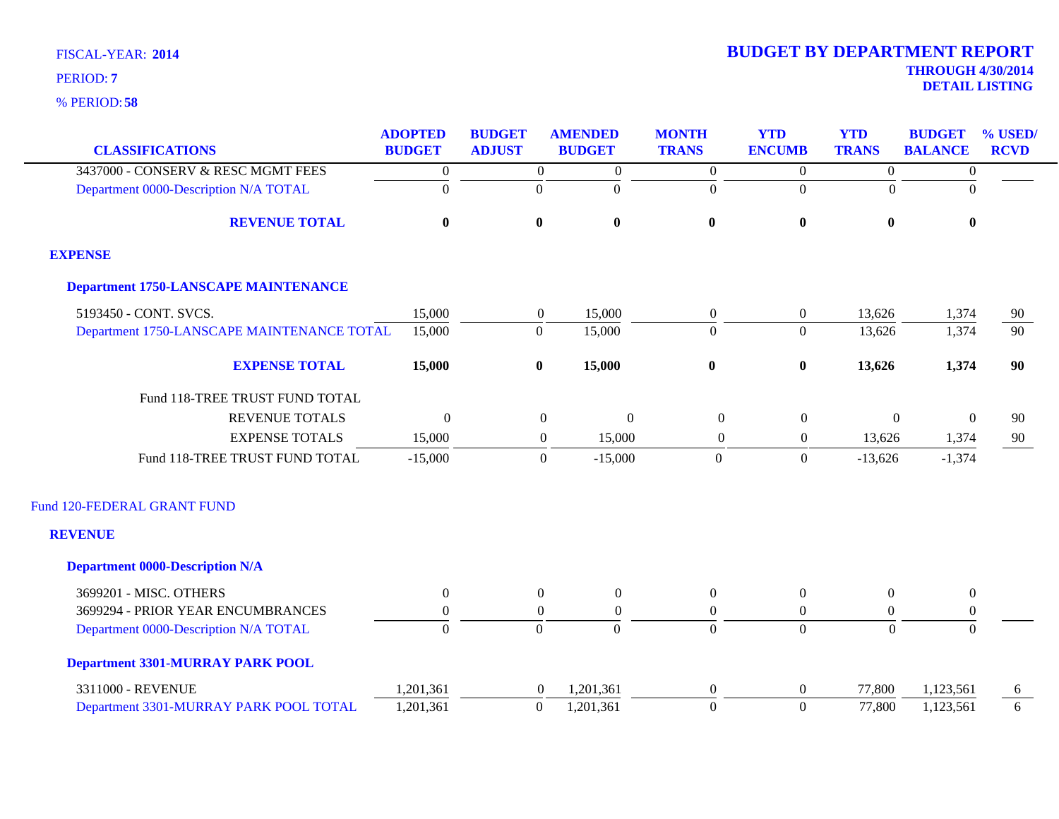| <b>CLASSIFICATIONS</b>                      | <b>ADOPTED</b><br><b>BUDGET</b> | <b>BUDGET</b><br><b>ADJUST</b> | <b>AMENDED</b><br><b>BUDGET</b>      | <b>MONTH</b><br><b>TRANS</b> | <b>YTD</b><br><b>ENCUMB</b> | <b>YTD</b><br><b>TRANS</b> | <b>BUDGET</b><br><b>BALANCE</b> | % USED/<br><b>RCVD</b> |
|---------------------------------------------|---------------------------------|--------------------------------|--------------------------------------|------------------------------|-----------------------------|----------------------------|---------------------------------|------------------------|
| 3437000 - CONSERV & RESC MGMT FEES          | $\boldsymbol{0}$                | $\overline{0}$                 | $\boldsymbol{0}$                     | $\boldsymbol{0}$             | $\overline{0}$              | $\overline{0}$             | $\boldsymbol{0}$                |                        |
| Department 0000-Description N/A TOTAL       | $\boldsymbol{0}$                | $\overline{0}$                 | $\mathbf{0}$                         | $\overline{0}$               | $\Omega$                    | $\Omega$                   | $\Omega$                        |                        |
|                                             |                                 |                                |                                      |                              |                             |                            |                                 |                        |
| <b>REVENUE TOTAL</b>                        | $\bf{0}$                        | $\bf{0}$                       | $\bf{0}$                             | $\bf{0}$                     | $\bf{0}$                    | $\bf{0}$                   | $\bf{0}$                        |                        |
| <b>EXPENSE</b>                              |                                 |                                |                                      |                              |                             |                            |                                 |                        |
| <b>Department 1750-LANSCAPE MAINTENANCE</b> |                                 |                                |                                      |                              |                             |                            |                                 |                        |
| 5193450 - CONT. SVCS.                       | 15,000                          | $\overline{0}$                 | 15,000                               | $\boldsymbol{0}$             | $\overline{0}$              | 13,626                     | 1,374                           | 90                     |
| Department 1750-LANSCAPE MAINTENANCE TOTAL  | 15,000                          | $\boldsymbol{0}$               | 15,000                               | $\overline{0}$               | $\overline{0}$              | 13,626                     | 1,374                           | $\overline{90}$        |
| <b>EXPENSE TOTAL</b>                        | 15,000                          | $\pmb{0}$                      | 15,000                               | $\boldsymbol{0}$             | $\pmb{0}$                   | 13,626                     | 1,374                           | 90                     |
| Fund 118-TREE TRUST FUND TOTAL              |                                 |                                |                                      |                              |                             |                            |                                 |                        |
| <b>REVENUE TOTALS</b>                       | $\mathbf{0}$                    |                                | $\boldsymbol{0}$<br>$\boldsymbol{0}$ | $\boldsymbol{0}$             | $\boldsymbol{0}$            | $\boldsymbol{0}$           | $\Omega$                        | 90                     |
| <b>EXPENSE TOTALS</b>                       | 15,000                          |                                | 15,000<br>$\overline{0}$             | $\boldsymbol{0}$             | $\boldsymbol{0}$            | 13,626                     | 1,374                           | 90                     |
| Fund 118-TREE TRUST FUND TOTAL              | $-15,000$                       |                                | $-15,000$<br>$\overline{0}$          | $\overline{0}$               | $\boldsymbol{0}$            | $-13,626$                  | $-1,374$                        |                        |
| Fund 120-FEDERAL GRANT FUND                 |                                 |                                |                                      |                              |                             |                            |                                 |                        |
| <b>REVENUE</b>                              |                                 |                                |                                      |                              |                             |                            |                                 |                        |
| <b>Department 0000-Description N/A</b>      |                                 |                                |                                      |                              |                             |                            |                                 |                        |
| 3699201 - MISC. OTHERS                      | $\theta$                        | $\overline{0}$                 | $\overline{0}$                       | $\theta$                     | $\overline{0}$              | $\overline{0}$             | $\overline{0}$                  |                        |
| 3699294 - PRIOR YEAR ENCUMBRANCES           | $\boldsymbol{0}$                | $\boldsymbol{0}$               | $\boldsymbol{0}$                     | $\theta$                     | $\boldsymbol{0}$            | $\overline{0}$             | $\boldsymbol{0}$                |                        |
| Department 0000-Description N/A TOTAL       | $\overline{0}$                  | $\overline{0}$                 | $\overline{0}$                       | $\overline{0}$               | $\Omega$                    | $\overline{0}$             | $\Omega$                        |                        |
| <b>Department 3301-MURRAY PARK POOL</b>     |                                 |                                |                                      |                              |                             |                            |                                 |                        |
| 3311000 - REVENUE                           | 1,201,361                       | $\overline{0}$                 | 1,201,361                            | $\boldsymbol{0}$             | $\boldsymbol{0}$            | 77,800                     | 1,123,561                       | 6                      |
| Department 3301-MURRAY PARK POOL TOTAL      | 1,201,361                       | $\mathbf{0}$                   | 1,201,361                            | $\overline{0}$               | $\overline{0}$              | 77,800                     | 1,123,561                       | 6                      |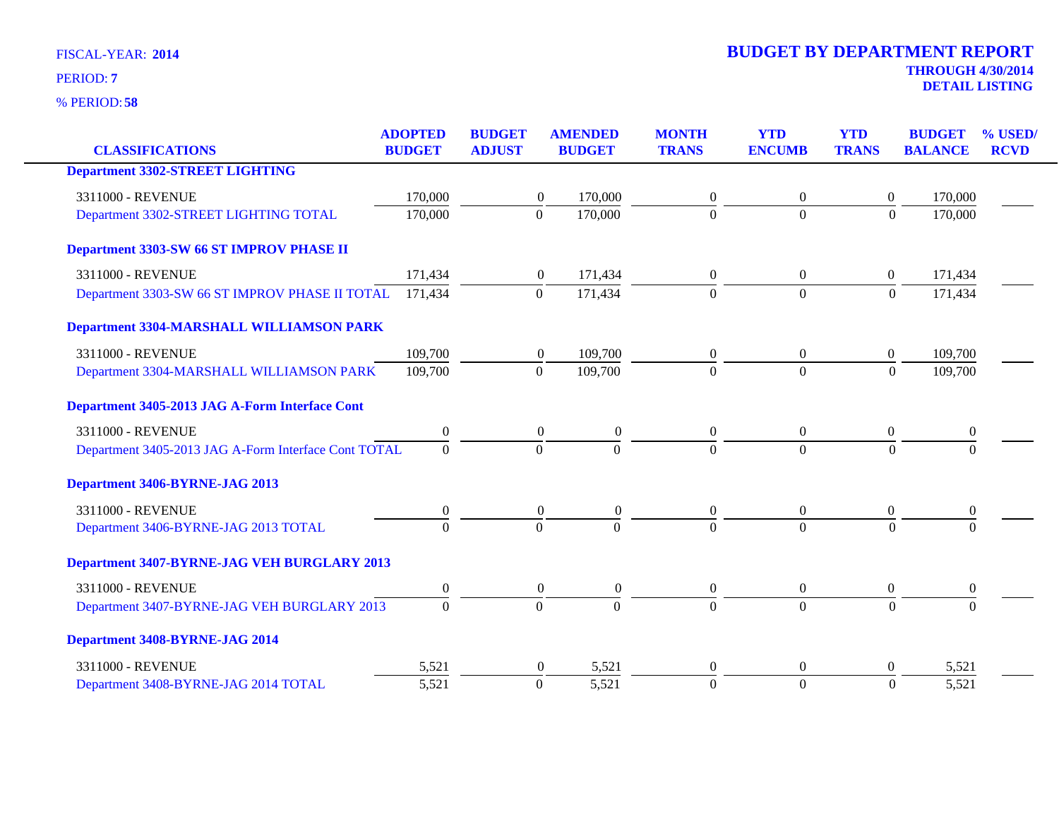|                                                      | <b>ADOPTED</b>   | <b>BUDGET</b>  | <b>AMENDED</b>                       | <b>MONTH</b>     | <b>YTD</b>       | <b>YTD</b>       | <b>BUDGET</b>    | % USED/     |
|------------------------------------------------------|------------------|----------------|--------------------------------------|------------------|------------------|------------------|------------------|-------------|
| <b>CLASSIFICATIONS</b>                               | <b>BUDGET</b>    | <b>ADJUST</b>  | <b>BUDGET</b>                        | <b>TRANS</b>     | <b>ENCUMB</b>    | <b>TRANS</b>     | <b>BALANCE</b>   | <b>RCVD</b> |
| <b>Department 3302-STREET LIGHTING</b>               |                  |                |                                      |                  |                  |                  |                  |             |
| 3311000 - REVENUE                                    | 170,000          |                | 170,000<br>$\boldsymbol{0}$          | $\Omega$         | $\theta$         | $\overline{0}$   | 170,000          |             |
| Department 3302-STREET LIGHTING TOTAL                | 170,000          | $\overline{0}$ | 170,000                              | $\overline{0}$   | $\overline{0}$   | $\overline{0}$   | 170,000          |             |
| Department 3303-SW 66 ST IMPROV PHASE II             |                  |                |                                      |                  |                  |                  |                  |             |
| 3311000 - REVENUE                                    | 171,434          |                | $\boldsymbol{0}$<br>171,434          | $\boldsymbol{0}$ | $\mathbf{0}$     | $\overline{0}$   | 171,434          |             |
| Department 3303-SW 66 ST IMPROV PHASE II TOTAL       | 171,434          | $\mathbf{0}$   | 171,434                              | $\Omega$         | $\boldsymbol{0}$ | $\boldsymbol{0}$ | 171,434          |             |
| <b>Department 3304-MARSHALL WILLIAMSON PARK</b>      |                  |                |                                      |                  |                  |                  |                  |             |
| 3311000 - REVENUE                                    | 109,700          |                | 109,700<br>$\boldsymbol{0}$          | $\overline{0}$   | $\mathbf{0}$     | $\mathbf{0}$     | 109,700          |             |
| Department 3304-MARSHALL WILLIAMSON PARK             | 109,700          | $\overline{0}$ | 109,700                              | $\Omega$         | $\overline{0}$   | $\Omega$         | 109,700          |             |
| Department 3405-2013 JAG A-Form Interface Cont       |                  |                |                                      |                  |                  |                  |                  |             |
| 3311000 - REVENUE                                    | $\boldsymbol{0}$ |                | $\boldsymbol{0}$<br>$\boldsymbol{0}$ | $\overline{0}$   | $\mathbf{0}$     | $\mathbf{0}$     | $\theta$         |             |
| Department 3405-2013 JAG A-Form Interface Cont TOTAL | $\boldsymbol{0}$ | $\theta$       | $\overline{0}$                       | $\Omega$         | $\Omega$         | $\overline{0}$   | $\Omega$         |             |
| Department 3406-BYRNE-JAG 2013                       |                  |                |                                      |                  |                  |                  |                  |             |
| 3311000 - REVENUE                                    | $\boldsymbol{0}$ |                | $\boldsymbol{0}$<br>$\boldsymbol{0}$ | $\boldsymbol{0}$ | $\boldsymbol{0}$ | $\boldsymbol{0}$ | $\boldsymbol{0}$ |             |
| Department 3406-BYRNE-JAG 2013 TOTAL                 | $\Omega$         | $\theta$       | $\Omega$                             | $\Omega$         | $\Omega$         | $\Omega$         | $\Omega$         |             |
| <b>Department 3407-BYRNE-JAG VEH BURGLARY 2013</b>   |                  |                |                                      |                  |                  |                  |                  |             |
| 3311000 - REVENUE                                    | $\boldsymbol{0}$ |                | $\overline{0}$<br>$\boldsymbol{0}$   | $\overline{0}$   | $\overline{0}$   | $\mathbf{0}$     | $\boldsymbol{0}$ |             |
| Department 3407-BYRNE-JAG VEH BURGLARY 2013          | $\Omega$         | $\theta$       | $\theta$                             | $\Omega$         | $\theta$         | $\Omega$         | $\Omega$         |             |
| Department 3408-BYRNE-JAG 2014                       |                  |                |                                      |                  |                  |                  |                  |             |
| 3311000 - REVENUE                                    | 5,521            |                | $\theta$<br>5,521                    | $\theta$         | $\theta$         | $\theta$         | 5,521            |             |
| Department 3408-BYRNE-JAG 2014 TOTAL                 | 5,521            | $\overline{0}$ | 5,521                                | $\overline{0}$   | $\overline{0}$   | $\overline{0}$   | 5,521            |             |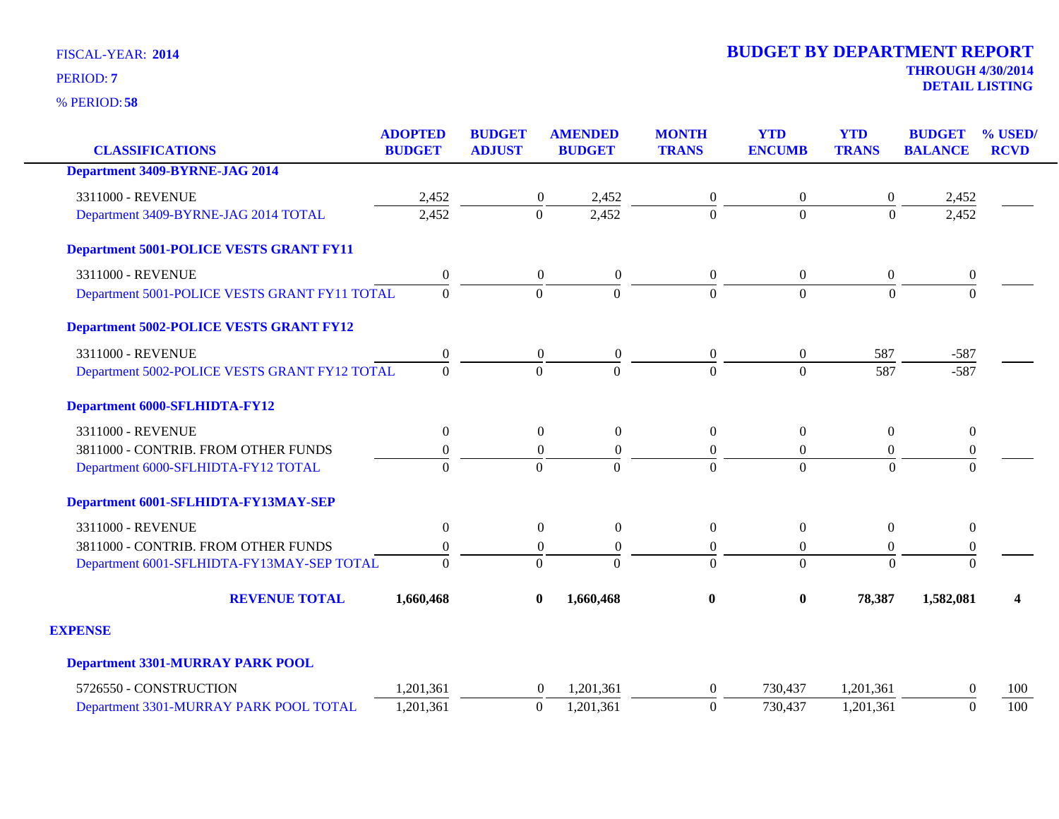**58** % PERIOD:

**DETAIL LISTING** PERIOD: **<sup>7</sup>**

| <b>CLASSIFICATIONS</b>                         | <b>ADOPTED</b><br><b>BUDGET</b> | <b>BUDGET</b><br><b>ADJUST</b> | <b>AMENDED</b><br><b>BUDGET</b> | <b>MONTH</b><br><b>TRANS</b> | <b>YTD</b><br><b>ENCUMB</b> | <b>YTD</b><br><b>TRANS</b> | <b>BUDGET</b><br><b>BALANCE</b> | % USED/<br><b>RCVD</b> |
|------------------------------------------------|---------------------------------|--------------------------------|---------------------------------|------------------------------|-----------------------------|----------------------------|---------------------------------|------------------------|
| <b>Department 3409-BYRNE-JAG 2014</b>          |                                 |                                |                                 |                              |                             |                            |                                 |                        |
| 3311000 - REVENUE                              | 2,452                           | $\boldsymbol{0}$               | 2,452                           | $\boldsymbol{0}$             | 0                           | $\boldsymbol{0}$           | 2,452                           |                        |
| Department 3409-BYRNE-JAG 2014 TOTAL           | 2,452                           | $\overline{0}$                 | 2,452                           | $\overline{0}$               | $\Omega$                    | $\Omega$                   | 2,452                           |                        |
| <b>Department 5001-POLICE VESTS GRANT FY11</b> |                                 |                                |                                 |                              |                             |                            |                                 |                        |
| 3311000 - REVENUE                              | $\boldsymbol{0}$                | $\overline{0}$                 | $\overline{0}$                  | $\mathbf{0}$                 | $\overline{0}$              | $\boldsymbol{0}$           | $\boldsymbol{0}$                |                        |
| Department 5001-POLICE VESTS GRANT FY11 TOTAL  | $\overline{0}$                  | $\theta$                       | $\Omega$                        | $\Omega$                     | $\overline{0}$              | $\Omega$                   | $\Omega$                        |                        |
| <b>Department 5002-POLICE VESTS GRANT FY12</b> |                                 |                                |                                 |                              |                             |                            |                                 |                        |
| 3311000 - REVENUE                              | $\boldsymbol{0}$                | $\boldsymbol{0}$               | $\boldsymbol{0}$                | $\boldsymbol{0}$             | $\boldsymbol{0}$            | 587                        | $-587$                          |                        |
| Department 5002-POLICE VESTS GRANT FY12 TOTAL  | $\overline{0}$                  | $\Omega$                       | $\theta$                        | $\Omega$                     | $\Omega$                    | 587                        | $-587$                          |                        |
| <b>Department 6000-SFLHIDTA-FY12</b>           |                                 |                                |                                 |                              |                             |                            |                                 |                        |
| 3311000 - REVENUE                              | $\boldsymbol{0}$                | $\overline{0}$                 | $\boldsymbol{0}$                | $\boldsymbol{0}$             | $\boldsymbol{0}$            | $\theta$                   | $\overline{0}$                  |                        |
| 3811000 - CONTRIB. FROM OTHER FUNDS            | $\boldsymbol{0}$                | $\boldsymbol{0}$               | $\boldsymbol{0}$                | $\boldsymbol{0}$             | $\overline{0}$              | $\boldsymbol{0}$           | $\boldsymbol{0}$                |                        |
| Department 6000-SFLHIDTA-FY12 TOTAL            | $\overline{0}$                  | $\Omega$                       | $\Omega$                        | $\Omega$                     | $\Omega$                    | $\Omega$                   | $\Omega$                        |                        |
| Department 6001-SFLHIDTA-FY13MAY-SEP           |                                 |                                |                                 |                              |                             |                            |                                 |                        |
| 3311000 - REVENUE                              | $\boldsymbol{0}$                | $\boldsymbol{0}$               | $\boldsymbol{0}$                | $\boldsymbol{0}$             | $\boldsymbol{0}$            | $\theta$                   | $\boldsymbol{0}$                |                        |
| 3811000 - CONTRIB. FROM OTHER FUNDS            | $\boldsymbol{0}$                | $\boldsymbol{0}$               | $\overline{0}$                  | $\boldsymbol{0}$             | $\overline{0}$              | $\theta$                   | $\boldsymbol{0}$                |                        |
| Department 6001-SFLHIDTA-FY13MAY-SEP TOTAL     | $\theta$                        | $\Omega$                       | $\Omega$                        | $\Omega$                     | $\Omega$                    | $\Omega$                   | $\theta$                        |                        |
| <b>REVENUE TOTAL</b>                           | 1,660,468                       | $\bf{0}$                       | 1,660,468                       | $\bf{0}$                     | $\bf{0}$                    | 78,387                     | 1,582,081                       | 4                      |
| <b>EXPENSE</b>                                 |                                 |                                |                                 |                              |                             |                            |                                 |                        |
| <b>Department 3301-MURRAY PARK POOL</b>        |                                 |                                |                                 |                              |                             |                            |                                 |                        |
| 5726550 - CONSTRUCTION                         | 1,201,361                       | $\overline{0}$                 | 1,201,361                       | $\overline{0}$               | 730,437                     | 1,201,361                  | $\Omega$                        | 100                    |
| Department 3301-MURRAY PARK POOL TOTAL         | 1,201,361                       | $\mathbf{0}$                   | 1,201,361                       | $\boldsymbol{0}$             | 730,437                     | 1,201,361                  | $\theta$                        | 100                    |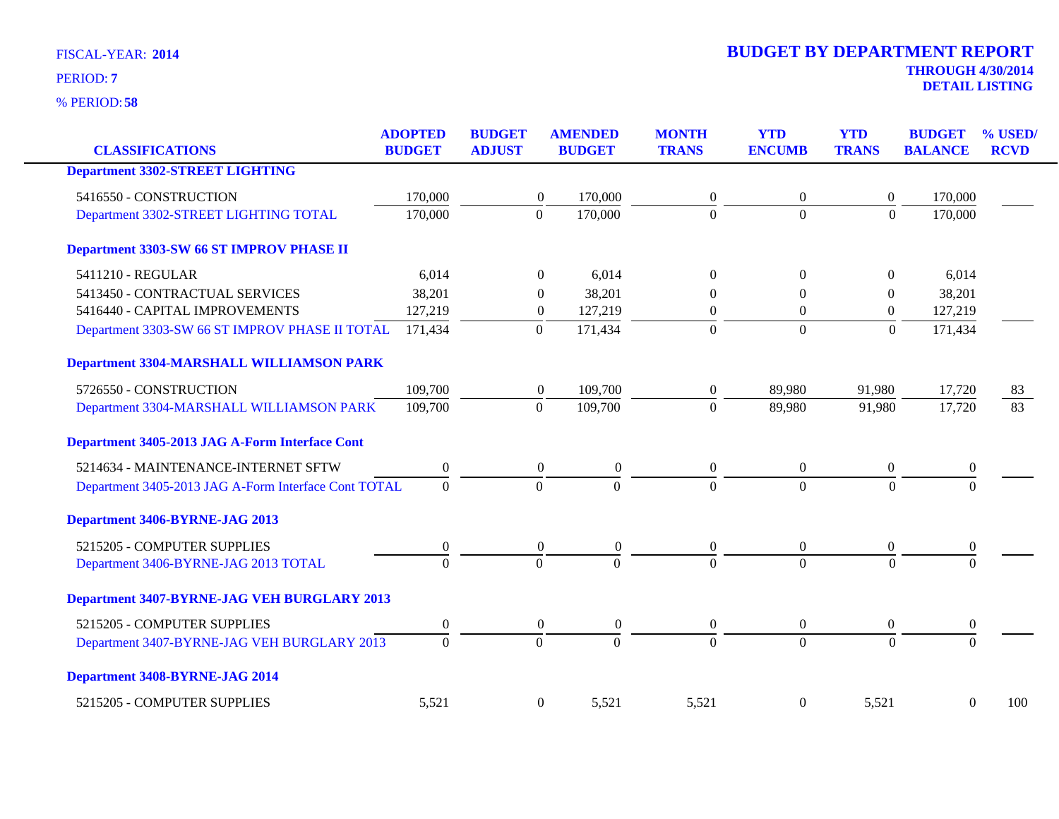| <b>CLASSIFICATIONS</b>                               | <b>ADOPTED</b><br><b>BUDGET</b> | <b>BUDGET</b><br><b>ADJUST</b> | <b>AMENDED</b><br><b>BUDGET</b> | <b>MONTH</b><br><b>TRANS</b> | <b>YTD</b><br><b>ENCUMB</b> | <b>YTD</b><br><b>TRANS</b> | <b>BUDGET</b><br><b>BALANCE</b> | % USED/<br><b>RCVD</b> |
|------------------------------------------------------|---------------------------------|--------------------------------|---------------------------------|------------------------------|-----------------------------|----------------------------|---------------------------------|------------------------|
| <b>Department 3302-STREET LIGHTING</b>               |                                 |                                |                                 |                              |                             |                            |                                 |                        |
| 5416550 - CONSTRUCTION                               | 170,000                         | $\boldsymbol{0}$               | 170,000                         | $\boldsymbol{0}$             | $\boldsymbol{0}$            | $\boldsymbol{0}$           | 170,000                         |                        |
| Department 3302-STREET LIGHTING TOTAL                | 170,000                         | $\mathbf{0}$                   | 170,000                         | $\overline{0}$               | $\overline{0}$              | $\Omega$                   | 170,000                         |                        |
| Department 3303-SW 66 ST IMPROV PHASE II             |                                 |                                |                                 |                              |                             |                            |                                 |                        |
| 5411210 - REGULAR                                    | 6,014                           | $\Omega$                       | 6,014                           | $\Omega$                     | $\Omega$                    | $\overline{0}$             | 6,014                           |                        |
| 5413450 - CONTRACTUAL SERVICES                       | 38,201                          | $\theta$                       | 38,201                          | 0                            | $\Omega$                    | $\Omega$                   | 38,201                          |                        |
| 5416440 - CAPITAL IMPROVEMENTS                       | 127,219                         | $\boldsymbol{0}$               | 127,219                         | $\mathbf{0}$                 | $\overline{0}$              | $\overline{0}$             | 127,219                         |                        |
| Department 3303-SW 66 ST IMPROV PHASE II TOTAL       | 171,434                         | $\mathbf{0}$                   | 171,434                         | $\boldsymbol{0}$             | $\mathbf{0}$                | $\mathbf{0}$               | 171,434                         |                        |
| <b>Department 3304-MARSHALL WILLIAMSON PARK</b>      |                                 |                                |                                 |                              |                             |                            |                                 |                        |
| 5726550 - CONSTRUCTION                               | 109,700                         | $\boldsymbol{0}$               | 109,700                         | $\overline{0}$               | 89,980                      | 91,980                     | 17,720                          | 83                     |
| Department 3304-MARSHALL WILLIAMSON PARK             | 109,700                         | $\mathbf{0}$                   | 109,700                         | $\overline{0}$               | 89,980                      | 91,980                     | 17,720                          | 83                     |
| Department 3405-2013 JAG A-Form Interface Cont       |                                 |                                |                                 |                              |                             |                            |                                 |                        |
| 5214634 - MAINTENANCE-INTERNET SFTW                  | $\boldsymbol{0}$                | $\overline{0}$                 | $\theta$                        | $\overline{0}$               | $\overline{0}$              | $\overline{0}$             | $\mathbf{0}$                    |                        |
| Department 3405-2013 JAG A-Form Interface Cont TOTAL | $\overline{0}$                  | $\boldsymbol{0}$               | $\overline{0}$                  | $\overline{0}$               | $\overline{0}$              | $\overline{0}$             | $\overline{0}$                  |                        |
| Department 3406-BYRNE-JAG 2013                       |                                 |                                |                                 |                              |                             |                            |                                 |                        |
| 5215205 - COMPUTER SUPPLIES                          | $\boldsymbol{0}$                | $\theta$                       | $\boldsymbol{0}$                | $\overline{0}$               | $\overline{0}$              | $\overline{0}$             | $\boldsymbol{0}$                |                        |
| Department 3406-BYRNE-JAG 2013 TOTAL                 | $\Omega$                        | $\Omega$                       | $\Omega$                        | $\Omega$                     | $\Omega$                    | $\Omega$                   | $\Omega$                        |                        |
| Department 3407-BYRNE-JAG VEH BURGLARY 2013          |                                 |                                |                                 |                              |                             |                            |                                 |                        |
| 5215205 - COMPUTER SUPPLIES                          | $\boldsymbol{0}$                | $\overline{0}$                 | $\boldsymbol{0}$                | $\overline{0}$               | $\overline{0}$              | $\overline{0}$             | $\boldsymbol{0}$                |                        |
| Department 3407-BYRNE-JAG VEH BURGLARY 2013          | $\overline{0}$                  | $\overline{0}$                 | $\Omega$                        | $\Omega$                     | $\theta$                    | $\Omega$                   | $\Omega$                        |                        |
| Department 3408-BYRNE-JAG 2014                       |                                 |                                |                                 |                              |                             |                            |                                 |                        |
| 5215205 - COMPUTER SUPPLIES                          | 5,521                           | $\boldsymbol{0}$               | 5,521                           | 5,521                        | $\boldsymbol{0}$            | 5,521                      | $\boldsymbol{0}$                | 100                    |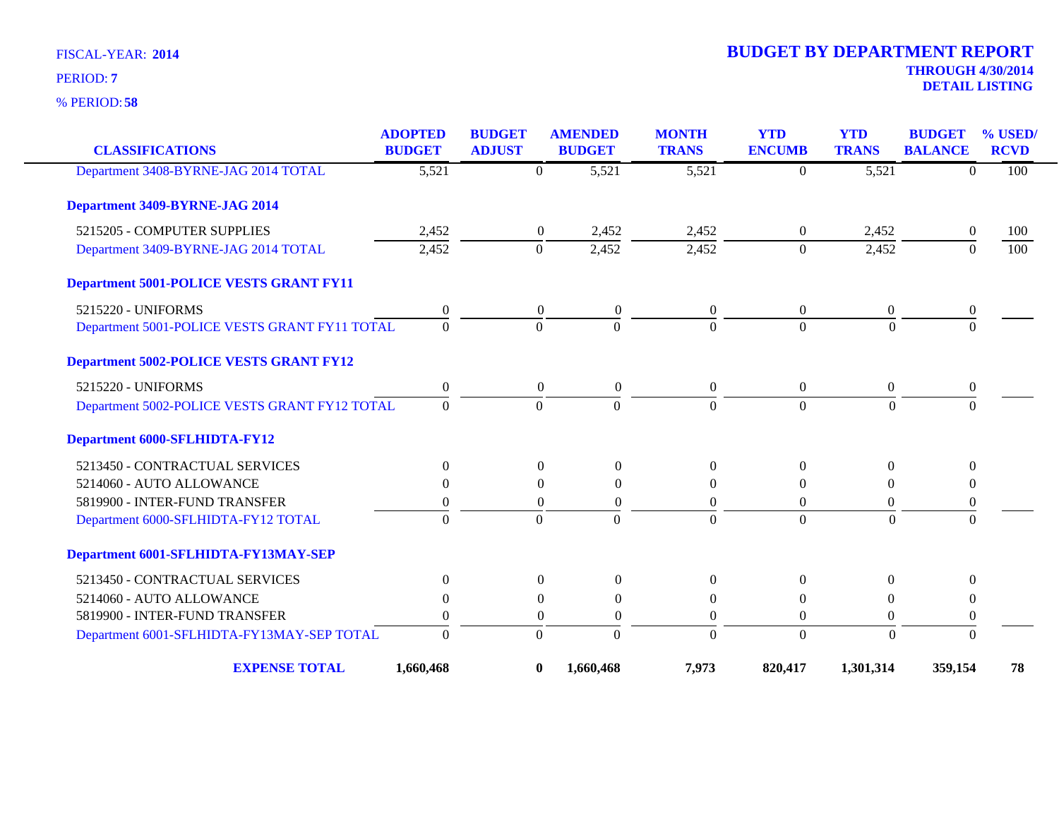**58** % PERIOD:

| <b>CLASSIFICATIONS</b>                         | <b>ADOPTED</b><br><b>BUDGET</b> | <b>BUDGET</b><br><b>ADJUST</b> | <b>AMENDED</b><br><b>BUDGET</b> |                    | <b>MONTH</b><br><b>TRANS</b> | <b>YTD</b><br><b>ENCUMB</b> | <b>YTD</b><br><b>TRANS</b> | <b>BUDGET</b><br><b>BALANCE</b> | % USED<br><b>RCVD</b> |
|------------------------------------------------|---------------------------------|--------------------------------|---------------------------------|--------------------|------------------------------|-----------------------------|----------------------------|---------------------------------|-----------------------|
| Department 3408-BYRNE-JAG 2014 TOTAL           | 5,521                           |                                | $\boldsymbol{0}$                | $\overline{5,521}$ | 5,521                        | $\theta$                    | 5,521                      | $\Omega$                        | 100                   |
| Department 3409-BYRNE-JAG 2014                 |                                 |                                |                                 |                    |                              |                             |                            |                                 |                       |
| 5215205 - COMPUTER SUPPLIES                    | 2,452                           |                                | $\boldsymbol{0}$                | 2,452              | 2,452                        | $\overline{0}$              | 2,452                      | $\overline{0}$                  | 100                   |
| Department 3409-BYRNE-JAG 2014 TOTAL           | 2,452                           |                                | $\boldsymbol{0}$                | 2,452              | 2,452                        | $\overline{0}$              | 2,452                      | $\Omega$                        | 100                   |
| <b>Department 5001-POLICE VESTS GRANT FY11</b> |                                 |                                |                                 |                    |                              |                             |                            |                                 |                       |
| 5215220 - UNIFORMS                             | $\overline{0}$                  |                                | $\overline{0}$                  | $\boldsymbol{0}$   | $\overline{0}$               | $\overline{0}$              | $\overline{0}$             | $\boldsymbol{0}$                |                       |
| Department 5001-POLICE VESTS GRANT FY11 TOTAL  | $\mathbf{0}$                    |                                | $\theta$                        | $\overline{0}$     | $\Omega$                     | $\Omega$                    | $\Omega$                   | $\Omega$                        |                       |
| <b>Department 5002-POLICE VESTS GRANT FY12</b> |                                 |                                |                                 |                    |                              |                             |                            |                                 |                       |
| 5215220 - UNIFORMS                             | $\boldsymbol{0}$                |                                | $\boldsymbol{0}$                | $\boldsymbol{0}$   | $\overline{0}$               | $\boldsymbol{0}$            | $\boldsymbol{0}$           | $\boldsymbol{0}$                |                       |
| Department 5002-POLICE VESTS GRANT FY12 TOTAL  | $\theta$                        |                                | $\theta$                        | $\Omega$           | $\Omega$                     | $\Omega$                    | $\Omega$                   | $\Omega$                        |                       |
| <b>Department 6000-SFLHIDTA-FY12</b>           |                                 |                                |                                 |                    |                              |                             |                            |                                 |                       |
| 5213450 - CONTRACTUAL SERVICES                 | $\overline{0}$                  |                                | $\boldsymbol{0}$                | $\boldsymbol{0}$   | $\boldsymbol{0}$             | $\overline{0}$              | $\boldsymbol{0}$           | $\overline{0}$                  |                       |
| 5214060 - AUTO ALLOWANCE                       | $\Omega$                        |                                | $\theta$                        | $\overline{0}$     | $\overline{0}$               | $\theta$                    | $\Omega$                   | $\mathbf{0}$                    |                       |
| 5819900 - INTER-FUND TRANSFER                  | $\Omega$                        |                                | $\Omega$                        | $\overline{0}$     | $\theta$                     | $\Omega$                    | $\Omega$                   | $\boldsymbol{0}$                |                       |
| Department 6000-SFLHIDTA-FY12 TOTAL            | $\theta$                        |                                | $\Omega$                        | $\overline{0}$     | $\Omega$                     | $\theta$                    | $\Omega$                   | $\overline{0}$                  |                       |
| Department 6001-SFLHIDTA-FY13MAY-SEP           |                                 |                                |                                 |                    |                              |                             |                            |                                 |                       |
| 5213450 - CONTRACTUAL SERVICES                 | $\theta$                        |                                | $\mathbf{0}$                    | $\overline{0}$     | $\overline{0}$               | $\theta$                    | $\theta$                   | $\Omega$                        |                       |
| 5214060 - AUTO ALLOWANCE                       | $\Omega$                        |                                | $\Omega$                        | $\overline{0}$     | $\theta$                     | $\Omega$                    | $\theta$                   | $\boldsymbol{0}$                |                       |
| 5819900 - INTER-FUND TRANSFER                  | $\Omega$                        |                                | $\mathbf{0}$                    | $\overline{0}$     | $\theta$                     | $\theta$                    | $\theta$                   | $\boldsymbol{0}$                |                       |
| Department 6001-SFLHIDTA-FY13MAY-SEP TOTAL     | $\overline{0}$                  |                                | $\mathbf{0}$                    | $\overline{0}$     | $\mathbf{0}$                 | $\mathbf{0}$                | $\overline{0}$             | $\overline{0}$                  |                       |
| <b>EXPENSE TOTAL</b>                           | 1,660,468                       |                                | $\bf{0}$<br>1,660,468           |                    | 7,973                        | 820,417                     | 1,301,314                  | 359,154                         | 78                    |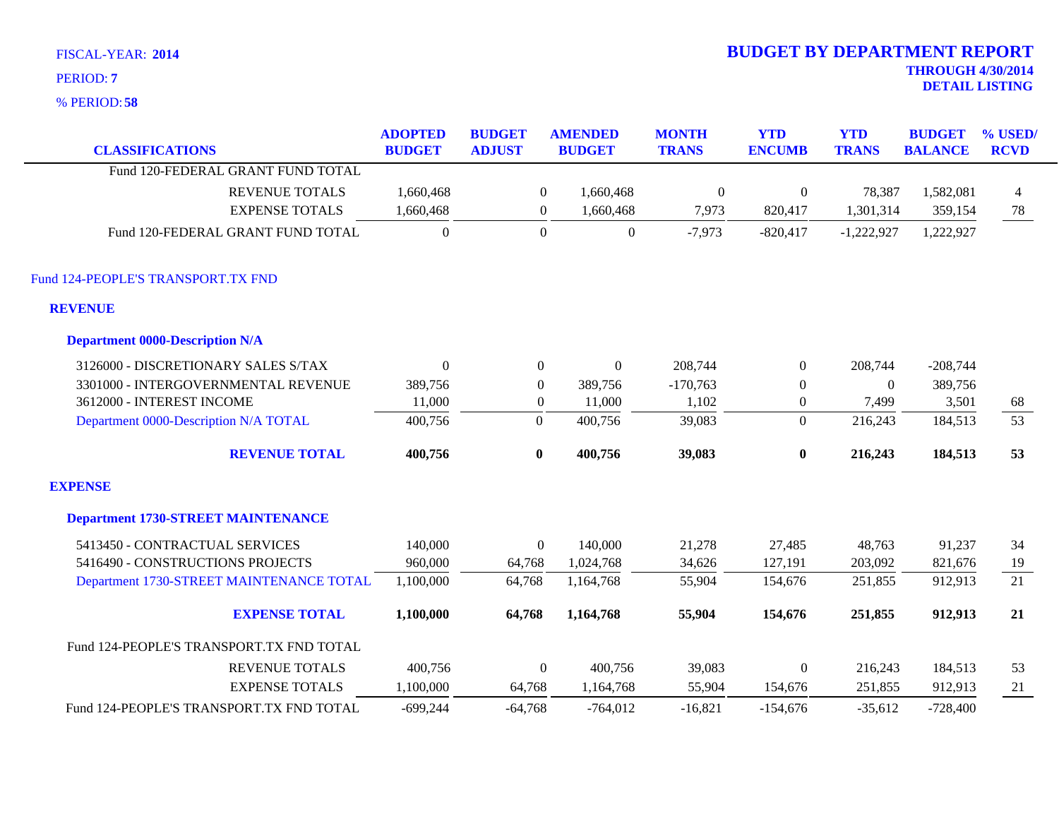| FISCAL-YEAR: 2014                                                                              |                                 |                                |                  |                                 |                              | <b>BUDGET BY DEPARTMENT REPORT</b> |                            |                                                   |                        |
|------------------------------------------------------------------------------------------------|---------------------------------|--------------------------------|------------------|---------------------------------|------------------------------|------------------------------------|----------------------------|---------------------------------------------------|------------------------|
| PERIOD: 7                                                                                      |                                 |                                |                  |                                 |                              |                                    |                            | <b>THROUGH 4/30/2014</b><br><b>DETAIL LISTING</b> |                        |
| % PERIOD: 58                                                                                   |                                 |                                |                  |                                 |                              |                                    |                            |                                                   |                        |
| <b>CLASSIFICATIONS</b>                                                                         | <b>ADOPTED</b><br><b>BUDGET</b> | <b>BUDGET</b><br><b>ADJUST</b> |                  | <b>AMENDED</b><br><b>BUDGET</b> | <b>MONTH</b><br><b>TRANS</b> | <b>YTD</b><br><b>ENCUMB</b>        | <b>YTD</b><br><b>TRANS</b> | <b>BUDGET</b><br><b>BALANCE</b>                   | % USED/<br><b>RCVD</b> |
| Fund 120-FEDERAL GRANT FUND TOTAL                                                              |                                 |                                |                  |                                 |                              |                                    |                            |                                                   |                        |
| <b>REVENUE TOTALS</b>                                                                          | 1,660,468                       |                                | $\boldsymbol{0}$ | 1,660,468                       | $\boldsymbol{0}$             | $\overline{0}$                     | 78,387                     | 1,582,081                                         | $\overline{4}$         |
| <b>EXPENSE TOTALS</b>                                                                          | 1,660,468                       |                                | $\overline{0}$   | 1,660,468                       | 7,973                        | 820,417                            | 1,301,314                  | 359,154                                           | 78                     |
| Fund 120-FEDERAL GRANT FUND TOTAL                                                              | $\boldsymbol{0}$                |                                | $\boldsymbol{0}$ | $\boldsymbol{0}$                | $-7,973$                     | $-820,417$                         | $-1,222,927$               | 1,222,927                                         |                        |
| Fund 124-PEOPLE'S TRANSPORT.TX FND<br><b>REVENUE</b><br><b>Department 0000-Description N/A</b> |                                 |                                |                  |                                 |                              |                                    |                            |                                                   |                        |
| 3126000 - DISCRETIONARY SALES S/TAX                                                            | $\theta$                        |                                | $\overline{0}$   | $\Omega$                        | 208,744                      | $\overline{0}$                     | 208,744                    | $-208,744$                                        |                        |
| 3301000 - INTERGOVERNMENTAL REVENUE                                                            | 389,756                         |                                | $\boldsymbol{0}$ | 389,756                         | $-170,763$                   | $\boldsymbol{0}$                   | $\Omega$                   | 389,756                                           |                        |
| 3612000 - INTEREST INCOME                                                                      | 11,000                          |                                | $\overline{0}$   | 11,000                          | 1,102                        | $\boldsymbol{0}$                   | 7,499                      | 3,501                                             | 68                     |
| Department 0000-Description N/A TOTAL                                                          | 400,756                         |                                | $\overline{0}$   | 400,756                         | 39,083                       | $\overline{0}$                     | 216,243                    | 184,513                                           | 53                     |
| <b>REVENUE TOTAL</b>                                                                           | 400,756                         |                                | $\bf{0}$         | 400,756                         | 39,083                       | $\bf{0}$                           | 216,243                    | 184,513                                           | 53                     |
| <b>EXPENSE</b>                                                                                 |                                 |                                |                  |                                 |                              |                                    |                            |                                                   |                        |
| <b>Department 1730-STREET MAINTENANCE</b>                                                      |                                 |                                |                  |                                 |                              |                                    |                            |                                                   |                        |
| 5413450 - CONTRACTUAL SERVICES                                                                 | 140,000                         |                                | $\boldsymbol{0}$ | 140,000                         | 21,278                       | 27,485                             | 48,763                     | 91,237                                            | 34                     |

| 5413450 - CONTRACTUAL SERVICES           |                       | 140,000    |           | 140,000    | 21,278    | 27,485     | 48.763    | 91,237     | 34 |
|------------------------------------------|-----------------------|------------|-----------|------------|-----------|------------|-----------|------------|----|
| 5416490 - CONSTRUCTIONS PROJECTS         |                       | 960,000    | 64,768    | .024,768   | 34,626    | 127,191    | 203,092   | 821,676    | 19 |
| Department 1730-STREET MAINTENANCE TOTAL |                       | 1,100,000  | 64,768    | 1,164,768  | 55,904    | 154,676    | 251,855   | 912,913    | 21 |
|                                          | <b>EXPENSE TOTAL</b>  | 1,100,000  | 64.768    | 1,164,768  | 55,904    | 154,676    | 251,855   | 912,913    | 21 |
| Fund 124-PEOPLE'S TRANSPORT.TX FND TOTAL |                       |            |           |            |           |            |           |            |    |
|                                          | <b>REVENUE TOTALS</b> | 400.756    |           | 400.756    | 39.083    |            | 216.243   | 184.513    | 53 |
|                                          | <b>EXPENSE TOTALS</b> | 1.100.000  | 64.768    | 1.164.768  | 55,904    | 154.676    | 251,855   | 912,913    | 21 |
| Fund 124-PEOPLE'S TRANSPORT.TX FND TOTAL |                       | $-699.244$ | $-64.768$ | $-764.012$ | $-16,821$ | $-154.676$ | $-35.612$ | $-728,400$ |    |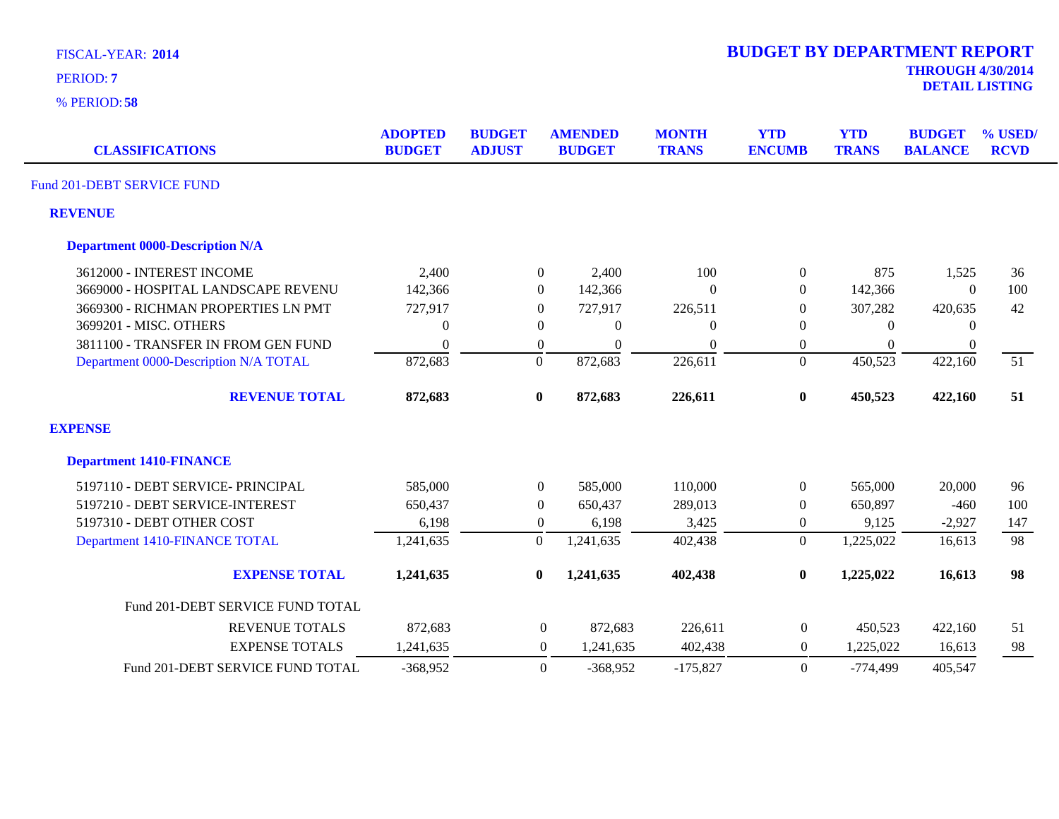| FISCAL-YEAR: 2014<br>PERIOD: 7<br>$%$ PERIOD: 58 |                                 |                                |                                 |                              | <b>BUDGET BY DEPARTMENT REPORT</b> |                            | <b>THROUGH 4/30/2014</b>        | <b>DETAIL LISTING</b>     |
|--------------------------------------------------|---------------------------------|--------------------------------|---------------------------------|------------------------------|------------------------------------|----------------------------|---------------------------------|---------------------------|
| <b>CLASSIFICATIONS</b>                           | <b>ADOPTED</b><br><b>BUDGET</b> | <b>BUDGET</b><br><b>ADJUST</b> | <b>AMENDED</b><br><b>BUDGET</b> | <b>MONTH</b><br><b>TRANS</b> | <b>YTD</b><br><b>ENCUMB</b>        | <b>YTD</b><br><b>TRANS</b> | <b>BUDGET</b><br><b>BALANCE</b> | $\%$ USED/<br><b>RCVD</b> |
| Fund 201-DEBT SERVICE FUND                       |                                 |                                |                                 |                              |                                    |                            |                                 |                           |
| <b>REVENUE</b>                                   |                                 |                                |                                 |                              |                                    |                            |                                 |                           |

| <b>Department 0000-Description N/A</b> |                |                  |                |                |                  |            |                |     |
|----------------------------------------|----------------|------------------|----------------|----------------|------------------|------------|----------------|-----|
| 3612000 - INTEREST INCOME              | 2,400          | $\boldsymbol{0}$ | 2,400          | 100            | $\boldsymbol{0}$ | 875        | 1,525          | 36  |
| 3669000 - HOSPITAL LANDSCAPE REVENU    | 142,366        | $\theta$         | 142,366        | $\Omega$       | $\theta$         | 142,366    | $\Omega$       | 100 |
| 3669300 - RICHMAN PROPERTIES LN PMT    | 727,917        | $\overline{0}$   | 727,917        | 226,511        | $\overline{0}$   | 307,282    | 420,635        | 42  |
| 3699201 - MISC. OTHERS                 | $\overline{0}$ | $\theta$         | $\overline{0}$ | $\overline{0}$ | $\theta$         | $\theta$   | 0              |     |
| 3811100 - TRANSFER IN FROM GEN FUND    | $\mathbf{0}$   | $\overline{0}$   | $\theta$       | $\mathbf{0}$   | $\overline{0}$   | $\Omega$   | $\overline{0}$ |     |
| Department 0000-Description N/A TOTAL  | 872,683        | $\boldsymbol{0}$ | 872,683        | 226,611        | $\boldsymbol{0}$ | 450,523    | 422,160        | 51  |
| <b>REVENUE TOTAL</b>                   | 872,683        | $\bf{0}$         | 872,683        | 226,611        | $\bf{0}$         | 450,523    | 422,160        | 51  |
| <b>EXPENSE</b>                         |                |                  |                |                |                  |            |                |     |
| <b>Department 1410-FINANCE</b>         |                |                  |                |                |                  |            |                |     |
| 5197110 - DEBT SERVICE- PRINCIPAL      | 585,000        | $\boldsymbol{0}$ | 585,000        | 110,000        | $\overline{0}$   | 565,000    | 20,000         | 96  |
| 5197210 - DEBT SERVICE-INTEREST        | 650,437        | $\overline{0}$   | 650,437        | 289,013        | $\overline{0}$   | 650,897    | $-460$         | 100 |
| 5197310 - DEBT OTHER COST              | 6,198          | $\overline{0}$   | 6,198          | 3,425          | $\overline{0}$   | 9,125      | $-2,927$       | 147 |
| Department 1410-FINANCE TOTAL          | 1,241,635      | $\overline{0}$   | 1,241,635      | 402,438        | $\overline{0}$   | 1,225,022  | 16,613         | 98  |
| <b>EXPENSE TOTAL</b>                   | 1,241,635      | $\bf{0}$         | 1,241,635      | 402,438        | $\bf{0}$         | 1,225,022  | 16,613         | 98  |
| Fund 201-DEBT SERVICE FUND TOTAL       |                |                  |                |                |                  |            |                |     |
| <b>REVENUE TOTALS</b>                  | 872,683        | $\overline{0}$   | 872,683        | 226,611        | $\overline{0}$   | 450,523    | 422,160        | 51  |
| <b>EXPENSE TOTALS</b>                  | 1,241,635      | $\overline{0}$   | 1,241,635      | 402,438        | $\overline{0}$   | 1,225,022  | 16,613         | 98  |
| Fund 201-DEBT SERVICE FUND TOTAL       | $-368,952$     | $\Omega$         | $-368,952$     | $-175.827$     | $\theta$         | $-774,499$ | 405.547        |     |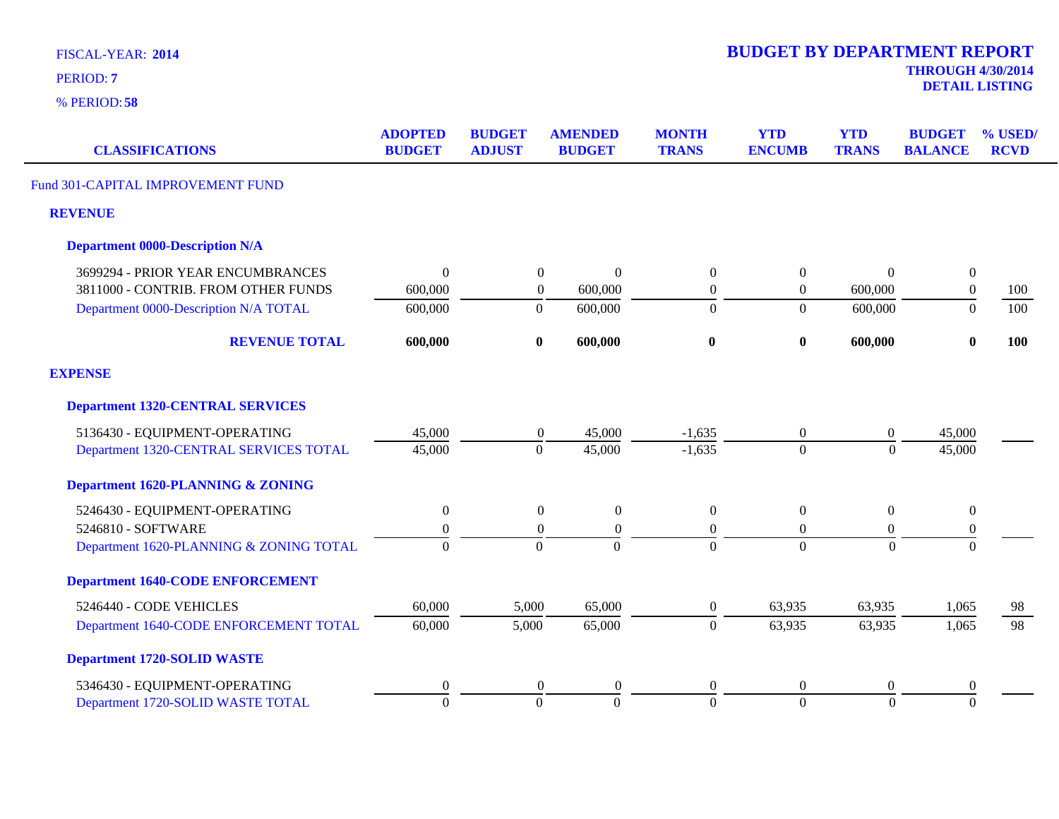| <b>FISCAL-YEAR: 2014</b> |  |
|--------------------------|--|
|--------------------------|--|

**58** % PERIOD:

**DETAIL LISTING** PERIOD: **<sup>7</sup>**

| <b>CLASSIFICATIONS</b>                       | <b>ADOPTED</b><br><b>BUDGET</b> | <b>BUDGET</b><br><b>ADJUST</b> | <b>AMENDED</b><br><b>BUDGET</b>      | <b>MONTH</b><br><b>TRANS</b> | <b>YTD</b><br><b>ENCUMB</b> | <b>YTD</b><br><b>TRANS</b> | <b>BUDGET</b><br><b>BALANCE</b> | % USED/<br><b>RCVD</b> |
|----------------------------------------------|---------------------------------|--------------------------------|--------------------------------------|------------------------------|-----------------------------|----------------------------|---------------------------------|------------------------|
| Fund 301-CAPITAL IMPROVEMENT FUND            |                                 |                                |                                      |                              |                             |                            |                                 |                        |
| <b>REVENUE</b>                               |                                 |                                |                                      |                              |                             |                            |                                 |                        |
| <b>Department 0000-Description N/A</b>       |                                 |                                |                                      |                              |                             |                            |                                 |                        |
| 3699294 - PRIOR YEAR ENCUMBRANCES            | $\mathbf{0}$                    |                                | $\overline{0}$<br>$\Omega$           | $\Omega$                     | $\boldsymbol{0}$            | $\Omega$                   | $\boldsymbol{0}$                |                        |
| 3811000 - CONTRIB. FROM OTHER FUNDS          | 600,000                         |                                | $\boldsymbol{0}$<br>600,000          | $\overline{0}$               | $\boldsymbol{0}$            | 600,000                    | $\boldsymbol{0}$                | 100                    |
| Department 0000-Description N/A TOTAL        | 600,000                         |                                | 600,000<br>$\overline{0}$            | $\Omega$                     | $\theta$                    | 600,000                    | $\Omega$                        | 100                    |
| <b>REVENUE TOTAL</b>                         | 600,000                         |                                | 600,000<br>$\bf{0}$                  | $\bf{0}$                     | $\bf{0}$                    | 600,000                    | $\bf{0}$                        | 100                    |
| <b>EXPENSE</b>                               |                                 |                                |                                      |                              |                             |                            |                                 |                        |
| <b>Department 1320-CENTRAL SERVICES</b>      |                                 |                                |                                      |                              |                             |                            |                                 |                        |
| 5136430 - EQUIPMENT-OPERATING                | 45,000                          |                                | 45,000<br>0                          | $-1,635$                     | $\overline{0}$              | $\overline{0}$             | 45,000                          |                        |
| Department 1320-CENTRAL SERVICES TOTAL       | 45,000                          |                                | $\mathbf{0}$<br>45,000               | $-1,635$                     | $\overline{0}$              | $\overline{0}$             | 45,000                          |                        |
| <b>Department 1620-PLANNING &amp; ZONING</b> |                                 |                                |                                      |                              |                             |                            |                                 |                        |
| 5246430 - EQUIPMENT-OPERATING                | $\mathbf{0}$                    |                                | $\overline{0}$<br>$\overline{0}$     | $\Omega$                     | $\boldsymbol{0}$            | $\overline{0}$             | $\boldsymbol{0}$                |                        |
| 5246810 - SOFTWARE                           | $\Omega$                        |                                | $\overline{0}$<br>$\theta$           | $\Omega$                     | $\overline{0}$              | $\overline{0}$             | $\mathbf{0}$                    |                        |
| Department 1620-PLANNING & ZONING TOTAL      | $\theta$                        |                                | $\Omega$<br>$\mathbf{0}$             | $\Omega$                     | $\Omega$                    | $\overline{0}$             | $\Omega$                        |                        |
| <b>Department 1640-CODE ENFORCEMENT</b>      |                                 |                                |                                      |                              |                             |                            |                                 |                        |
| 5246440 - CODE VEHICLES                      | 60,000                          | 5,000                          | 65,000                               | $\overline{0}$               | 63,935                      | 63,935                     | 1,065                           | 98                     |
| Department 1640-CODE ENFORCEMENT TOTAL       | 60,000                          | 5,000                          | 65,000                               | $\mathbf{0}$                 | 63,935                      | 63,935                     | 1,065                           | $\overline{98}$        |
| <b>Department 1720-SOLID WASTE</b>           |                                 |                                |                                      |                              |                             |                            |                                 |                        |
| 5346430 - EQUIPMENT-OPERATING                | $\boldsymbol{0}$                |                                | $\boldsymbol{0}$<br>$\boldsymbol{0}$ | $\overline{0}$               | $\boldsymbol{0}$            | $\overline{0}$             | $\boldsymbol{0}$                |                        |
| Department 1720-SOLID WASTE TOTAL            | $\overline{0}$                  |                                | $\mathbf{0}$<br>$\mathbf{0}$         | $\overline{0}$               | $\overline{0}$              | $\overline{0}$             | $\overline{0}$                  |                        |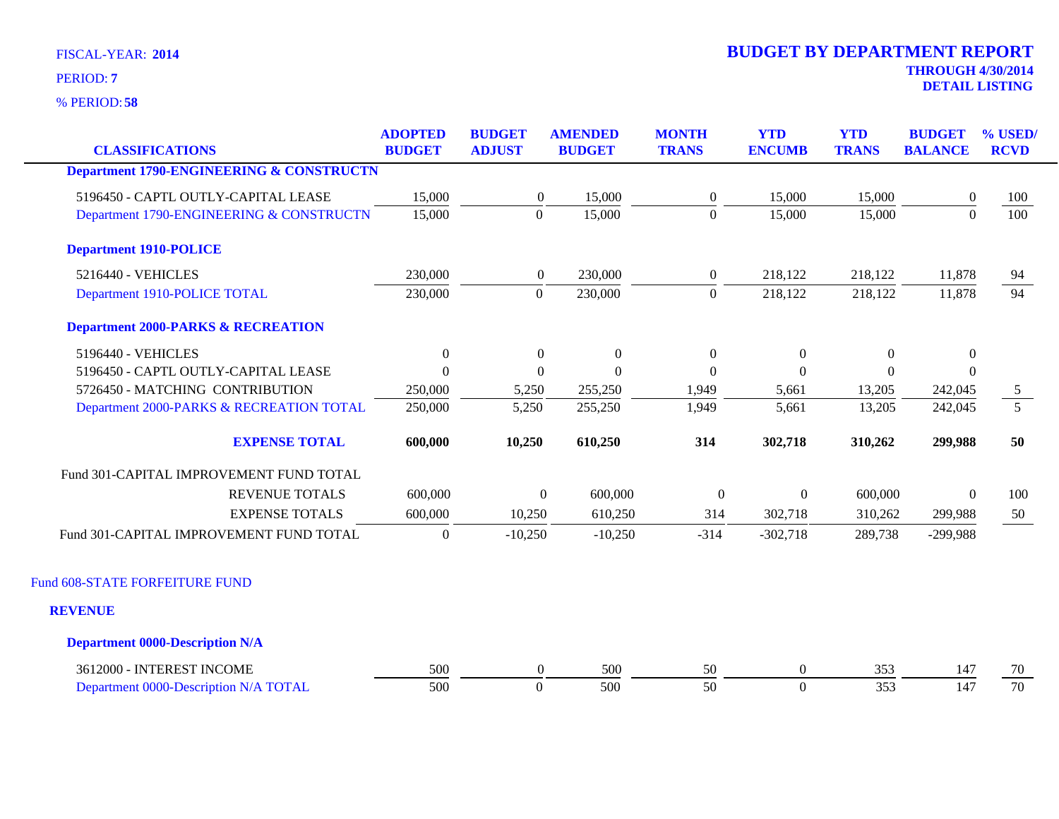**58** % PERIOD:

| <b>CLASSIFICATIONS</b>                              | <b>ADOPTED</b><br><b>BUDGET</b> | <b>BUDGET</b><br><b>ADJUST</b> | <b>AMENDED</b><br><b>BUDGET</b> | <b>MONTH</b><br><b>TRANS</b> | <b>YTD</b><br><b>ENCUMB</b> | <b>YTD</b><br><b>TRANS</b> | <b>BUDGET</b><br><b>BALANCE</b> | % USED/<br><b>RCVD</b> |
|-----------------------------------------------------|---------------------------------|--------------------------------|---------------------------------|------------------------------|-----------------------------|----------------------------|---------------------------------|------------------------|
| <b>Department 1790-ENGINEERING &amp; CONSTRUCTN</b> |                                 |                                |                                 |                              |                             |                            |                                 |                        |
|                                                     |                                 |                                |                                 |                              |                             |                            |                                 |                        |
| 5196450 - CAPTL OUTLY-CAPITAL LEASE                 | 15,000                          | $\boldsymbol{0}$               | 15,000                          | $\boldsymbol{0}$             | 15,000                      | 15,000                     | $\overline{0}$                  | 100                    |
| Department 1790-ENGINEERING & CONSTRUCTN            | 15,000                          | $\mathbf{0}$                   | 15,000                          | $\boldsymbol{0}$             | 15,000                      | 15,000                     | $\boldsymbol{0}$                | 100                    |
| <b>Department 1910-POLICE</b>                       |                                 |                                |                                 |                              |                             |                            |                                 |                        |
| 5216440 - VEHICLES                                  | 230,000                         | $\boldsymbol{0}$               | 230,000                         | $\boldsymbol{0}$             | 218,122                     | 218,122                    | 11,878                          | 94                     |
| Department 1910-POLICE TOTAL                        | 230,000                         | $\mathbf{0}$                   | 230,000                         | $\boldsymbol{0}$             | 218,122                     | 218,122                    | 11,878                          | 94                     |
| <b>Department 2000-PARKS &amp; RECREATION</b>       |                                 |                                |                                 |                              |                             |                            |                                 |                        |
| 5196440 - VEHICLES                                  | $\boldsymbol{0}$                | $\boldsymbol{0}$               | $\boldsymbol{0}$                | $\boldsymbol{0}$             | $\boldsymbol{0}$            | $\boldsymbol{0}$           | $\boldsymbol{0}$                |                        |
| 5196450 - CAPTL OUTLY-CAPITAL LEASE                 | $\theta$                        | $\Omega$                       | $\Omega$                        | $\Omega$                     | $\Omega$                    | $\theta$                   | $\theta$                        |                        |
| 5726450 - MATCHING CONTRIBUTION                     | 250,000                         | 5,250                          | 255,250                         | 1,949                        | 5,661                       | 13,205                     | 242,045                         | $5\overline{)}$        |
| Department 2000-PARKS & RECREATION TOTAL            | 250,000                         | 5,250                          | 255,250                         | 1,949                        | 5,661                       | 13,205                     | 242,045                         | $\overline{5}$         |
| <b>EXPENSE TOTAL</b>                                | 600,000                         | 10,250                         | 610,250                         | 314                          | 302,718                     | 310,262                    | 299,988                         | 50                     |
| Fund 301-CAPITAL IMPROVEMENT FUND TOTAL             |                                 |                                |                                 |                              |                             |                            |                                 |                        |
| <b>REVENUE TOTALS</b>                               | 600,000                         |                                | $\overline{0}$<br>600,000       | $\boldsymbol{0}$             | $\boldsymbol{0}$            | 600,000                    | $\overline{0}$                  | 100                    |
| <b>EXPENSE TOTALS</b>                               | 600,000                         | 10,250                         | 610,250                         | 314                          | 302,718                     | 310,262                    | 299,988                         | 50                     |
| Fund 301-CAPITAL IMPROVEMENT FUND TOTAL             | $\boldsymbol{0}$                | $-10,250$                      | $-10,250$                       | $-314$                       | $-302,718$                  | 289,738                    | $-299,988$                      |                        |
| Fund 608-STATE FORFEITURE FUND                      |                                 |                                |                                 |                              |                             |                            |                                 |                        |
| <b>REVENUE</b>                                      |                                 |                                |                                 |                              |                             |                            |                                 |                        |
|                                                     |                                 |                                |                                 |                              |                             |                            |                                 |                        |
| <b>Department 0000-Description N/A</b>              |                                 |                                |                                 |                              |                             |                            |                                 |                        |
| 3612000 - INTEREST INCOME                           | 500                             | $\boldsymbol{0}$               | 500                             | 50                           | $\overline{0}$              | 353                        | 147                             | 70                     |
| Department 0000-Description N/A TOTAL               | 500                             | $\overline{0}$                 | 500                             | 50                           | $\overline{0}$              | 353                        | 147                             | 70                     |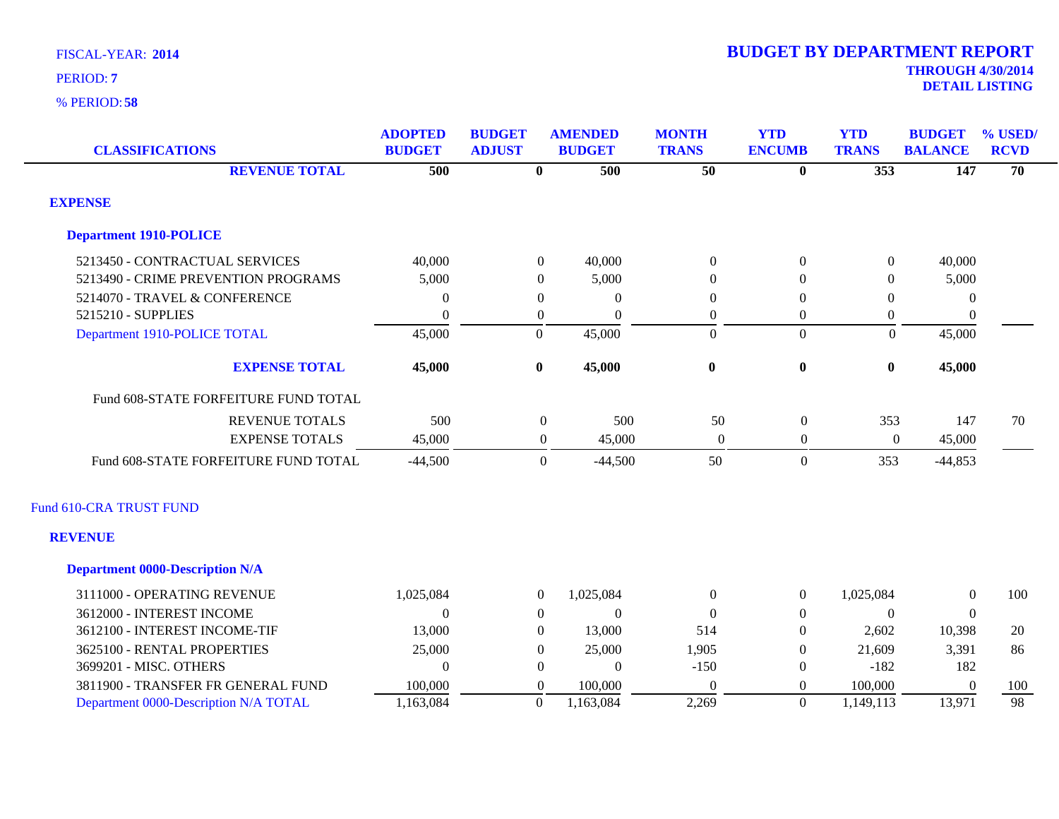| <b>CLASSIFICATIONS</b>                 | <b>ADOPTED</b><br><b>BUDGET</b> | <b>BUDGET</b><br><b>ADJUST</b> | <b>AMENDED</b><br><b>BUDGET</b> | <b>MONTH</b><br><b>TRANS</b> | <b>YTD</b><br><b>ENCUMB</b> | <b>YTD</b><br><b>TRANS</b> | <b>BUDGET</b><br><b>BALANCE</b> | % USED/<br><b>RCVD</b> |
|----------------------------------------|---------------------------------|--------------------------------|---------------------------------|------------------------------|-----------------------------|----------------------------|---------------------------------|------------------------|
| <b>REVENUE TOTAL</b>                   | 500                             | $\overline{\mathbf{0}}$        | 500                             | $\overline{50}$              | $\overline{\mathbf{0}}$     | $\overline{353}$           | 147                             | 70                     |
| <b>EXPENSE</b>                         |                                 |                                |                                 |                              |                             |                            |                                 |                        |
| <b>Department 1910-POLICE</b>          |                                 |                                |                                 |                              |                             |                            |                                 |                        |
| 5213450 - CONTRACTUAL SERVICES         | 40,000                          | $\Omega$                       | 40,000                          | $\Omega$                     | $\theta$                    | $\theta$                   | 40,000                          |                        |
| 5213490 - CRIME PREVENTION PROGRAMS    | 5,000                           | $\Omega$                       | 5,000                           | $\theta$                     | $\Omega$                    | $\mathbf{0}$               | 5,000                           |                        |
| 5214070 - TRAVEL & CONFERENCE          | $\boldsymbol{0}$                | $\theta$                       | $\mathbf{0}$                    | 0                            | $\overline{0}$              | $\overline{0}$             | $\boldsymbol{0}$                |                        |
| 5215210 - SUPPLIES                     | $\theta$                        | $\mathbf{0}$                   | $\Omega$                        | $\boldsymbol{0}$             | $\boldsymbol{0}$            | $\boldsymbol{0}$           | $\boldsymbol{0}$                |                        |
| Department 1910-POLICE TOTAL           | 45,000                          | $\mathbf{0}$                   | 45,000                          | $\overline{0}$               | $\overline{0}$              | $\Omega$                   | 45,000                          |                        |
| <b>EXPENSE TOTAL</b>                   | 45,000                          | $\bf{0}$                       | 45,000                          | $\bf{0}$                     | $\boldsymbol{0}$            | $\bf{0}$                   | 45,000                          |                        |
| Fund 608-STATE FORFEITURE FUND TOTAL   |                                 |                                |                                 |                              |                             |                            |                                 |                        |
| <b>REVENUE TOTALS</b>                  | 500                             | $\boldsymbol{0}$               | 500                             | 50                           | $\boldsymbol{0}$            | 353                        | 147                             | 70                     |
| <b>EXPENSE TOTALS</b>                  | 45,000                          | $\mathbf{0}$                   | 45,000                          | $\boldsymbol{0}$             | $\boldsymbol{0}$            | $\boldsymbol{0}$           | 45,000                          |                        |
| Fund 608-STATE FORFEITURE FUND TOTAL   | $-44,500$                       | $\mathbf{0}$                   | $-44,500$                       | 50                           | $\overline{0}$              | 353                        | $-44,853$                       |                        |
| Fund 610-CRA TRUST FUND                |                                 |                                |                                 |                              |                             |                            |                                 |                        |
| <b>REVENUE</b>                         |                                 |                                |                                 |                              |                             |                            |                                 |                        |
| <b>Department 0000-Description N/A</b> |                                 |                                |                                 |                              |                             |                            |                                 |                        |
| 3111000 - OPERATING REVENUE            | 1,025,084                       | $\mathbf{0}$                   | 1,025,084                       | $\boldsymbol{0}$             | $\mathbf{0}$                | 1,025,084                  | $\boldsymbol{0}$                | 100                    |
| 3612000 - INTEREST INCOME              | $\Omega$                        | $\theta$                       | $\Omega$                        | $\Omega$                     | $\Omega$                    | $\theta$                   | $\overline{0}$                  |                        |
| 3612100 - INTEREST INCOME-TIF          | 13,000                          | $\Omega$                       | 13,000                          | 514                          | $\theta$                    | 2,602                      | 10,398                          | 20                     |
| 3625100 - RENTAL PROPERTIES            | 25,000                          | $\Omega$                       | 25,000                          | 1,905                        | $\overline{0}$              | 21,609                     | 3,391                           | 86                     |
| 3699201 - MISC. OTHERS                 | $\Omega$                        | $\Omega$                       | $\theta$                        | $-150$                       | $\theta$                    | $-182$                     | 182                             |                        |
| 3811900 - TRANSFER FR GENERAL FUND     | 100,000                         | $\Omega$                       | 100,000                         | $\overline{0}$               | $\overline{0}$              | 100,000                    | $\overline{0}$                  | 100                    |
| Department 0000-Description N/A TOTAL  | 1,163,084                       | $\mathbf{0}$                   | 1,163,084                       | 2,269                        | $\mathbf{0}$                | 1,149,113                  | 13,971                          | 98                     |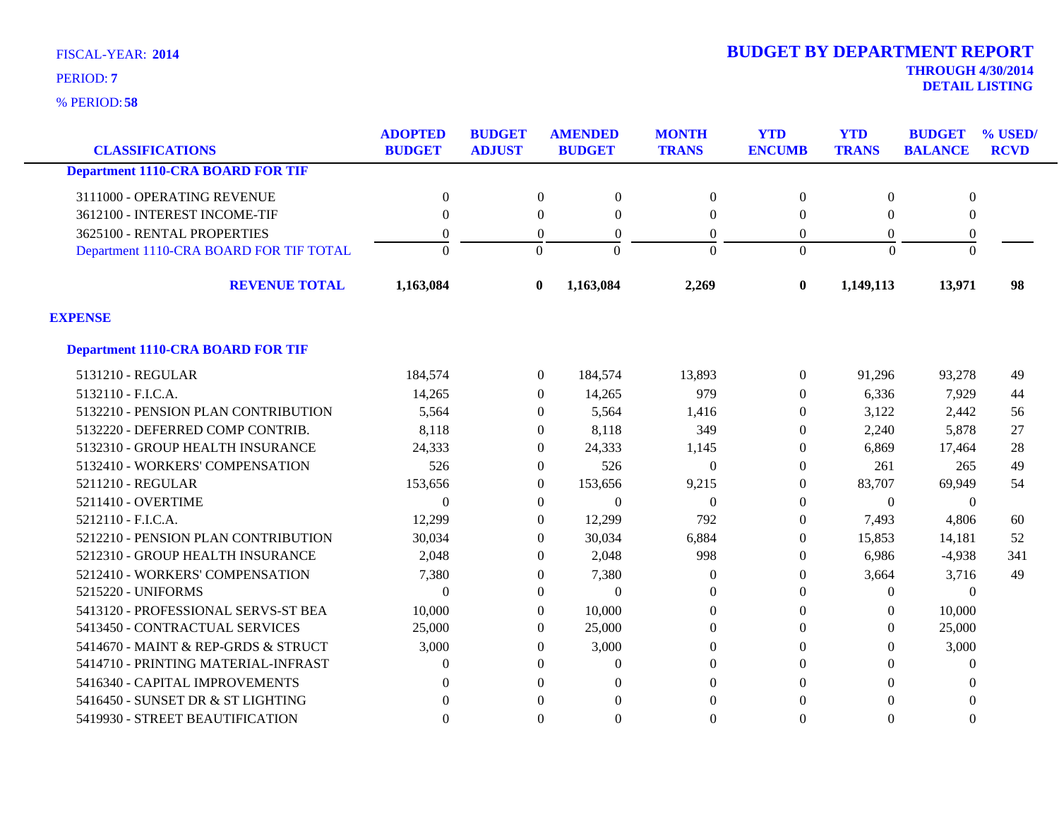**58** % PERIOD:

# **THROUGH 4/30/2014 2014 BUDGET BY DEPARTMENT REPORT**

**DETAIL LISTING** PERIOD: **<sup>7</sup>**

| <b>CLASSIFICATIONS</b>                   | <b>ADOPTED</b><br><b>BUDGET</b> | <b>BUDGET</b><br><b>ADJUST</b> | <b>AMENDED</b><br><b>BUDGET</b> | <b>MONTH</b><br><b>TRANS</b> | <b>YTD</b><br><b>ENCUMB</b> | <b>YTD</b><br><b>TRANS</b> | <b>BUDGET</b><br><b>BALANCE</b> | % USED/<br><b>RCVD</b> |
|------------------------------------------|---------------------------------|--------------------------------|---------------------------------|------------------------------|-----------------------------|----------------------------|---------------------------------|------------------------|
| <b>Department 1110-CRA BOARD FOR TIF</b> |                                 |                                |                                 |                              |                             |                            |                                 |                        |
|                                          |                                 |                                |                                 |                              |                             |                            |                                 |                        |
| 3111000 - OPERATING REVENUE              | $\Omega$                        | $\Omega$                       | $\Omega$                        | $\mathbf{0}$                 | $\Omega$                    | $\Omega$                   | $\mathbf{0}$                    |                        |
| 3612100 - INTEREST INCOME-TIF            | $\Omega$                        | $\Omega$                       | $\Omega$                        | $\theta$                     | $\Omega$                    | $\Omega$                   | $\Omega$                        |                        |
| 3625100 - RENTAL PROPERTIES              | $\Omega$                        | $\overline{0}$                 | $\theta$                        | $\boldsymbol{0}$             | $\overline{0}$              | $\theta$                   | $\mathbf{0}$                    |                        |
| Department 1110-CRA BOARD FOR TIF TOTAL  | $\Omega$                        | $\overline{0}$                 | $\Omega$                        | $\overline{0}$               | $\Omega$                    | $\overline{0}$             | $\overline{0}$                  |                        |
| <b>REVENUE TOTAL</b>                     | 1,163,084                       | $\bf{0}$                       | 1,163,084                       | 2,269                        | $\bf{0}$                    | 1,149,113                  | 13,971                          | 98                     |
| <b>EXPENSE</b>                           |                                 |                                |                                 |                              |                             |                            |                                 |                        |
| <b>Department 1110-CRA BOARD FOR TIF</b> |                                 |                                |                                 |                              |                             |                            |                                 |                        |
| 5131210 - REGULAR                        | 184,574                         | $\overline{0}$                 | 184,574                         | 13,893                       | $\Omega$                    | 91,296                     | 93,278                          | 49                     |
| 5132110 - F.I.C.A.                       | 14,265                          | $\theta$                       | 14,265                          | 979                          | $\Omega$                    | 6,336                      | 7,929                           | 44                     |
| 5132210 - PENSION PLAN CONTRIBUTION      | 5,564                           | $\overline{0}$                 | 5,564                           | 1,416                        | $\Omega$                    | 3,122                      | 2,442                           | 56                     |
| 5132220 - DEFERRED COMP CONTRIB.         | 8,118                           | $\overline{0}$                 | 8,118                           | 349                          | 0                           | 2,240                      | 5,878                           | 27                     |
| 5132310 - GROUP HEALTH INSURANCE         | 24,333                          | $\overline{0}$                 | 24,333                          | 1,145                        | $\left($                    | 6,869                      | 17,464                          | 28                     |
| 5132410 - WORKERS' COMPENSATION          | 526                             | $\overline{0}$                 | 526                             | $\overline{0}$               | $\Omega$                    | 261                        | 265                             | 49                     |
| 5211210 - REGULAR                        | 153,656                         | $\overline{0}$                 | 153,656                         | 9,215                        | $\Omega$                    | 83,707                     | 69,949                          | 54                     |
| 5211410 - OVERTIME                       | $\theta$                        | $\overline{0}$                 | $\Omega$                        | $\overline{0}$               | $\overline{0}$              | $\theta$                   | $\theta$                        |                        |
| 5212110 - F.I.C.A.                       | 12,299                          | $\Omega$                       | 12,299                          | 792                          | $\Omega$                    | 7,493                      | 4,806                           | 60                     |
| 5212210 - PENSION PLAN CONTRIBUTION      | 30,034                          | $\Omega$                       | 30,034                          | 6,884                        | $\Omega$                    | 15,853                     | 14,181                          | 52                     |
| 5212310 - GROUP HEALTH INSURANCE         | 2,048                           | $\theta$                       | 2,048                           | 998                          | $\Omega$                    | 6,986                      | $-4,938$                        | 341                    |
| 5212410 - WORKERS' COMPENSATION          | 7,380                           | $\overline{0}$                 | 7,380                           | $\theta$                     | $\theta$                    | 3,664                      | 3,716                           | 49                     |
| 5215220 - UNIFORMS                       | $\theta$                        | $\Omega$                       | $\theta$                        | $\Omega$                     | $\Omega$                    | $\Omega$                   | $\theta$                        |                        |
| 5413120 - PROFESSIONAL SERVS-ST BEA      | 10,000                          | $\Omega$                       | 10,000                          | $\mathbf{0}$                 | $\Omega$                    | $\Omega$                   | 10,000                          |                        |
| 5413450 - CONTRACTUAL SERVICES           | 25,000                          | $\theta$                       | 25,000                          | $\mathbf{0}$                 | $\Omega$                    | $\overline{0}$             | 25,000                          |                        |
| 5414670 - MAINT & REP-GRDS & STRUCT      | 3,000                           | $\theta$                       | 3,000                           | $\boldsymbol{0}$             | 0                           | $\theta$                   | 3,000                           |                        |
| 5414710 - PRINTING MATERIAL-INFRAST      | $\Omega$                        | $\Omega$                       | 0                               | $\overline{0}$               | $\Omega$                    | 0                          | $\Omega$                        |                        |
| 5416340 - CAPITAL IMPROVEMENTS           | $\Omega$                        | $\Omega$                       | $\Omega$                        | $\overline{0}$               | $\Omega$                    | $\Omega$                   | $\Omega$                        |                        |
| 5416450 - SUNSET DR & ST LIGHTING        | $\Omega$                        | $\Omega$                       | $\Omega$                        | $\theta$                     | $\Omega$                    | $\Omega$                   | $\theta$                        |                        |
| 5419930 - STREET BEAUTIFICATION          | $\theta$                        | $\Omega$                       | $\Omega$                        | $\theta$                     | $\Omega$                    | $\theta$                   | $\theta$                        |                        |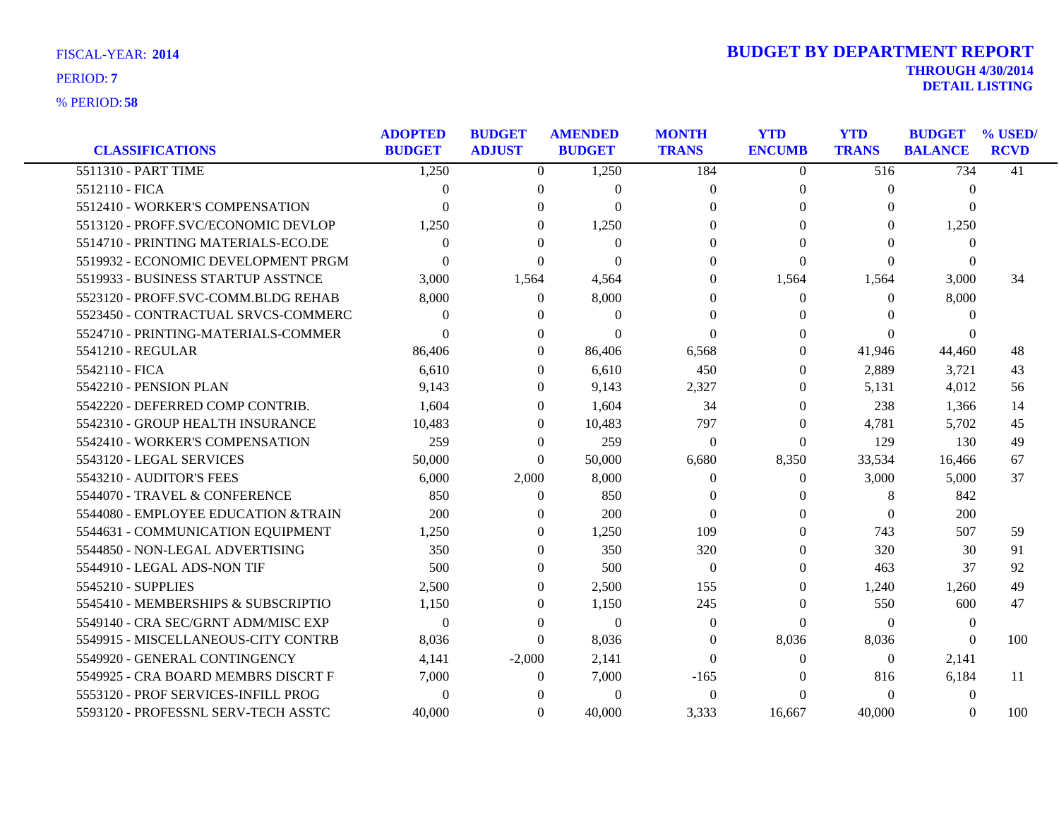| <b>CLASSIFICATIONS</b>               | <b>ADOPTED</b><br><b>BUDGET</b> | <b>BUDGET</b><br><b>ADJUST</b> | <b>AMENDED</b><br><b>BUDGET</b> | <b>MONTH</b><br><b>TRANS</b> | <b>YTD</b><br><b>ENCUMB</b> | <b>YTD</b><br><b>TRANS</b> | <b>BUDGET</b><br><b>BALANCE</b> | % USED/<br><b>RCVD</b> |
|--------------------------------------|---------------------------------|--------------------------------|---------------------------------|------------------------------|-----------------------------|----------------------------|---------------------------------|------------------------|
| 5511310 - PART TIME                  | 1,250                           | $\Omega$                       | 1,250                           | 184                          | $\theta$                    | $\overline{516}$           | 734                             | 41                     |
| 5512110 - FICA                       | $\theta$                        | $\Omega$                       | $\Omega$                        | $\mathbf{0}$                 | $\Omega$                    | $\Omega$                   | $\overline{0}$                  |                        |
| 5512410 - WORKER'S COMPENSATION      | ∩                               | $\Omega$                       | $\Omega$                        | $\Omega$                     | $\Omega$                    | $\Omega$                   | $\Omega$                        |                        |
| 5513120 - PROFF.SVC/ECONOMIC DEVLOP  | 1,250                           | $\Omega$                       | 1,250                           | $\Omega$                     | 0                           | $\Omega$                   | 1,250                           |                        |
| 5514710 - PRINTING MATERIALS-ECO.DE  | $\Omega$                        | $\Omega$                       | $\theta$                        | $\Omega$                     | $\Omega$                    | $\theta$                   | $\theta$                        |                        |
| 5519932 - ECONOMIC DEVELOPMENT PRGM  | $\Omega$                        | $\theta$                       | $\Omega$                        | $\Omega$                     | $\theta$                    | $\Omega$                   | $\theta$                        |                        |
| 5519933 - BUSINESS STARTUP ASSTNCE   | 3,000                           | 1,564                          | 4,564                           | $\Omega$                     | 1,564                       | 1,564                      | 3,000                           | 34                     |
| 5523120 - PROFF.SVC-COMM.BLDG REHAB  | 8,000                           | $\Omega$                       | 8,000                           | $\theta$                     | $\theta$                    | $\Omega$                   | 8,000                           |                        |
| 5523450 - CONTRACTUAL SRVCS-COMMERC  | 0                               | $\theta$                       | $\theta$                        | $\theta$                     | 0                           | 0                          | $\Omega$                        |                        |
| 5524710 - PRINTING-MATERIALS-COMMER  | $\Omega$                        | $\Omega$                       | $\Omega$                        | $\Omega$                     | $\Omega$                    | $\Omega$                   | $\Omega$                        |                        |
| 5541210 - REGULAR                    | 86,406                          | $\theta$                       | 86,406                          | 6,568                        | $\Omega$                    | 41,946                     | 44,460                          | 48                     |
| 5542110 - FICA                       | 6,610                           | $\Omega$                       | 6,610                           | 450                          | $\Omega$                    | 2,889                      | 3,721                           | 43                     |
| 5542210 - PENSION PLAN               | 9,143                           | $\theta$                       | 9,143                           | 2,327                        | $\Omega$                    | 5,131                      | 4,012                           | 56                     |
| 5542220 - DEFERRED COMP CONTRIB.     | 1,604                           | $\Omega$                       | 1,604                           | 34                           | $\Omega$                    | 238                        | 1,366                           | 14                     |
| 5542310 - GROUP HEALTH INSURANCE     | 10,483                          | $\Omega$                       | 10,483                          | 797                          | $\Omega$                    | 4,781                      | 5,702                           | 45                     |
| 5542410 - WORKER'S COMPENSATION      | 259                             | $\Omega$                       | 259                             | $\mathbf{0}$                 | $\overline{0}$              | 129                        | 130                             | 49                     |
| 5543120 - LEGAL SERVICES             | 50,000                          | $\Omega$                       | 50,000                          | 6,680                        | 8,350                       | 33,534                     | 16,466                          | 67                     |
| 5543210 - AUDITOR'S FEES             | 6,000                           | 2,000                          | 8,000                           | $\theta$                     | $\Omega$                    | 3,000                      | 5,000                           | 37                     |
| 5544070 - TRAVEL & CONFERENCE        | 850                             | $\theta$                       | 850                             | $\Omega$                     | $\Omega$                    | 8                          | 842                             |                        |
| 5544080 - EMPLOYEE EDUCATION & TRAIN | 200                             | $\theta$                       | 200                             | $\Omega$                     | 0                           | $\boldsymbol{0}$           | 200                             |                        |
| 5544631 - COMMUNICATION EQUIPMENT    | 1,250                           | $\Omega$                       | 1,250                           | 109                          | $\Omega$                    | 743                        | 507                             | 59                     |
| 5544850 - NON-LEGAL ADVERTISING      | 350                             | $\Omega$                       | 350                             | 320                          | $\Omega$                    | 320                        | 30                              | 91                     |
| 5544910 - LEGAL ADS-NON TIF          | 500                             | $\Omega$                       | 500                             | $\theta$                     | $\Omega$                    | 463                        | 37                              | 92                     |
| 5545210 - SUPPLIES                   | 2,500                           | $\Omega$                       | 2,500                           | 155                          | $\Omega$                    | 1,240                      | 1,260                           | 49                     |
| 5545410 - MEMBERSHIPS & SUBSCRIPTIO  | 1,150                           | $\theta$                       | 1,150                           | 245                          | $\Omega$                    | 550                        | 600                             | 47                     |
| 5549140 - CRA SEC/GRNT ADM/MISC EXP  | $\Omega$                        | $\Omega$                       | $\overline{0}$                  | $\Omega$                     | $\Omega$                    | $\Omega$                   | $\theta$                        |                        |
| 5549915 - MISCELLANEOUS-CITY CONTRB  | 8,036                           | $\Omega$                       | 8,036                           | $\Omega$                     | 8,036                       | 8,036                      | $\theta$                        | 100                    |
| 5549920 - GENERAL CONTINGENCY        | 4,141                           | $-2,000$                       | 2,141                           | $\Omega$                     | $\Omega$                    | $\overline{0}$             | 2,141                           |                        |
| 5549925 - CRA BOARD MEMBRS DISCRT F  | 7,000                           | $\Omega$                       | 7,000                           | $-165$                       | $\Omega$                    | 816                        | 6,184                           | 11                     |
| 5553120 - PROF SERVICES-INFILL PROG  | $\Omega$                        | $\Omega$                       | $\mathbf{0}$                    | $\theta$                     | $\Omega$                    | $\Omega$                   | $\overline{0}$                  |                        |
| 5593120 - PROFESSNL SERV-TECH ASSTC  | 40,000                          | $\Omega$                       | 40,000                          | 3,333                        | 16,667                      | 40,000                     | $\theta$                        | 100                    |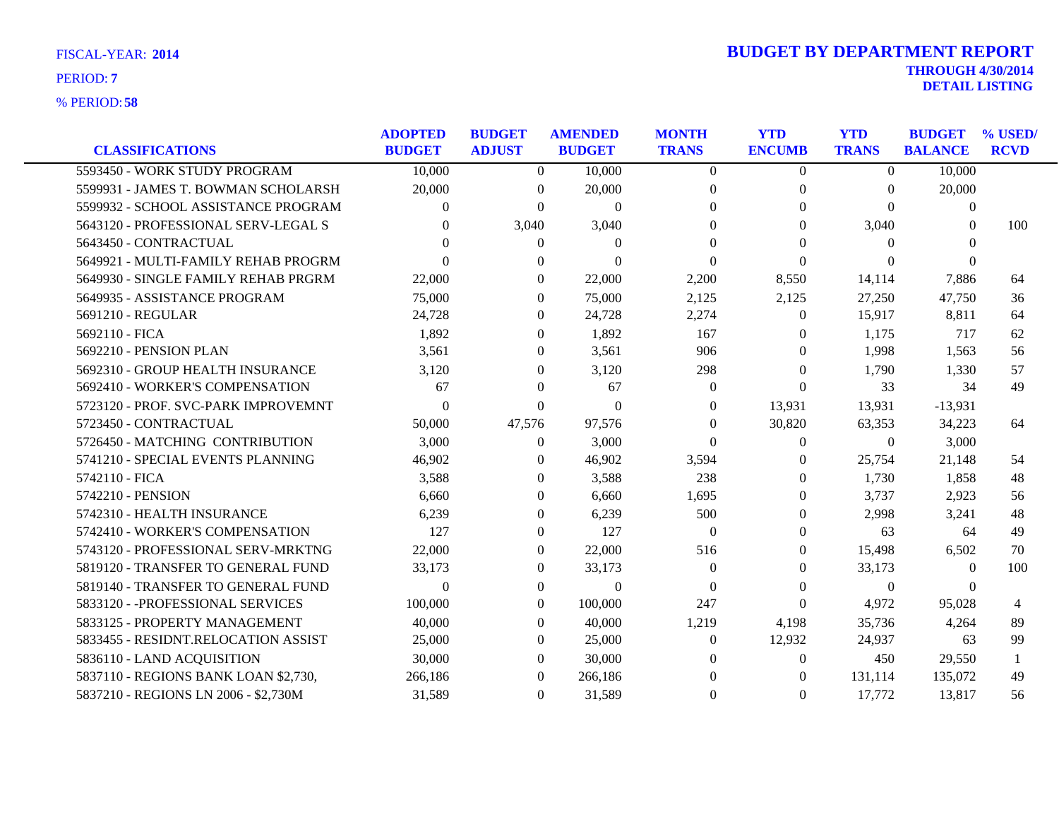|                                      | <b>ADOPTED</b> | <b>BUDGET</b> | <b>AMENDED</b> | <b>MONTH</b>   | <b>YTD</b>     | <b>YTD</b>     | <b>BUDGET</b>  | % USED/      |
|--------------------------------------|----------------|---------------|----------------|----------------|----------------|----------------|----------------|--------------|
| <b>CLASSIFICATIONS</b>               | <b>BUDGET</b>  | <b>ADJUST</b> | <b>BUDGET</b>  | <b>TRANS</b>   | <b>ENCUMB</b>  | <b>TRANS</b>   | <b>BALANCE</b> | <b>RCVD</b>  |
| 5593450 - WORK STUDY PROGRAM         | 10,000         | $\Omega$      | 10,000         | $\theta$       | $\overline{0}$ | $\Omega$       | 10,000         |              |
| 5599931 - JAMES T. BOWMAN SCHOLARSH  | 20,000         | $\left($      | 20,000         | $\left($       | 0              | $\Omega$       | 20,000         |              |
| 5599932 - SCHOOL ASSISTANCE PROGRAM  | 0              | $\Omega$      | $\mathbf{0}$   | $\Omega$       | $\Omega$       | $\Omega$       | $\mathbf{0}$   |              |
| 5643120 - PROFESSIONAL SERV-LEGAL S  | 0              | 3,040         | 3,040          | $\Omega$       | 0              | 3,040          | 0              | 100          |
| 5643450 - CONTRACTUAL                |                | $\Omega$      | $\Omega$       | $\Omega$       | 0              | $\Omega$       | $\Omega$       |              |
| 5649921 - MULTI-FAMILY REHAB PROGRM  | 0              | $\Omega$      | $\Omega$       | $\Omega$       | $\Omega$       | $\Omega$       | $\Omega$       |              |
| 5649930 - SINGLE FAMILY REHAB PRGRM  | 22,000         | $\theta$      | 22,000         | 2,200          | 8,550          | 14,114         | 7,886          | 64           |
| 5649935 - ASSISTANCE PROGRAM         | 75,000         | $\Omega$      | 75,000         | 2,125          | 2,125          | 27,250         | 47,750         | 36           |
| 5691210 - REGULAR                    | 24,728         | $\Omega$      | 24,728         | 2,274          | $\Omega$       | 15,917         | 8,811          | 64           |
| 5692110 - FICA                       | 1,892          | $\Omega$      | 1,892          | 167            | 0              | 1,175          | 717            | 62           |
| 5692210 - PENSION PLAN               | 3,561          | $\left($      | 3,561          | 906            | 0              | 1,998          | 1,563          | 56           |
| 5692310 - GROUP HEALTH INSURANCE     | 3,120          | $\Omega$      | 3,120          | 298            | $\Omega$       | 1,790          | 1,330          | 57           |
| 5692410 - WORKER'S COMPENSATION      | 67             | $\Omega$      | 67             | $\overline{0}$ | $\theta$       | 33             | 34             | 49           |
| 5723120 - PROF. SVC-PARK IMPROVEMNT  | $\Omega$       | $\theta$      | $\Omega$       | $\Omega$       | 13,931         | 13,931         | $-13,931$      |              |
| 5723450 - CONTRACTUAL                | 50,000         | 47,576        | 97,576         | $\theta$       | 30,820         | 63,353         | 34,223         | 64           |
| 5726450 - MATCHING CONTRIBUTION      | 3,000          | $\theta$      | 3,000          | $\Omega$       | 0              | $\theta$       | 3,000          |              |
| 5741210 - SPECIAL EVENTS PLANNING    | 46,902         | $\left($      | 46,902         | 3,594          | $\theta$       | 25,754         | 21,148         | 54           |
| 5742110 - FICA                       | 3,588          | $\theta$      | 3,588          | 238            | $\Omega$       | 1,730          | 1,858          | 48           |
| 5742210 - PENSION                    | 6,660          | $\theta$      | 6,660          | 1,695          | 0              | 3,737          | 2,923          | 56           |
| 5742310 - HEALTH INSURANCE           | 6,239          | $\theta$      | 6,239          | 500            | 0              | 2,998          | 3,241          | 48           |
| 5742410 - WORKER'S COMPENSATION      | 127            | $\Omega$      | 127            | $\Omega$       | $\Omega$       | 63             | 64             | 49           |
| 5743120 - PROFESSIONAL SERV-MRKTNG   | 22,000         | $\theta$      | 22,000         | 516            | 0              | 15,498         | 6,502          | 70           |
| 5819120 - TRANSFER TO GENERAL FUND   | 33,173         | $\theta$      | 33,173         | $\Omega$       | 0              | 33,173         | $\Omega$       | 100          |
| 5819140 - TRANSFER TO GENERAL FUND   | $\Omega$       | $\theta$      | $\mathbf{0}$   | $\theta$       | $\Omega$       | $\overline{0}$ | 0              |              |
| 5833120 - - PROFESSIONAL SERVICES    | 100,000        | $\Omega$      | 100,000        | 247            | $\theta$       | 4,972          | 95,028         | 4            |
| 5833125 - PROPERTY MANAGEMENT        | 40,000         | $\Omega$      | 40,000         | 1,219          | 4,198          | 35,736         | 4,264          | 89           |
| 5833455 - RESIDNT.RELOCATION ASSIST  | 25,000         | $\Omega$      | 25,000         | $\theta$       | 12,932         | 24,937         | 63             | 99           |
| 5836110 - LAND ACQUISITION           | 30,000         | $\theta$      | 30,000         | $\theta$       | $\theta$       | 450            | 29,550         | $\mathbf{1}$ |
| 5837110 - REGIONS BANK LOAN \$2,730, | 266,186        | $\Omega$      | 266,186        | $\theta$       | $\theta$       | 131,114        | 135,072        | 49           |
| 5837210 - REGIONS LN 2006 - \$2,730M | 31,589         | $\Omega$      | 31,589         | $\Omega$       | $\Omega$       | 17,772         | 13,817         | 56           |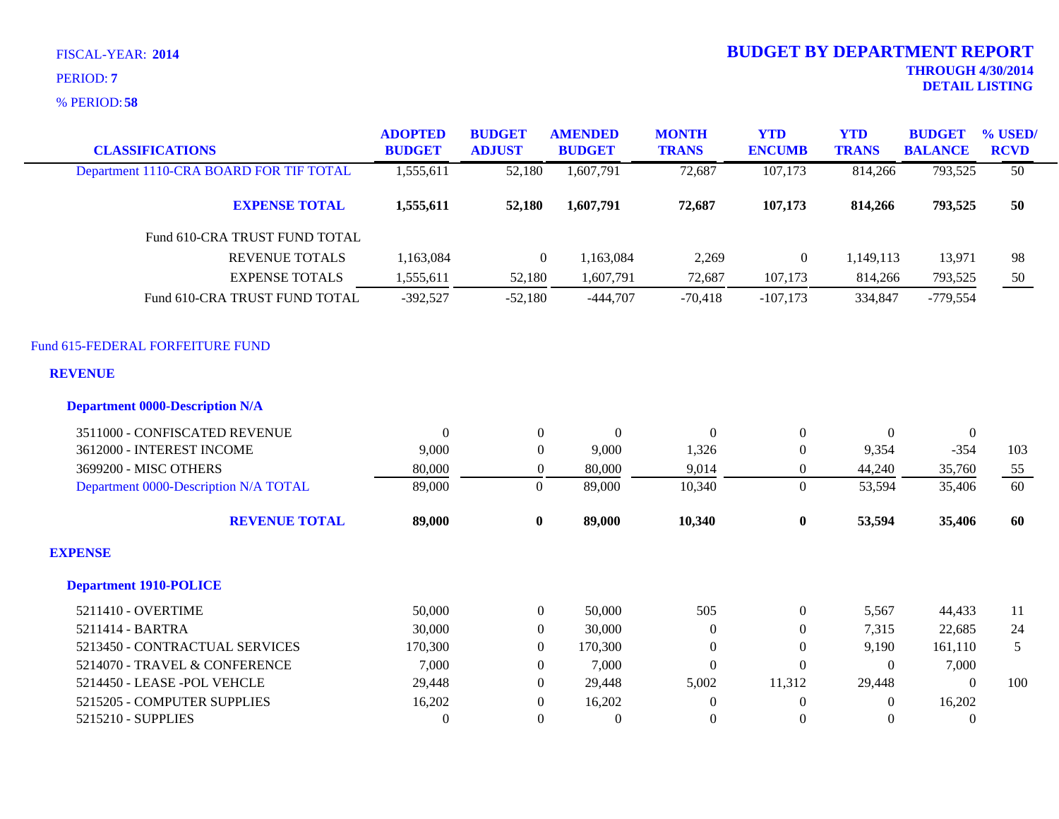**58** % PERIOD:

| <b>CLASSIFICATIONS</b>                  | <b>ADOPTED</b><br><b>BUDGET</b> | <b>BUDGET</b><br><b>ADJUST</b> | <b>AMENDED</b><br><b>BUDGET</b> | <b>MONTH</b><br><b>TRANS</b> | <b>YTD</b><br><b>ENCUMB</b> | <b>YTD</b><br><b>TRANS</b> | <b>BUDGET</b><br><b>BALANCE</b> | % USED/<br><b>RCVD</b> |
|-----------------------------------------|---------------------------------|--------------------------------|---------------------------------|------------------------------|-----------------------------|----------------------------|---------------------------------|------------------------|
| Department 1110-CRA BOARD FOR TIF TOTAL | 1,555,611                       | 52,180                         | 1,607,791                       | 72,687                       | 107,173                     | 814,266                    | 793,525                         | $\overline{50}$        |
| <b>EXPENSE TOTAL</b>                    | 1,555,611                       | 52,180                         | 1,607,791                       | 72,687                       | 107,173                     | 814,266                    | 793,525                         | 50                     |
| Fund 610-CRA TRUST FUND TOTAL           |                                 |                                |                                 |                              |                             |                            |                                 |                        |
| <b>REVENUE TOTALS</b>                   | 1,163,084                       | $\boldsymbol{0}$               | 1,163,084                       | 2,269                        | $\mathbf{0}$                | 1,149,113                  | 13,971                          | 98                     |
| <b>EXPENSE TOTALS</b>                   | 1,555,611                       | 52,180                         | 1,607,791                       | 72,687                       | 107,173                     | 814,266                    | 793,525                         | 50                     |
| Fund 610-CRA TRUST FUND TOTAL           | $-392,527$                      | $-52,180$                      | $-444,707$                      | $-70,418$                    | $-107,173$                  | 334,847                    | $-779,554$                      |                        |
| Fund 615-FEDERAL FORFEITURE FUND        |                                 |                                |                                 |                              |                             |                            |                                 |                        |
| <b>REVENUE</b>                          |                                 |                                |                                 |                              |                             |                            |                                 |                        |
| <b>Department 0000-Description N/A</b>  |                                 |                                |                                 |                              |                             |                            |                                 |                        |
| 3511000 - CONFISCATED REVENUE           | $\theta$                        | $\overline{0}$                 | $\theta$                        | $\mathbf{0}$                 | $\boldsymbol{0}$            | $\Omega$                   | $\mathbf{0}$                    |                        |
| 3612000 - INTEREST INCOME               | 9,000                           | $\overline{0}$                 | 9,000                           | 1,326                        | $\mathbf{0}$                | 9,354                      | $-354$                          | 103                    |
| 3699200 - MISC OTHERS                   | 80,000                          | $\mathbf{0}$                   | 80,000                          | 9,014                        | $\boldsymbol{0}$            | 44,240                     | 35,760                          | 55                     |
| Department 0000-Description N/A TOTAL   | 89,000                          | $\boldsymbol{0}$               | 89,000                          | 10,340                       | $\overline{0}$              | 53,594                     | 35,406                          | 60                     |
| <b>REVENUE TOTAL</b>                    | 89,000                          | $\bf{0}$                       | 89,000                          | 10,340                       | $\bf{0}$                    | 53,594                     | 35,406                          | 60                     |
| <b>EXPENSE</b>                          |                                 |                                |                                 |                              |                             |                            |                                 |                        |
| <b>Department 1910-POLICE</b>           |                                 |                                |                                 |                              |                             |                            |                                 |                        |
| 5211410 - OVERTIME                      | 50,000                          | $\overline{0}$                 | 50,000                          | 505                          | $\overline{0}$              | 5,567                      | 44,433                          | 11                     |
| 5211414 - BARTRA                        | 30,000                          | $\overline{0}$                 | 30,000                          | $\mathbf{0}$                 | $\boldsymbol{0}$            | 7,315                      | 22,685                          | 24                     |
| 5213450 - CONTRACTUAL SERVICES          | 170,300                         | $\overline{0}$                 | 170,300                         | $\boldsymbol{0}$             | $\overline{0}$              | 9,190                      | 161,110                         | 5                      |
| 5214070 - TRAVEL & CONFERENCE           | 7,000                           | $\Omega$                       | 7,000                           | $\Omega$                     | $\boldsymbol{0}$            | $\Omega$                   | 7,000                           |                        |
| 5214450 - LEASE - POL VEHCLE            | 29,448                          | $\Omega$                       | 29,448                          | 5,002                        | 11,312                      | 29,448                     | $\Omega$                        | 100                    |
| 5215205 - COMPUTER SUPPLIES             | 16,202                          | $\boldsymbol{0}$               | 16,202                          | $\Omega$                     | $\boldsymbol{0}$            | $\Omega$                   | 16,202                          |                        |
| 5215210 - SUPPLIES                      | $\Omega$                        | $\Omega$                       | $\mathbf{0}$                    | $\Omega$                     | $\Omega$                    | $\Omega$                   | $\Omega$                        |                        |